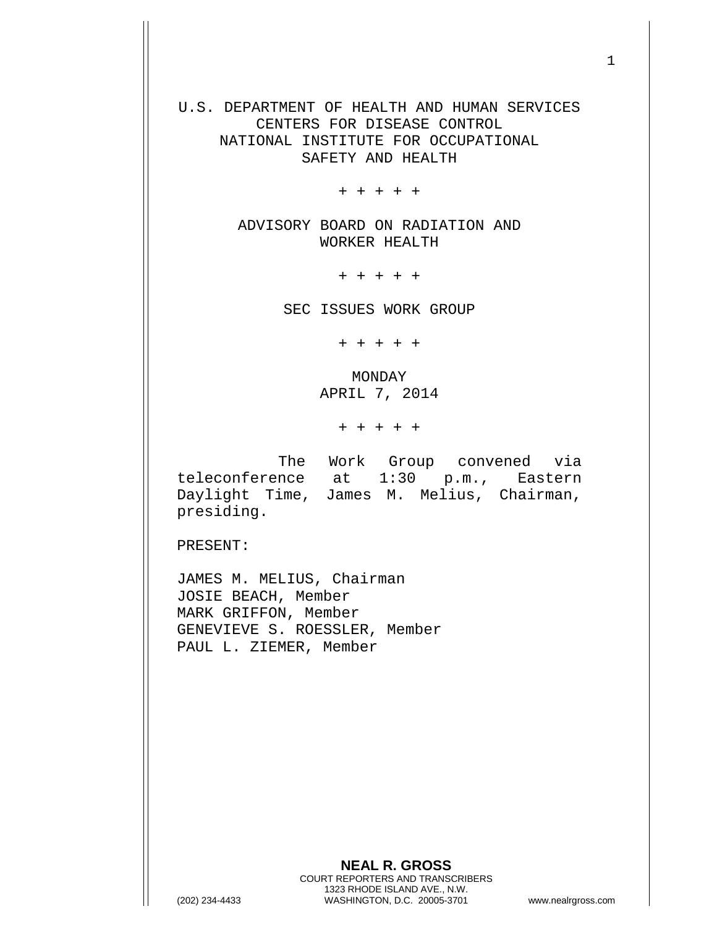U.S. DEPARTMENT OF HEALTH AND HUMAN SERVICES CENTERS FOR DISEASE CONTROL NATIONAL INSTITUTE FOR OCCUPATIONAL SAFETY AND HEALTH

+ + + + +

ADVISORY BOARD ON RADIATION AND WORKER HEALTH

+ + + + +

SEC ISSUES WORK GROUP

+ + + + +

MONDAY APRIL 7, 2014

+ + + + +

The Work Group convened via teleconference at 1:30 p.m., Eastern Daylight Time, James M. Melius, Chairman, presiding.

PRESENT:

JAMES M. MELIUS, Chairman JOSIE BEACH, Member MARK GRIFFON, Member GENEVIEVE S. ROESSLER, Member PAUL L. ZIEMER, Member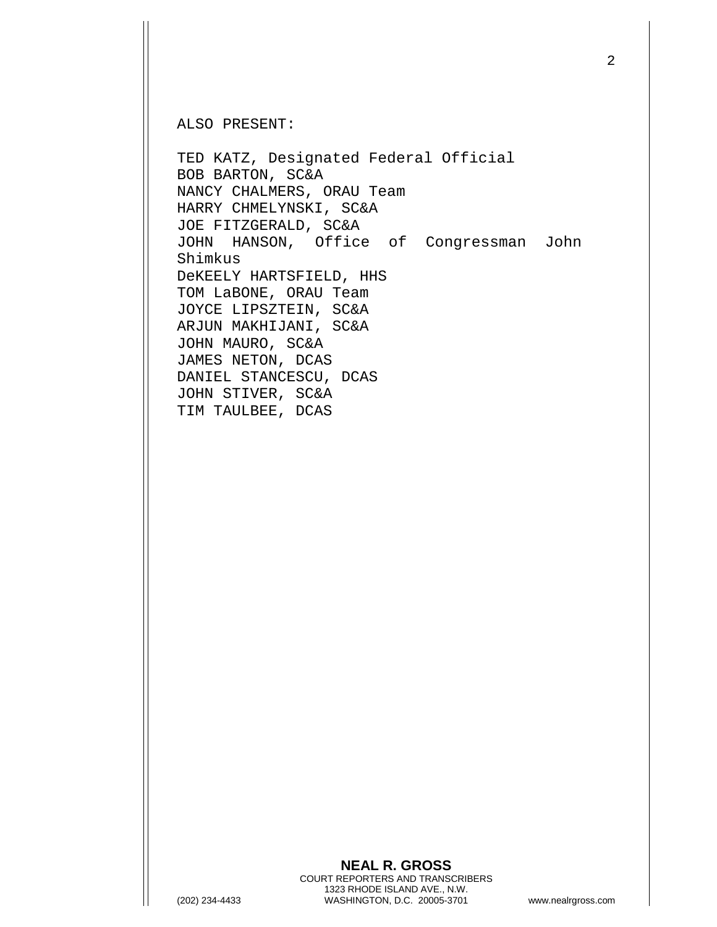ALSO PRESENT:

TED KATZ, Designated Federal Official BOB BARTON, SC&A NANCY CHALMERS, ORAU Team HARRY CHMELYNSKI, SC&A JOE FITZGERALD, SC&A JOHN HANSON, Office of Congressman John Shimkus DeKEELY HARTSFIELD, HHS TOM LaBONE, ORAU Team JOYCE LIPSZTEIN, SC&A ARJUN MAKHIJANI, SC&A JOHN MAURO, SC&A JAMES NETON, DCAS DANIEL STANCESCU, DCAS JOHN STIVER, SC&A TIM TAULBEE, DCAS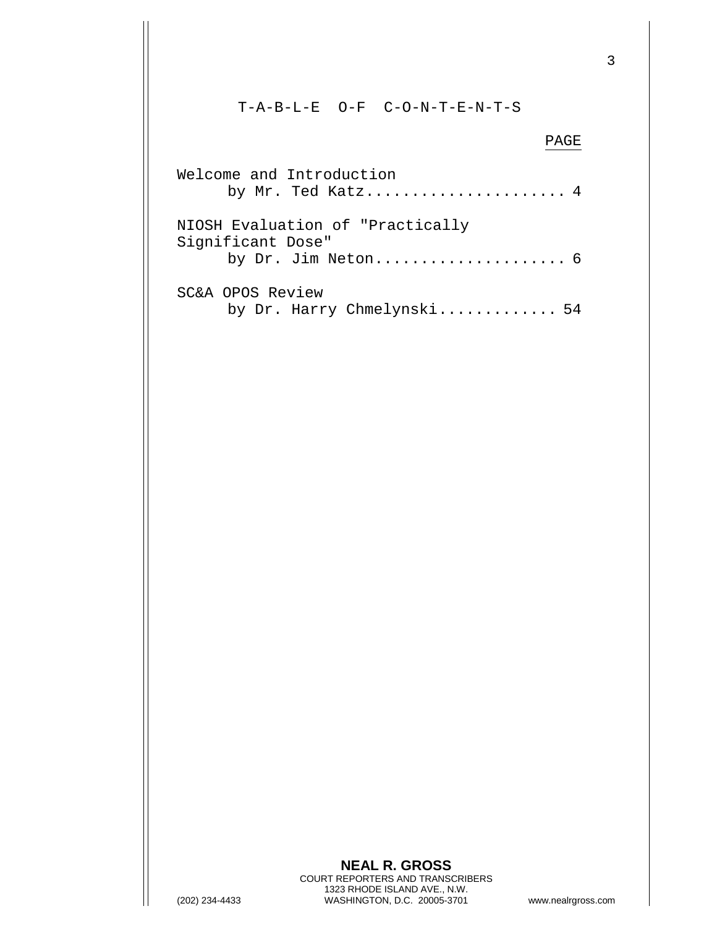T-A-B-L-E O-F C-O-N-T-E-N-T-S

## PAGE

| Welcome and Introduction         |
|----------------------------------|
| by Mr. Ted Katz $4$              |
|                                  |
| NIOSH Evaluation of "Practically |
| Significant Dose"                |
|                                  |
|                                  |
| SC&A OPOS Review                 |
| by Dr. Harry Chmelynski 54       |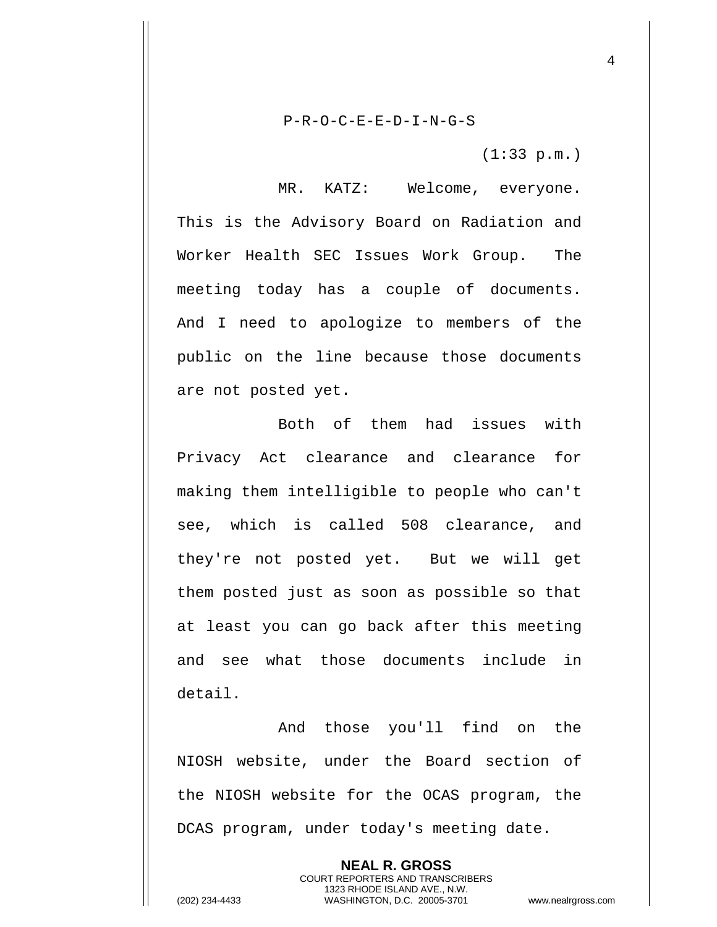P-R-O-C-E-E-D-I-N-G-S

(1:33 p.m.)

MR. KATZ: Welcome, everyone. This is the Advisory Board on Radiation and Worker Health SEC Issues Work Group. The meeting today has a couple of documents. And I need to apologize to members of the public on the line because those documents are not posted yet.

Both of them had issues with Privacy Act clearance and clearance for making them intelligible to people who can't see, which is called 508 clearance, and they're not posted yet. But we will get them posted just as soon as possible so that at least you can go back after this meeting and see what those documents include in detail.

And those you'll find on the NIOSH website, under the Board section of the NIOSH website for the OCAS program, the DCAS program, under today's meeting date.

> **NEAL R. GROSS** COURT REPORTERS AND TRANSCRIBERS 1323 RHODE ISLAND AVE., N.W.

(202) 234-4433 WASHINGTON, D.C. 20005-3701 www.nealrgross.com

4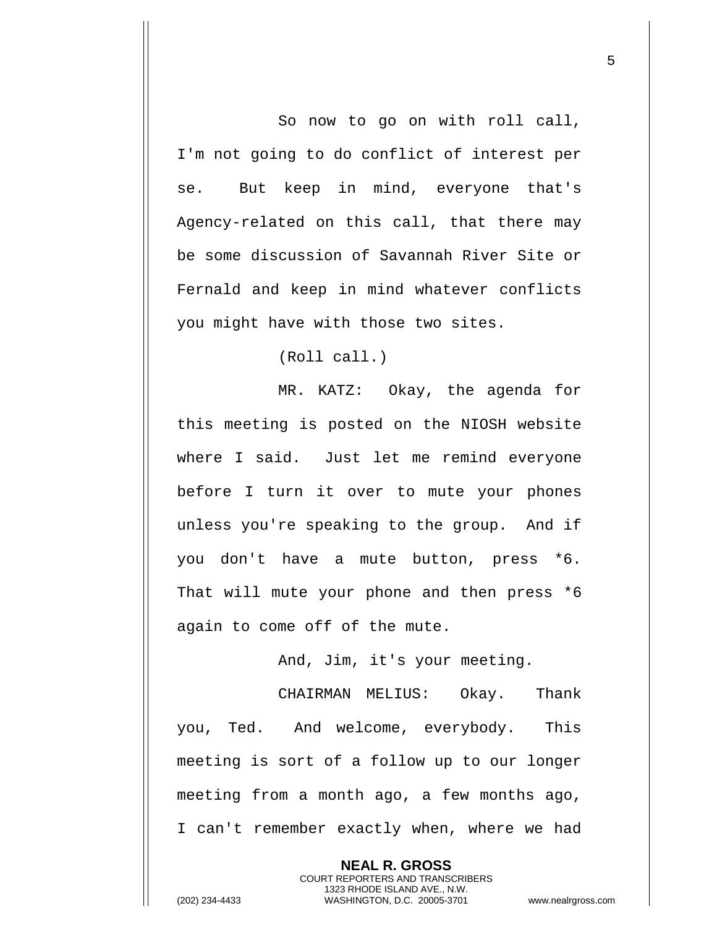So now to go on with roll call, I'm not going to do conflict of interest per se. But keep in mind, everyone that's Agency-related on this call, that there may be some discussion of Savannah River Site or Fernald and keep in mind whatever conflicts you might have with those two sites.

(Roll call.)

MR. KATZ: Okay, the agenda for this meeting is posted on the NIOSH website where I said. Just let me remind everyone before I turn it over to mute your phones unless you're speaking to the group. And if you don't have a mute button, press \*6. That will mute your phone and then press \*6 again to come off of the mute.

And, Jim, it's your meeting.

CHAIRMAN MELIUS: Okay. Thank you, Ted. And welcome, everybody. This meeting is sort of a follow up to our longer meeting from a month ago, a few months ago, I can't remember exactly when, where we had

> **NEAL R. GROSS** COURT REPORTERS AND TRANSCRIBERS 1323 RHODE ISLAND AVE., N.W.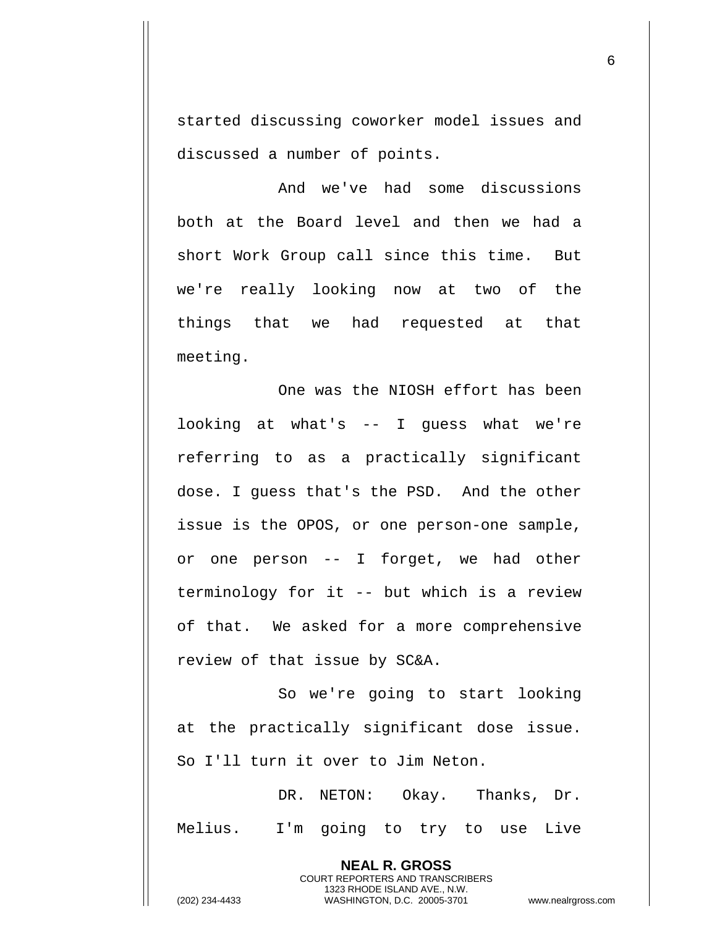started discussing coworker model issues and discussed a number of points.

And we've had some discussions both at the Board level and then we had a short Work Group call since this time. But we're really looking now at two of the things that we had requested at that meeting.

One was the NIOSH effort has been looking at what's -- I guess what we're referring to as a practically significant dose. I guess that's the PSD. And the other issue is the OPOS, or one person-one sample, or one person -- I forget, we had other terminology for it -- but which is a review of that. We asked for a more comprehensive review of that issue by SC&A.

So we're going to start looking at the practically significant dose issue. So I'll turn it over to Jim Neton.

DR. NETON: Okay. Thanks, Dr. Melius. I'm going to try to use Live

> **NEAL R. GROSS** COURT REPORTERS AND TRANSCRIBERS 1323 RHODE ISLAND AVE., N.W.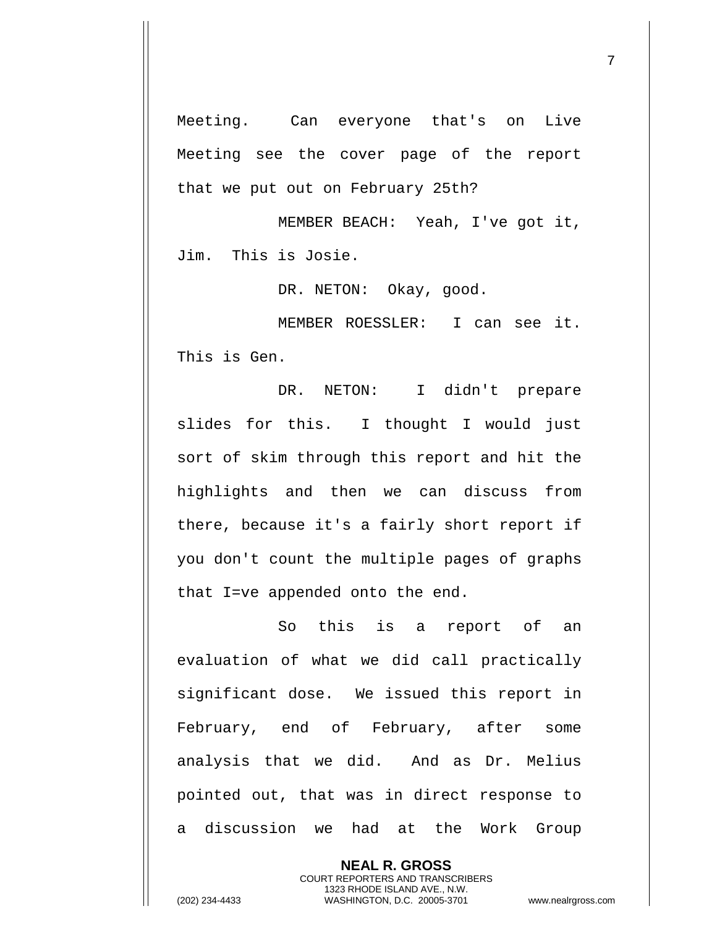Meeting. Can everyone that's on Live Meeting see the cover page of the report that we put out on February 25th?

MEMBER BEACH: Yeah, I've got it, Jim. This is Josie.

DR. NETON: Okay, good.

MEMBER ROESSLER: I can see it. This is Gen.

DR. NETON: I didn't prepare slides for this. I thought I would just sort of skim through this report and hit the highlights and then we can discuss from there, because it's a fairly short report if you don't count the multiple pages of graphs that I=ve appended onto the end.

So this is a report of an evaluation of what we did call practically significant dose. We issued this report in February, end of February, after some analysis that we did. And as Dr. Melius pointed out, that was in direct response to a discussion we had at the Work Group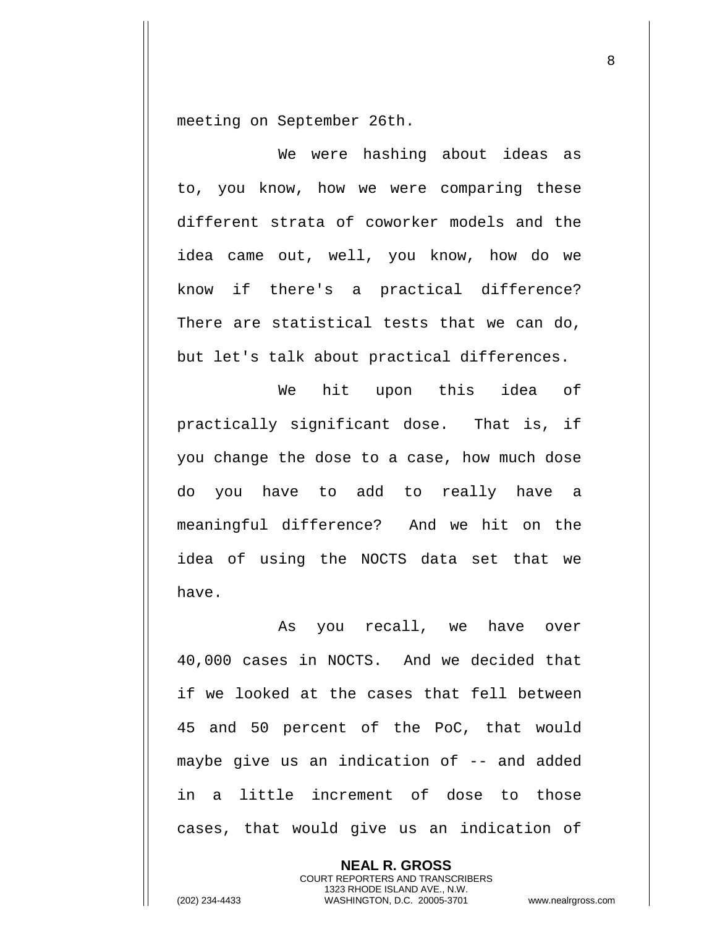meeting on September 26th.

We were hashing about ideas as to, you know, how we were comparing these different strata of coworker models and the idea came out, well, you know, how do we know if there's a practical difference? There are statistical tests that we can do, but let's talk about practical differences.

We hit upon this idea of practically significant dose. That is, if you change the dose to a case, how much dose do you have to add to really have a meaningful difference? And we hit on the idea of using the NOCTS data set that we have.

As you recall, we have over 40,000 cases in NOCTS. And we decided that if we looked at the cases that fell between 45 and 50 percent of the PoC, that would maybe give us an indication of -- and added in a little increment of dose to those cases, that would give us an indication of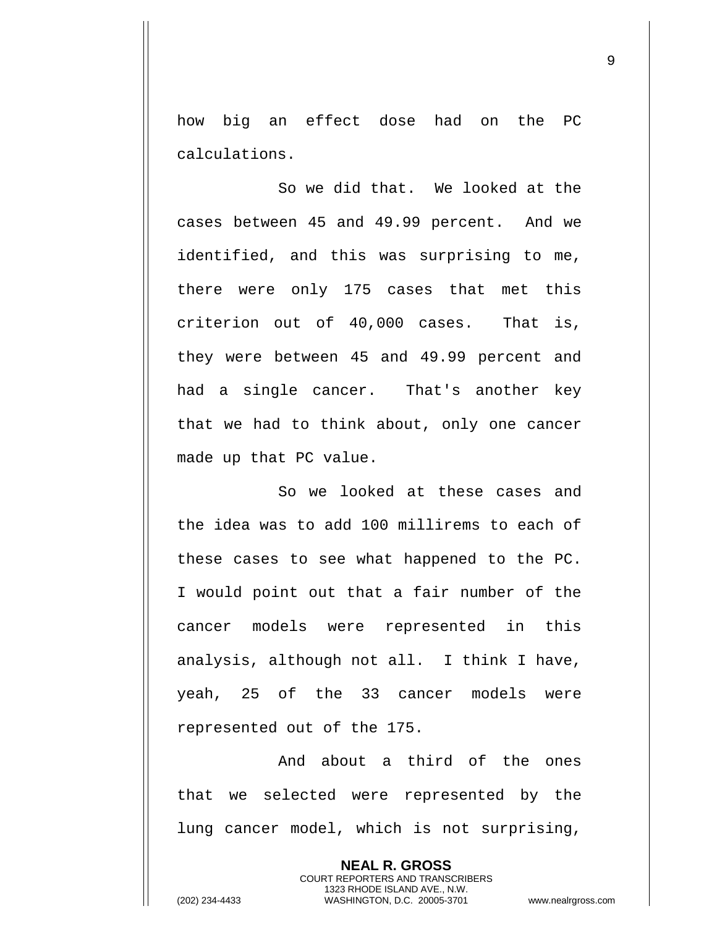how big an effect dose had on the PC calculations.

So we did that. We looked at the cases between 45 and 49.99 percent. And we identified, and this was surprising to me, there were only 175 cases that met this criterion out of 40,000 cases. That is, they were between 45 and 49.99 percent and had a single cancer. That's another key that we had to think about, only one cancer made up that PC value.

So we looked at these cases and the idea was to add 100 millirems to each of these cases to see what happened to the PC. I would point out that a fair number of the cancer models were represented in this analysis, although not all. I think I have, yeah, 25 of the 33 cancer models were represented out of the 175.

And about a third of the ones that we selected were represented by the lung cancer model, which is not surprising,

> **NEAL R. GROSS** COURT REPORTERS AND TRANSCRIBERS 1323 RHODE ISLAND AVE., N.W.

(202) 234-4433 WASHINGTON, D.C. 20005-3701 www.nealrgross.com

9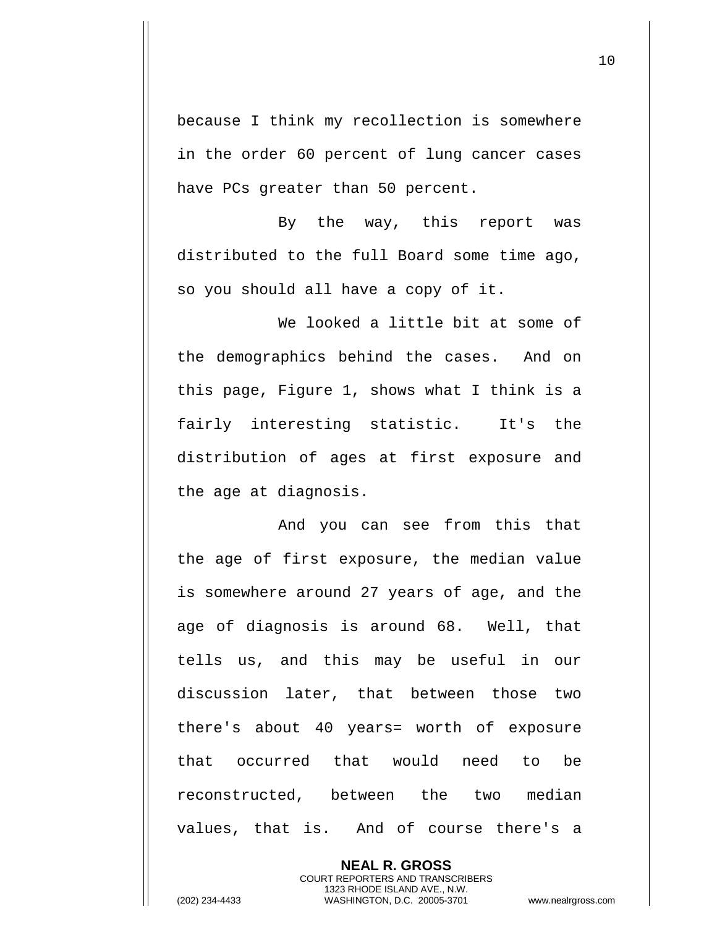because I think my recollection is somewhere in the order 60 percent of lung cancer cases have PCs greater than 50 percent.

By the way, this report was distributed to the full Board some time ago, so you should all have a copy of it.

We looked a little bit at some of the demographics behind the cases. And on this page, Figure 1, shows what I think is a fairly interesting statistic. It's the distribution of ages at first exposure and the age at diagnosis.

And you can see from this that the age of first exposure, the median value is somewhere around 27 years of age, and the age of diagnosis is around 68. Well, that tells us, and this may be useful in our discussion later, that between those two there's about 40 years= worth of exposure that occurred that would need to be reconstructed, between the two median values, that is. And of course there's a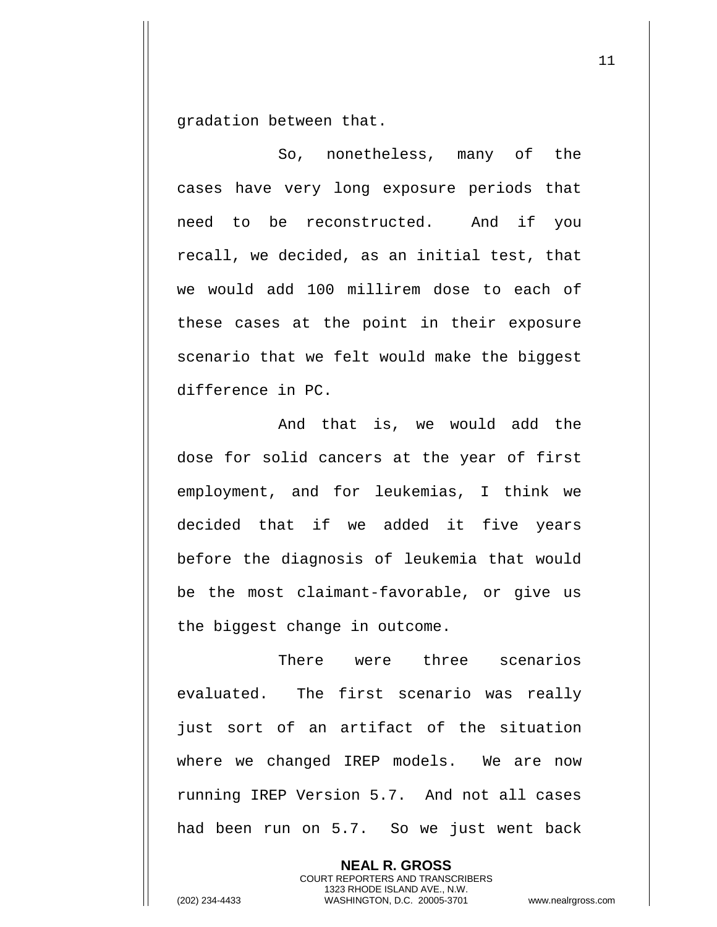gradation between that.

So, nonetheless, many of the cases have very long exposure periods that need to be reconstructed. And if you recall, we decided, as an initial test, that we would add 100 millirem dose to each of these cases at the point in their exposure scenario that we felt would make the biggest difference in PC.

And that is, we would add the dose for solid cancers at the year of first employment, and for leukemias, I think we decided that if we added it five years before the diagnosis of leukemia that would be the most claimant-favorable, or give us the biggest change in outcome.

There were three scenarios evaluated. The first scenario was really just sort of an artifact of the situation where we changed IREP models. We are now running IREP Version 5.7. And not all cases had been run on 5.7. So we just went back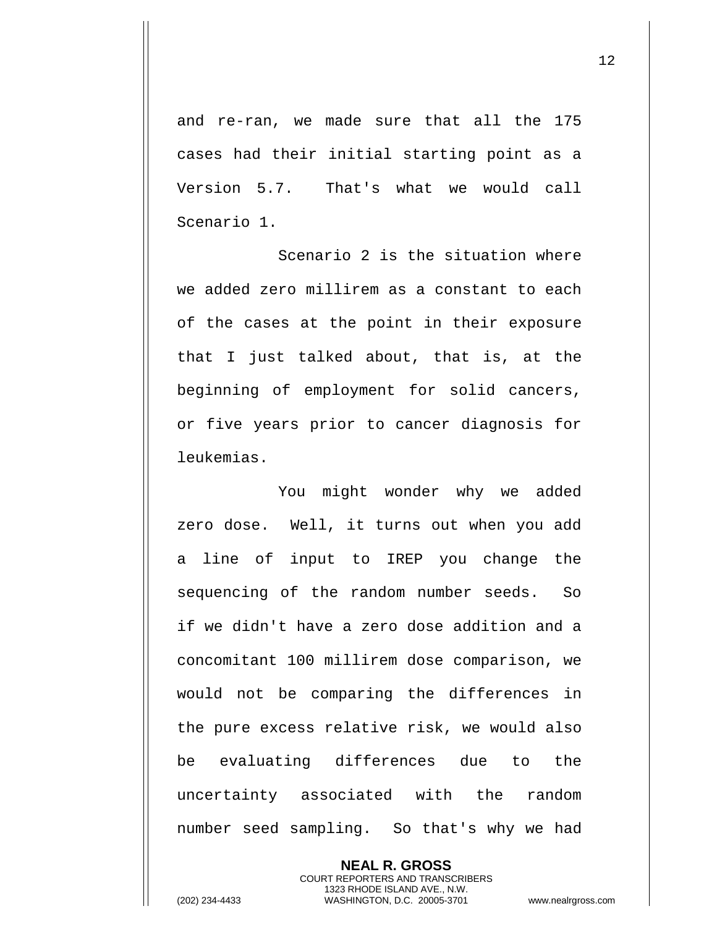and re-ran, we made sure that all the 175 cases had their initial starting point as a Version 5.7. That's what we would call Scenario 1.

Scenario 2 is the situation where we added zero millirem as a constant to each of the cases at the point in their exposure that I just talked about, that is, at the beginning of employment for solid cancers, or five years prior to cancer diagnosis for leukemias.

You might wonder why we added zero dose. Well, it turns out when you add a line of input to IREP you change the sequencing of the random number seeds. So if we didn't have a zero dose addition and a concomitant 100 millirem dose comparison, we would not be comparing the differences in the pure excess relative risk, we would also be evaluating differences due to the uncertainty associated with the random number seed sampling. So that's why we had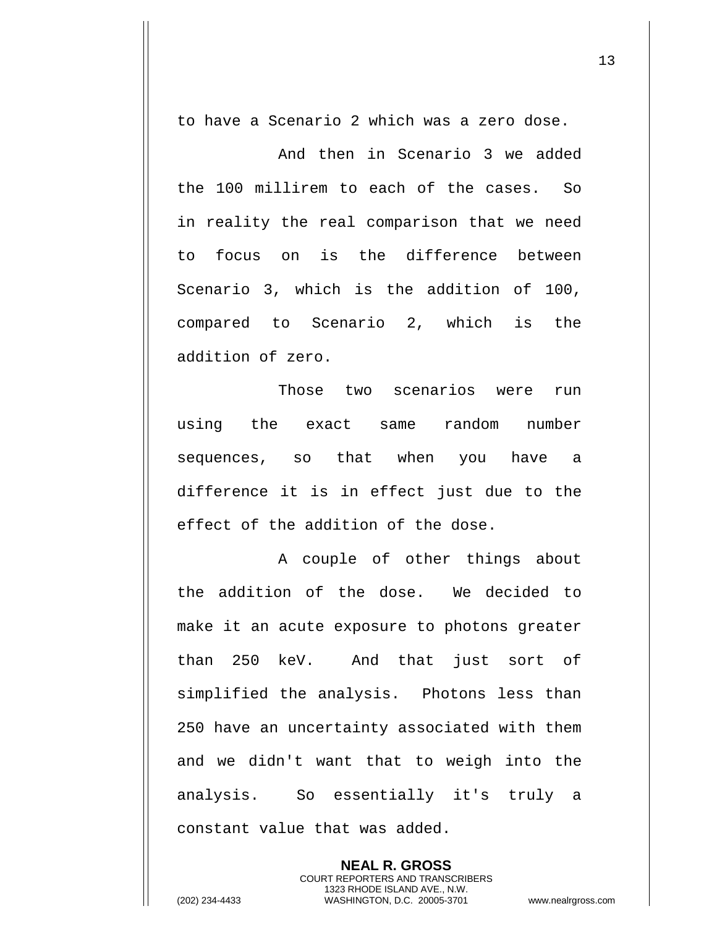to have a Scenario 2 which was a zero dose.

And then in Scenario 3 we added the 100 millirem to each of the cases. So in reality the real comparison that we need to focus on is the difference between Scenario 3, which is the addition of 100, compared to Scenario 2, which is the addition of zero.

Those two scenarios were run using the exact same random number sequences, so that when you have a difference it is in effect just due to the effect of the addition of the dose.

A couple of other things about the addition of the dose. We decided to make it an acute exposure to photons greater than 250 keV. And that just sort of simplified the analysis. Photons less than 250 have an uncertainty associated with them and we didn't want that to weigh into the analysis. So essentially it's truly a constant value that was added.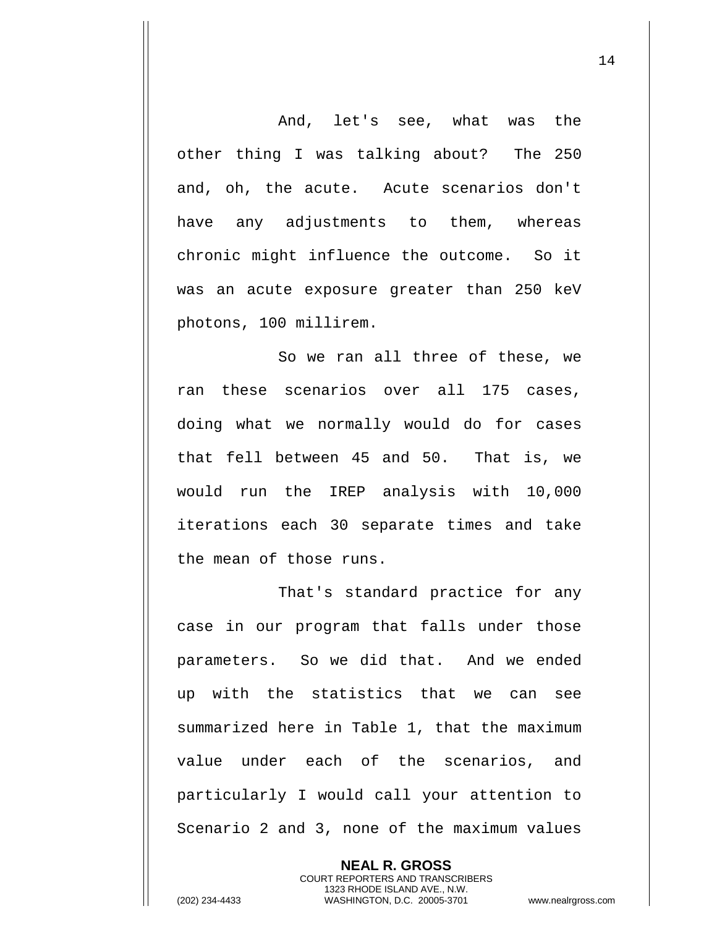And, let's see, what was the other thing I was talking about? The 250 and, oh, the acute. Acute scenarios don't have any adjustments to them, whereas chronic might influence the outcome. So it was an acute exposure greater than 250 keV photons, 100 millirem.

So we ran all three of these, we ran these scenarios over all 175 cases, doing what we normally would do for cases that fell between 45 and 50. That is, we would run the IREP analysis with 10,000 iterations each 30 separate times and take the mean of those runs.

That's standard practice for any case in our program that falls under those parameters. So we did that. And we ended up with the statistics that we can see summarized here in Table 1, that the maximum value under each of the scenarios, and particularly I would call your attention to Scenario 2 and 3, none of the maximum values

**NEAL R. GROSS** COURT REPORTERS AND TRANSCRIBERS 1323 RHODE ISLAND AVE., N.W. (202) 234-4433 WASHINGTON, D.C. 20005-3701 www.nealrgross.com

14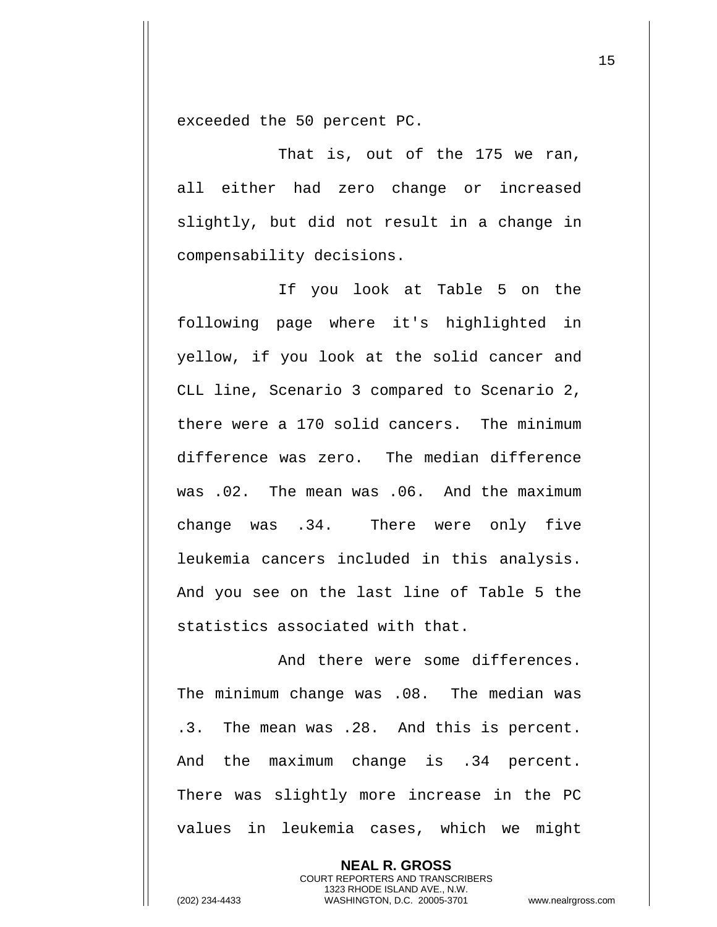exceeded the 50 percent PC.

That is, out of the 175 we ran, all either had zero change or increased slightly, but did not result in a change in compensability decisions.

If you look at Table 5 on the following page where it's highlighted in yellow, if you look at the solid cancer and CLL line, Scenario 3 compared to Scenario 2, there were a 170 solid cancers. The minimum difference was zero. The median difference was .02. The mean was .06. And the maximum change was .34. There were only five leukemia cancers included in this analysis. And you see on the last line of Table 5 the statistics associated with that.

And there were some differences. The minimum change was .08. The median was .3. The mean was .28. And this is percent. And the maximum change is .34 percent. There was slightly more increase in the PC values in leukemia cases, which we might

> **NEAL R. GROSS** COURT REPORTERS AND TRANSCRIBERS 1323 RHODE ISLAND AVE., N.W.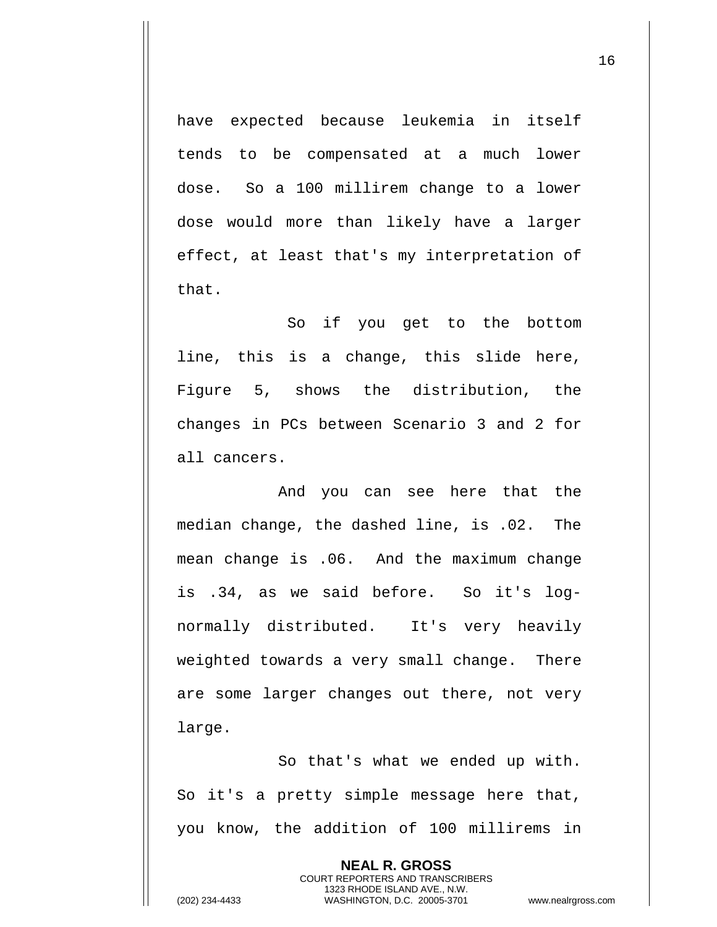have expected because leukemia in itself tends to be compensated at a much lower dose. So a 100 millirem change to a lower dose would more than likely have a larger effect, at least that's my interpretation of that.

So if you get to the bottom line, this is a change, this slide here, Figure 5, shows the distribution, the changes in PCs between Scenario 3 and 2 for all cancers.

And you can see here that the median change, the dashed line, is .02. The mean change is .06. And the maximum change is .34, as we said before. So it's lognormally distributed. It's very heavily weighted towards a very small change. There are some larger changes out there, not very large.

So that's what we ended up with. So it's a pretty simple message here that, you know, the addition of 100 millirems in

> **NEAL R. GROSS** COURT REPORTERS AND TRANSCRIBERS 1323 RHODE ISLAND AVE., N.W.

(202) 234-4433 WASHINGTON, D.C. 20005-3701 www.nealrgross.com

16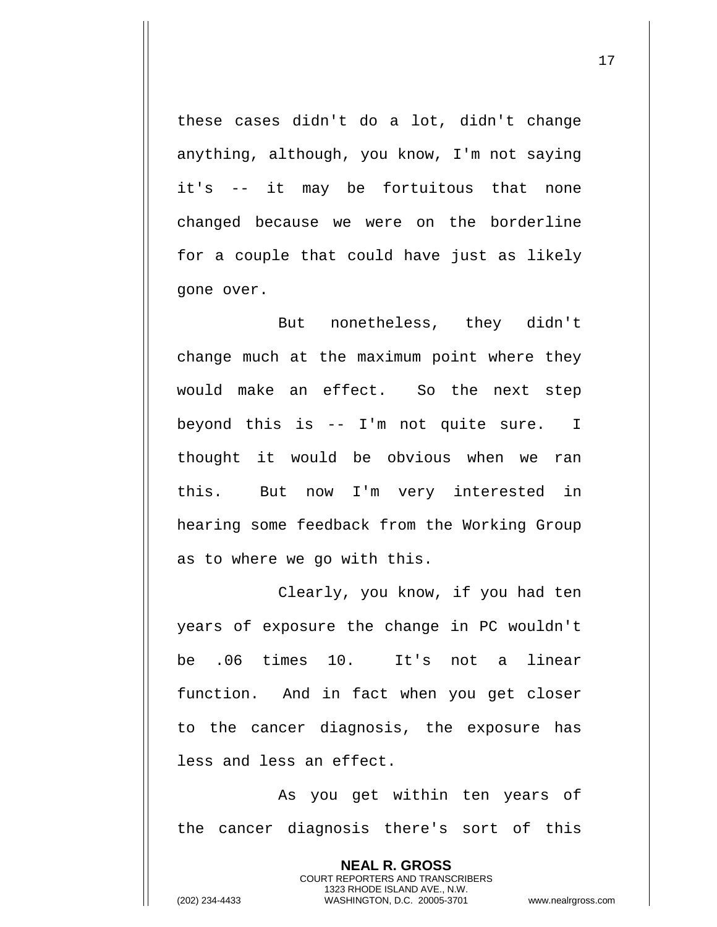these cases didn't do a lot, didn't change anything, although, you know, I'm not saying it's -- it may be fortuitous that none changed because we were on the borderline for a couple that could have just as likely gone over.

But nonetheless, they didn't change much at the maximum point where they would make an effect. So the next step beyond this is -- I'm not quite sure. I thought it would be obvious when we ran this. But now I'm very interested in hearing some feedback from the Working Group as to where we go with this.

Clearly, you know, if you had ten years of exposure the change in PC wouldn't be .06 times 10. It's not a linear function. And in fact when you get closer to the cancer diagnosis, the exposure has less and less an effect.

As you get within ten years of the cancer diagnosis there's sort of this

> **NEAL R. GROSS** COURT REPORTERS AND TRANSCRIBERS 1323 RHODE ISLAND AVE., N.W.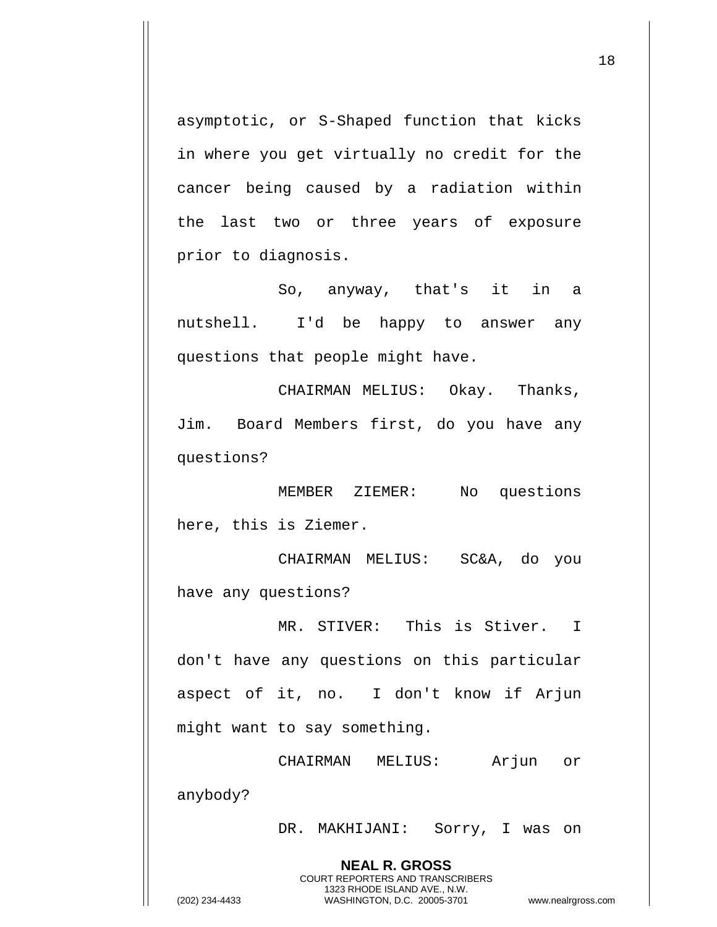asymptotic, or S-Shaped function that kicks in where you get virtually no credit for the cancer being caused by a radiation within the last two or three years of exposure prior to diagnosis.

So, anyway, that's it in a nutshell. I'd be happy to answer any questions that people might have.

CHAIRMAN MELIUS: Okay. Thanks, Jim. Board Members first, do you have any questions?

MEMBER ZIEMER: No questions here, this is Ziemer.

CHAIRMAN MELIUS: SC&A, do you have any questions?

MR. STIVER: This is Stiver. I don't have any questions on this particular aspect of it, no. I don't know if Arjun might want to say something.

CHAIRMAN MELIUS: Arjun or anybody?

> **NEAL R. GROSS** COURT REPORTERS AND TRANSCRIBERS 1323 RHODE ISLAND AVE., N.W.

DR. MAKHIJANI: Sorry, I was on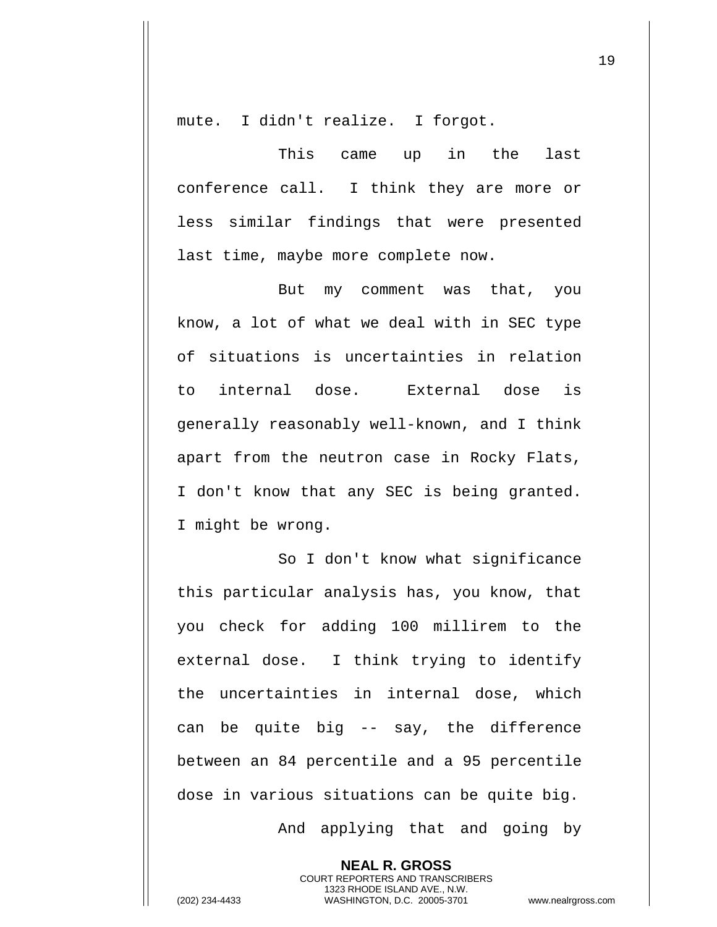mute. I didn't realize. I forgot.

This came up in the last conference call. I think they are more or less similar findings that were presented last time, maybe more complete now.

But my comment was that, you know, a lot of what we deal with in SEC type of situations is uncertainties in relation to internal dose. External dose is generally reasonably well-known, and I think apart from the neutron case in Rocky Flats, I don't know that any SEC is being granted. I might be wrong.

So I don't know what significance this particular analysis has, you know, that you check for adding 100 millirem to the external dose. I think trying to identify the uncertainties in internal dose, which can be quite big -- say, the difference between an 84 percentile and a 95 percentile dose in various situations can be quite big.

And applying that and going by

**NEAL R. GROSS** COURT REPORTERS AND TRANSCRIBERS 1323 RHODE ISLAND AVE., N.W.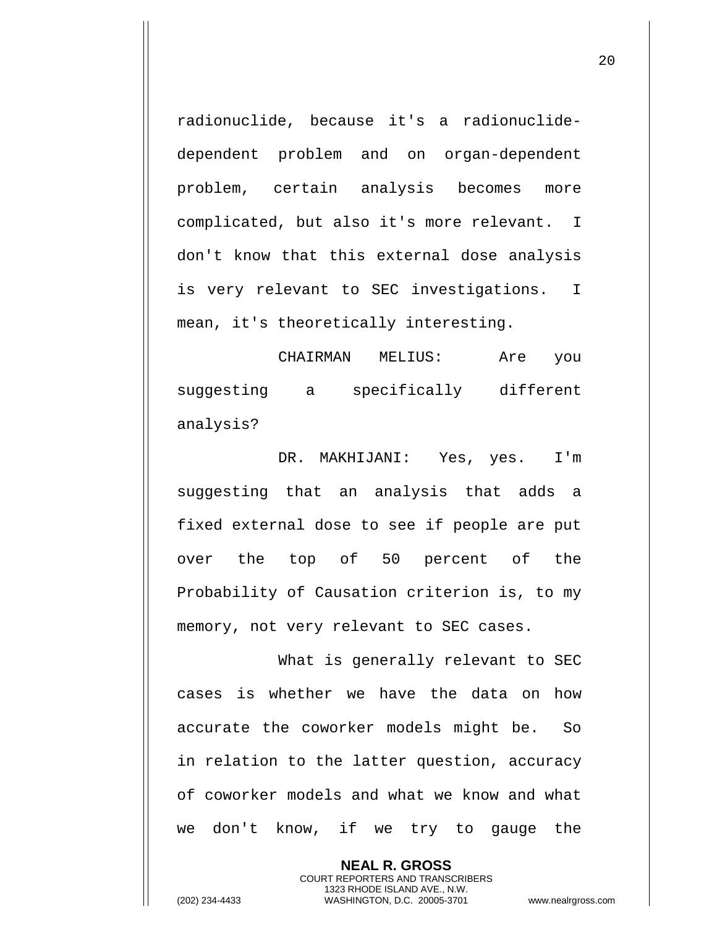radionuclide, because it's a radionuclidedependent problem and on organ-dependent problem, certain analysis becomes more complicated, but also it's more relevant. I don't know that this external dose analysis is very relevant to SEC investigations. I mean, it's theoretically interesting.

CHAIRMAN MELIUS: Are you suggesting a specifically different analysis?

DR. MAKHIJANI: Yes, yes. I'm suggesting that an analysis that adds a fixed external dose to see if people are put over the top of 50 percent of the Probability of Causation criterion is, to my memory, not very relevant to SEC cases.

What is generally relevant to SEC cases is whether we have the data on how accurate the coworker models might be. So in relation to the latter question, accuracy of coworker models and what we know and what we don't know, if we try to gauge the

> **NEAL R. GROSS** COURT REPORTERS AND TRANSCRIBERS 1323 RHODE ISLAND AVE., N.W.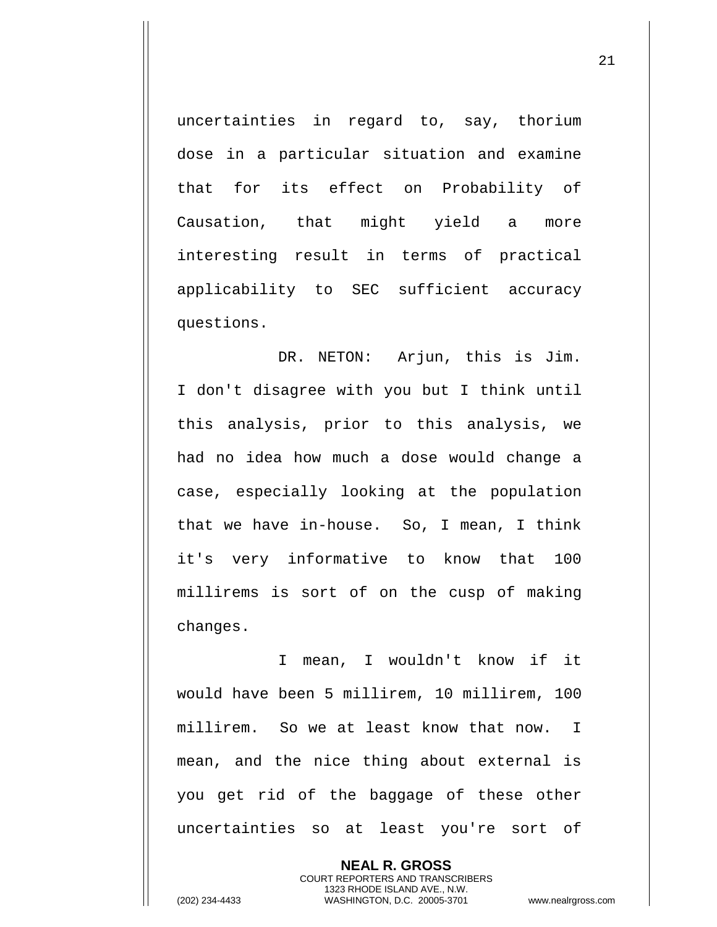uncertainties in regard to, say, thorium dose in a particular situation and examine that for its effect on Probability of Causation, that might yield a more interesting result in terms of practical applicability to SEC sufficient accuracy questions.

DR. NETON: Arjun, this is Jim. I don't disagree with you but I think until this analysis, prior to this analysis, we had no idea how much a dose would change a case, especially looking at the population that we have in-house. So, I mean, I think it's very informative to know that 100 millirems is sort of on the cusp of making changes.

I mean, I wouldn't know if it would have been 5 millirem, 10 millirem, 100 millirem. So we at least know that now. I mean, and the nice thing about external is you get rid of the baggage of these other uncertainties so at least you're sort of

> **NEAL R. GROSS** COURT REPORTERS AND TRANSCRIBERS 1323 RHODE ISLAND AVE., N.W.

(202) 234-4433 WASHINGTON, D.C. 20005-3701 www.nealrgross.com

21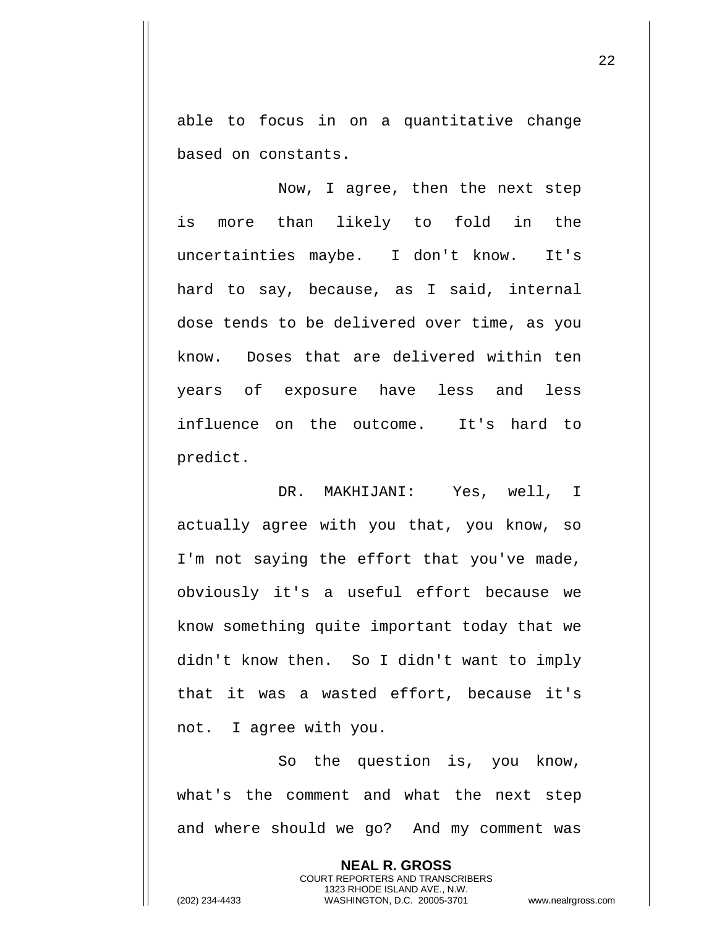able to focus in on a quantitative change based on constants.

Now, I agree, then the next step is more than likely to fold in the uncertainties maybe. I don't know. It's hard to say, because, as I said, internal dose tends to be delivered over time, as you know. Doses that are delivered within ten years of exposure have less and less influence on the outcome. It's hard to predict.

DR. MAKHIJANI: Yes, well, I actually agree with you that, you know, so I'm not saying the effort that you've made, obviously it's a useful effort because we know something quite important today that we didn't know then. So I didn't want to imply that it was a wasted effort, because it's not. I agree with you.

So the question is, you know, what's the comment and what the next step and where should we go? And my comment was

> **NEAL R. GROSS** COURT REPORTERS AND TRANSCRIBERS 1323 RHODE ISLAND AVE., N.W.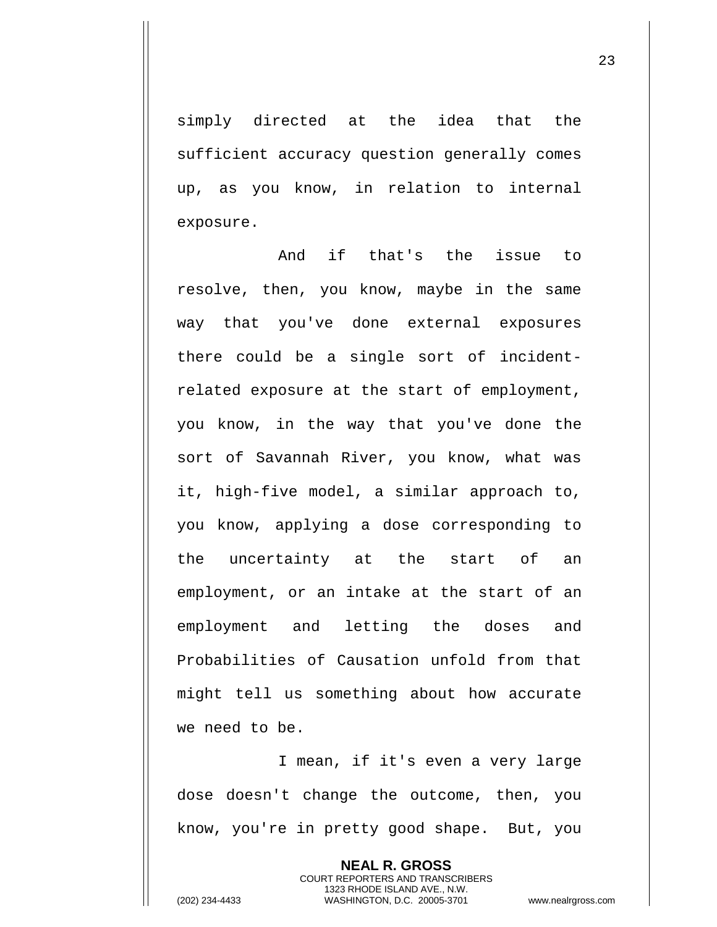simply directed at the idea that the sufficient accuracy question generally comes up, as you know, in relation to internal exposure.

And if that's the issue to resolve, then, you know, maybe in the same way that you've done external exposures there could be a single sort of incidentrelated exposure at the start of employment, you know, in the way that you've done the sort of Savannah River, you know, what was it, high-five model, a similar approach to, you know, applying a dose corresponding to the uncertainty at the start of an employment, or an intake at the start of an employment and letting the doses and Probabilities of Causation unfold from that might tell us something about how accurate we need to be.

I mean, if it's even a very large dose doesn't change the outcome, then, you know, you're in pretty good shape. But, you

> **NEAL R. GROSS** COURT REPORTERS AND TRANSCRIBERS 1323 RHODE ISLAND AVE., N.W.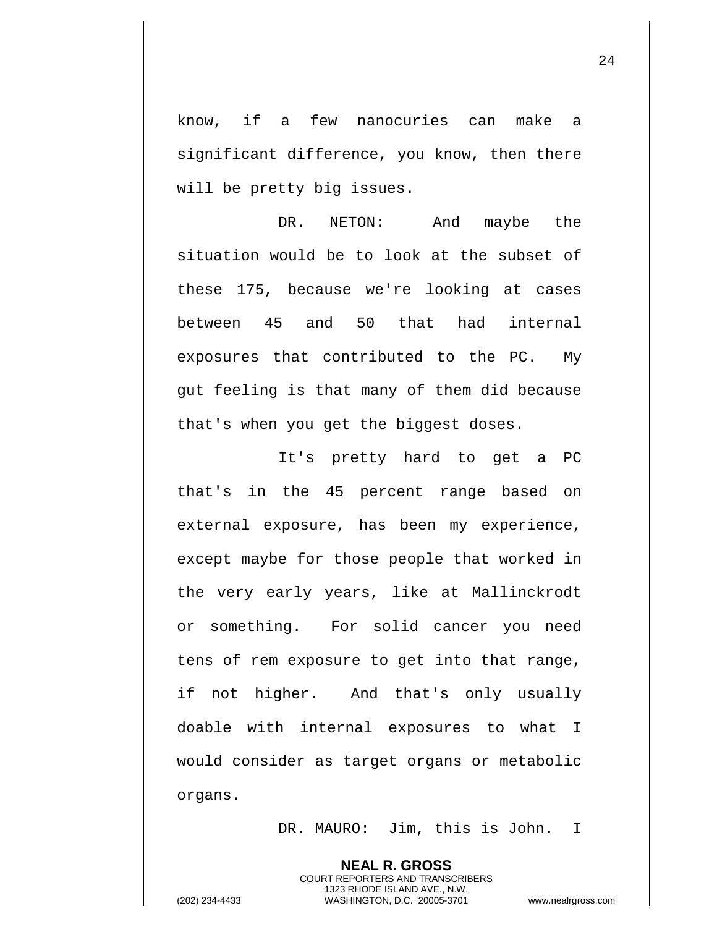know, if a few nanocuries can make a significant difference, you know, then there will be pretty big issues.

DR. NETON: And maybe the situation would be to look at the subset of these 175, because we're looking at cases between 45 and 50 that had internal exposures that contributed to the PC. My gut feeling is that many of them did because that's when you get the biggest doses.

It's pretty hard to get a PC that's in the 45 percent range based on external exposure, has been my experience, except maybe for those people that worked in the very early years, like at Mallinckrodt or something. For solid cancer you need tens of rem exposure to get into that range, if not higher. And that's only usually doable with internal exposures to what I would consider as target organs or metabolic organs.

DR. MAURO: Jim, this is John. I

**NEAL R. GROSS** COURT REPORTERS AND TRANSCRIBERS 1323 RHODE ISLAND AVE., N.W.

24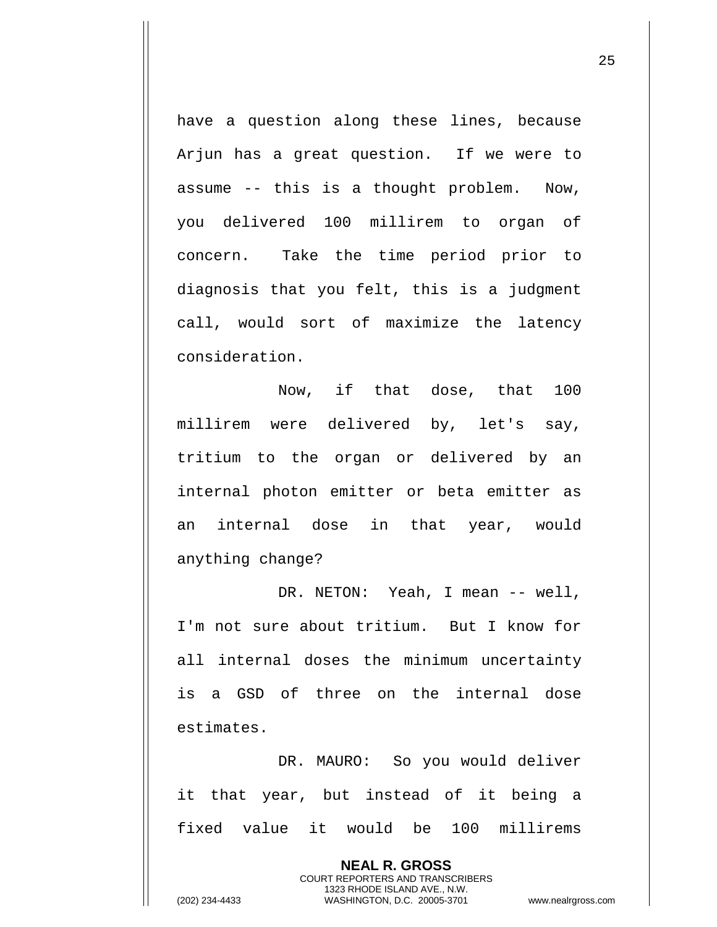have a question along these lines, because Arjun has a great question. If we were to assume -- this is a thought problem. Now, you delivered 100 millirem to organ of concern. Take the time period prior to diagnosis that you felt, this is a judgment call, would sort of maximize the latency consideration.

Now, if that dose, that 100 millirem were delivered by, let's say, tritium to the organ or delivered by an internal photon emitter or beta emitter as an internal dose in that year, would anything change?

DR. NETON: Yeah, I mean -- well, I'm not sure about tritium. But I know for all internal doses the minimum uncertainty is a GSD of three on the internal dose estimates.

DR. MAURO: So you would deliver it that year, but instead of it being a fixed value it would be 100 millirems

> **NEAL R. GROSS** COURT REPORTERS AND TRANSCRIBERS 1323 RHODE ISLAND AVE., N.W.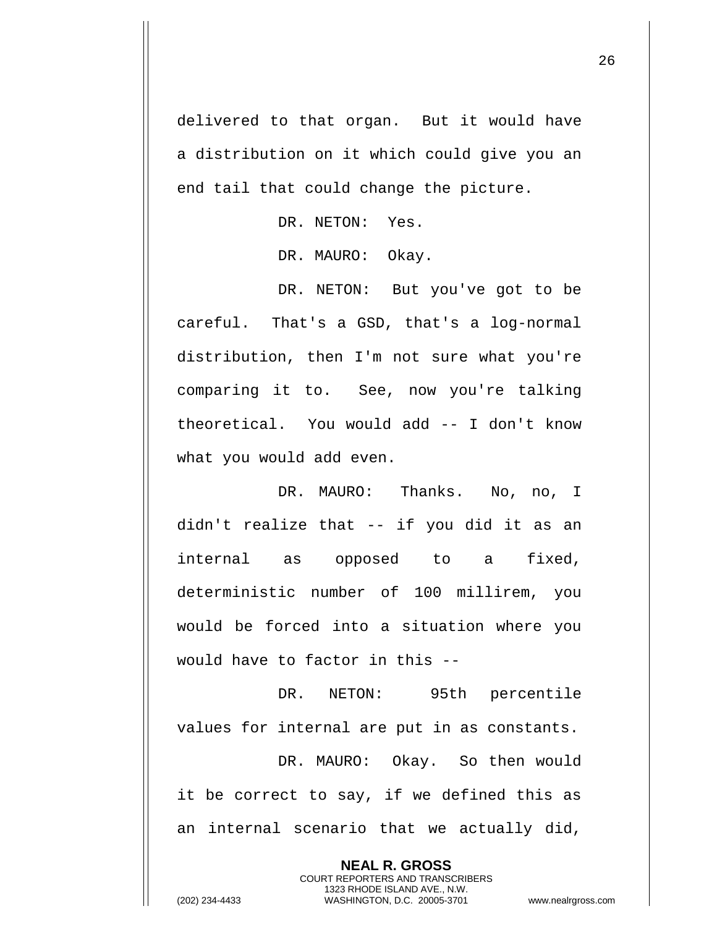delivered to that organ. But it would have a distribution on it which could give you an end tail that could change the picture.

DR. NETON: Yes.

DR. MAURO: Okay.

DR. NETON: But you've got to be careful. That's a GSD, that's a log-normal distribution, then I'm not sure what you're comparing it to. See, now you're talking theoretical. You would add -- I don't know what you would add even.

DR. MAURO: Thanks. No, no, I didn't realize that -- if you did it as an internal as opposed to a fixed, deterministic number of 100 millirem, you would be forced into a situation where you would have to factor in this --

DR. NETON: 95th percentile values for internal are put in as constants.

DR. MAURO: Okay. So then would it be correct to say, if we defined this as an internal scenario that we actually did,

> **NEAL R. GROSS** COURT REPORTERS AND TRANSCRIBERS 1323 RHODE ISLAND AVE., N.W.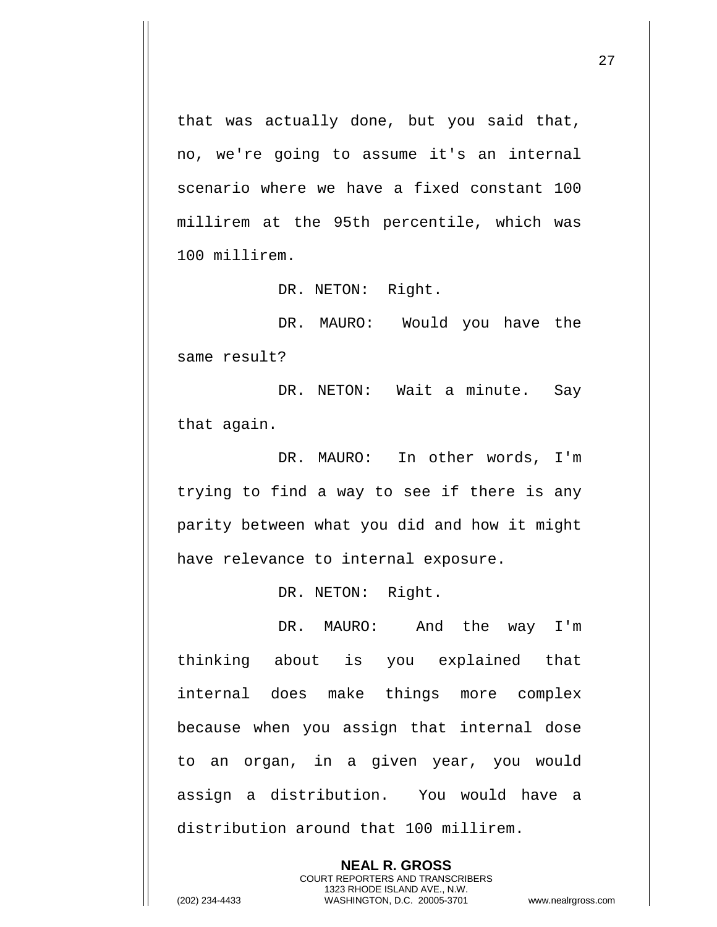that was actually done, but you said that, no, we're going to assume it's an internal scenario where we have a fixed constant 100 millirem at the 95th percentile, which was 100 millirem.

DR. NETON: Right.

DR. MAURO: Would you have the same result?

DR. NETON: Wait a minute. Say that again.

DR. MAURO: In other words, I'm trying to find a way to see if there is any parity between what you did and how it might have relevance to internal exposure.

DR. NETON: Right.

DR. MAURO: And the way I'm thinking about is you explained that internal does make things more complex because when you assign that internal dose to an organ, in a given year, you would assign a distribution. You would have a distribution around that 100 millirem.

> **NEAL R. GROSS** COURT REPORTERS AND TRANSCRIBERS 1323 RHODE ISLAND AVE., N.W.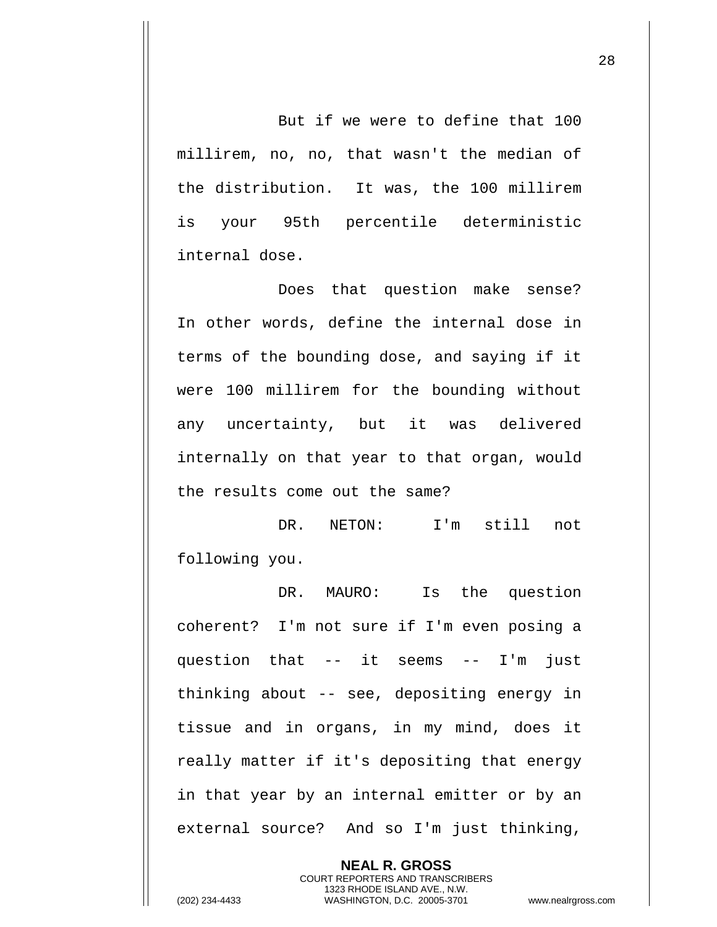But if we were to define that 100 millirem, no, no, that wasn't the median of the distribution. It was, the 100 millirem is your 95th percentile deterministic internal dose.

Does that question make sense? In other words, define the internal dose in terms of the bounding dose, and saying if it were 100 millirem for the bounding without any uncertainty, but it was delivered internally on that year to that organ, would the results come out the same?

DR. NETON: I'm still not following you.

DR. MAURO: Is the question coherent? I'm not sure if I'm even posing a question that -- it seems -- I'm just thinking about -- see, depositing energy in tissue and in organs, in my mind, does it really matter if it's depositing that energy in that year by an internal emitter or by an external source? And so I'm just thinking,

> **NEAL R. GROSS** COURT REPORTERS AND TRANSCRIBERS 1323 RHODE ISLAND AVE., N.W.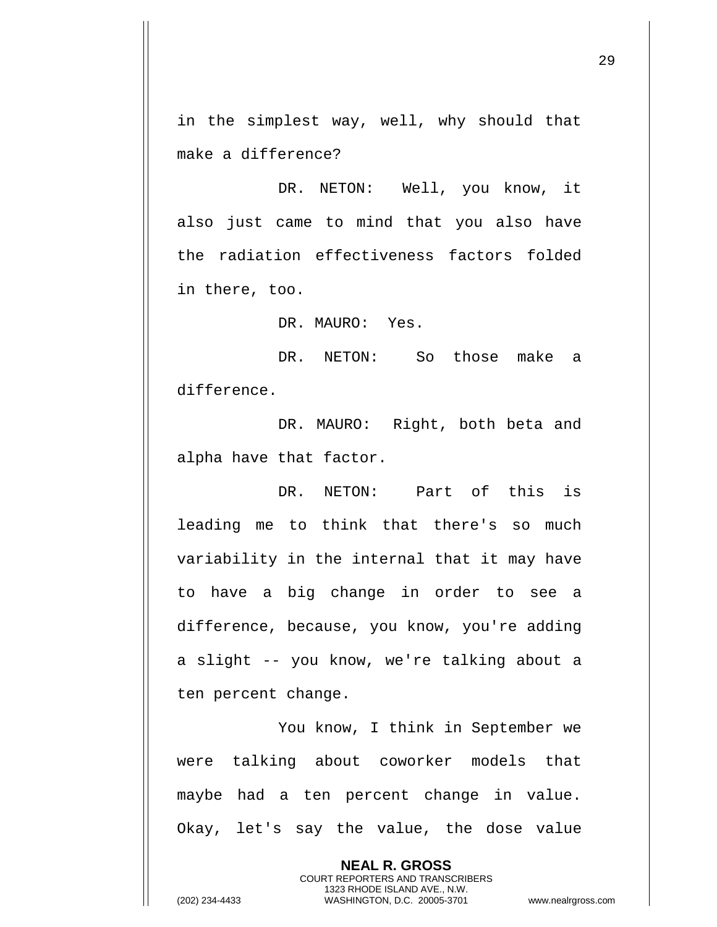in the simplest way, well, why should that make a difference?

DR. NETON: Well, you know, it also just came to mind that you also have the radiation effectiveness factors folded in there, too.

DR. MAURO: Yes.

DR. NETON: So those make a difference.

DR. MAURO: Right, both beta and alpha have that factor.

DR. NETON: Part of this is leading me to think that there's so much variability in the internal that it may have to have a big change in order to see a difference, because, you know, you're adding a slight -- you know, we're talking about a ten percent change.

You know, I think in September we were talking about coworker models that maybe had a ten percent change in value. Okay, let's say the value, the dose value

> **NEAL R. GROSS** COURT REPORTERS AND TRANSCRIBERS 1323 RHODE ISLAND AVE., N.W.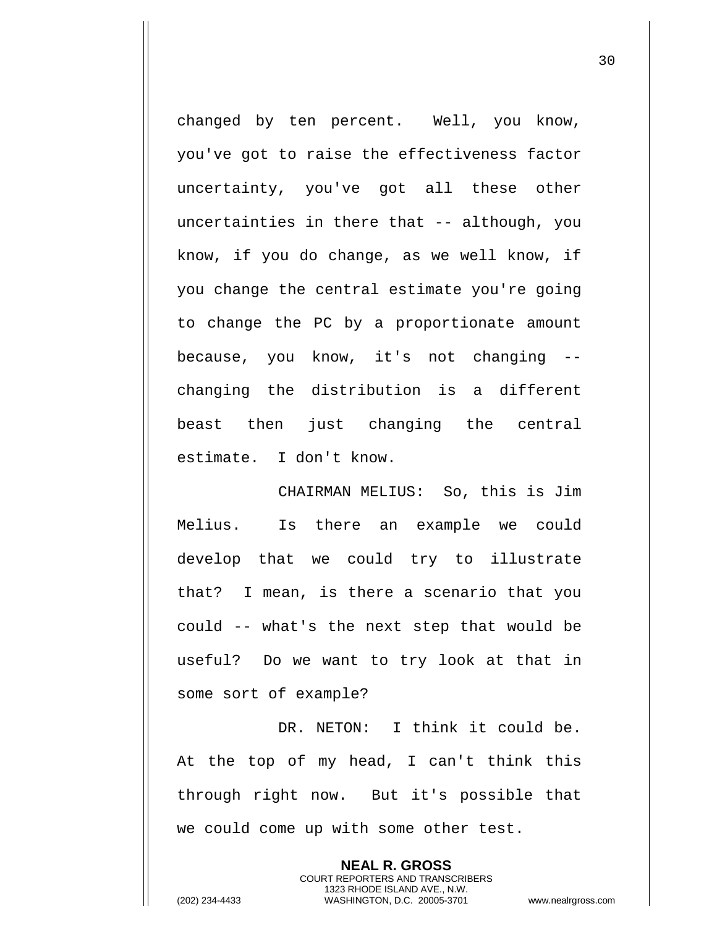changed by ten percent. Well, you know, you've got to raise the effectiveness factor uncertainty, you've got all these other uncertainties in there that -- although, you know, if you do change, as we well know, if you change the central estimate you're going to change the PC by a proportionate amount because, you know, it's not changing - changing the distribution is a different beast then just changing the central estimate. I don't know.

CHAIRMAN MELIUS: So, this is Jim Melius. Is there an example we could develop that we could try to illustrate that? I mean, is there a scenario that you could -- what's the next step that would be useful? Do we want to try look at that in some sort of example?

DR. NETON: I think it could be. At the top of my head, I can't think this through right now. But it's possible that we could come up with some other test.

> **NEAL R. GROSS** COURT REPORTERS AND TRANSCRIBERS 1323 RHODE ISLAND AVE., N.W.

(202) 234-4433 WASHINGTON, D.C. 20005-3701 www.nealrgross.com

30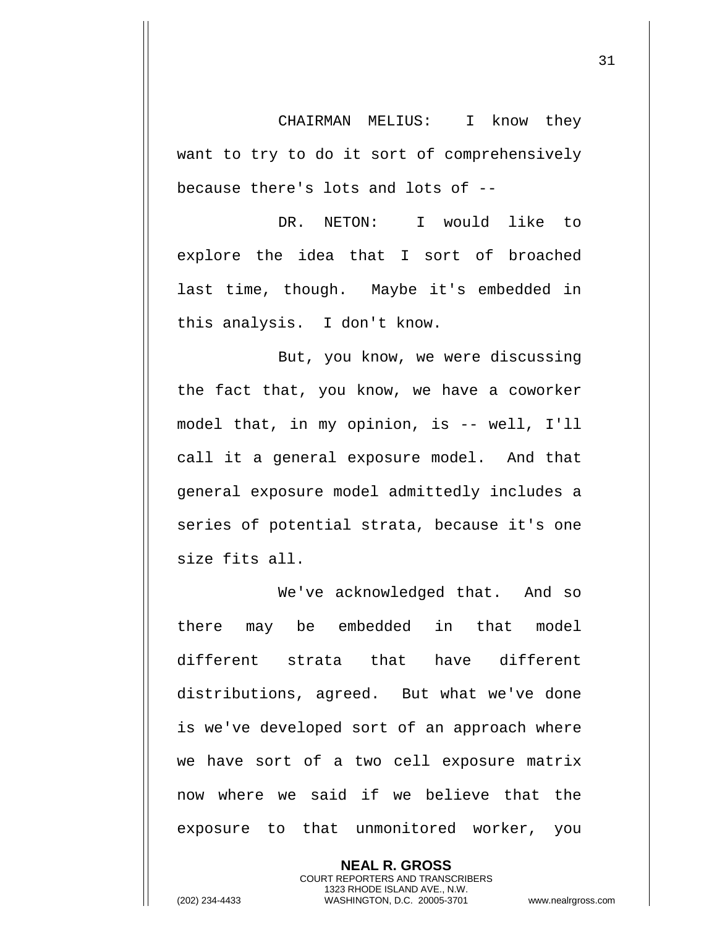CHAIRMAN MELIUS: I know they want to try to do it sort of comprehensively because there's lots and lots of --

DR. NETON: I would like to explore the idea that I sort of broached last time, though. Maybe it's embedded in this analysis. I don't know.

But, you know, we were discussing the fact that, you know, we have a coworker model that, in my opinion, is -- well, I'll call it a general exposure model. And that general exposure model admittedly includes a series of potential strata, because it's one size fits all.

We've acknowledged that. And so there may be embedded in that model different strata that have different distributions, agreed. But what we've done is we've developed sort of an approach where we have sort of a two cell exposure matrix now where we said if we believe that the exposure to that unmonitored worker, you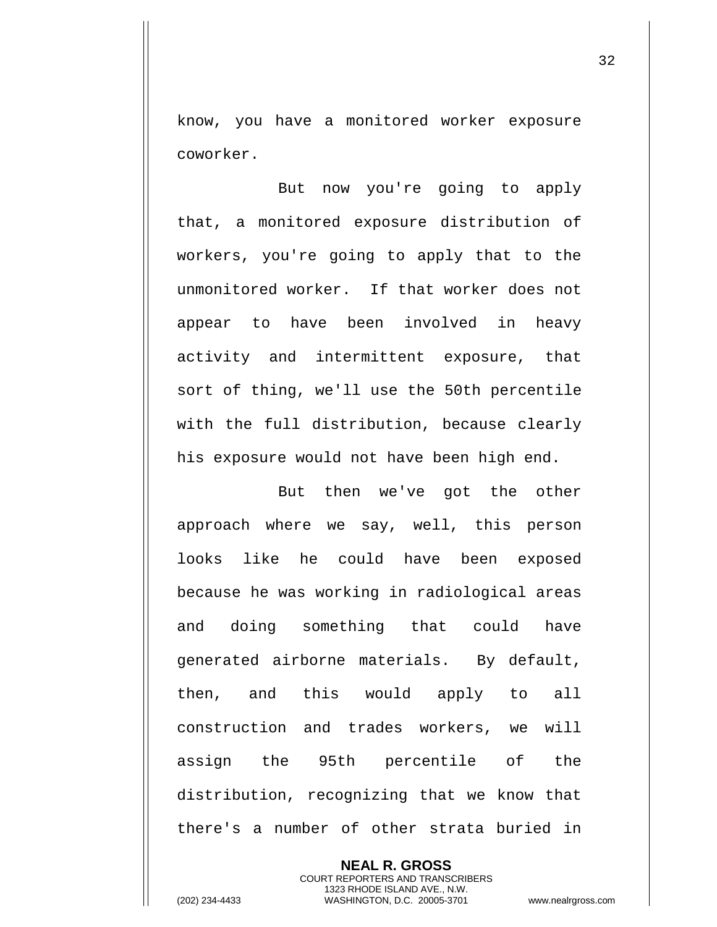know, you have a monitored worker exposure coworker.

But now you're going to apply that, a monitored exposure distribution of workers, you're going to apply that to the unmonitored worker. If that worker does not appear to have been involved in heavy activity and intermittent exposure, that sort of thing, we'll use the 50th percentile with the full distribution, because clearly his exposure would not have been high end.

But then we've got the other approach where we say, well, this person looks like he could have been exposed because he was working in radiological areas and doing something that could have generated airborne materials. By default, then, and this would apply to all construction and trades workers, we will assign the 95th percentile of the distribution, recognizing that we know that there's a number of other strata buried in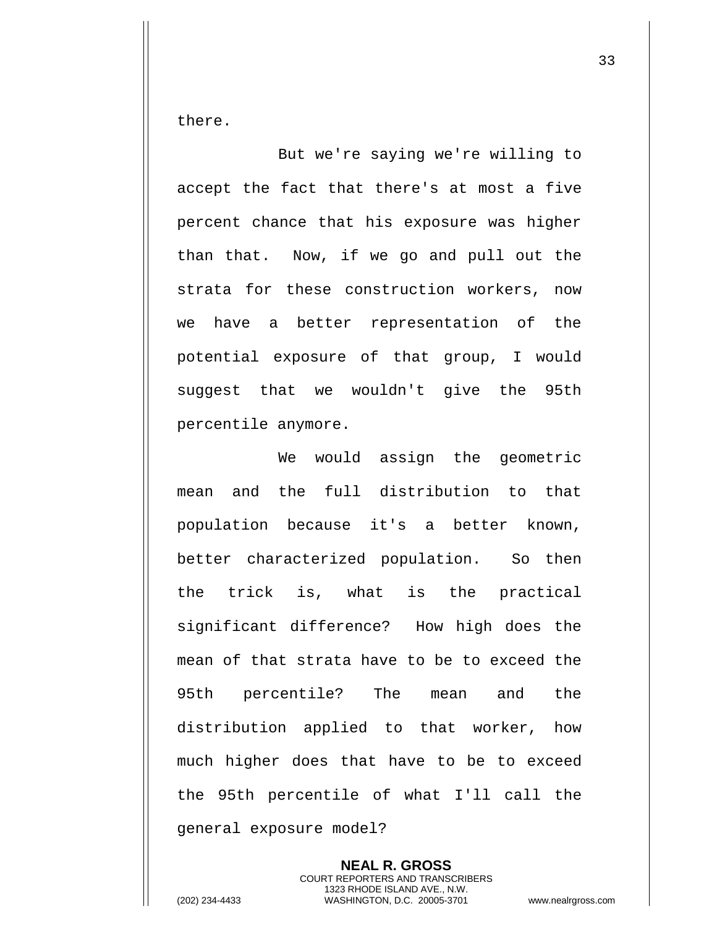there.

But we're saying we're willing to accept the fact that there's at most a five percent chance that his exposure was higher than that. Now, if we go and pull out the strata for these construction workers, now we have a better representation of the potential exposure of that group, I would suggest that we wouldn't give the 95th percentile anymore.

We would assign the geometric mean and the full distribution to that population because it's a better known, better characterized population. So then the trick is, what is the practical significant difference? How high does the mean of that strata have to be to exceed the 95th percentile? The mean and the distribution applied to that worker, how much higher does that have to be to exceed the 95th percentile of what I'll call the general exposure model?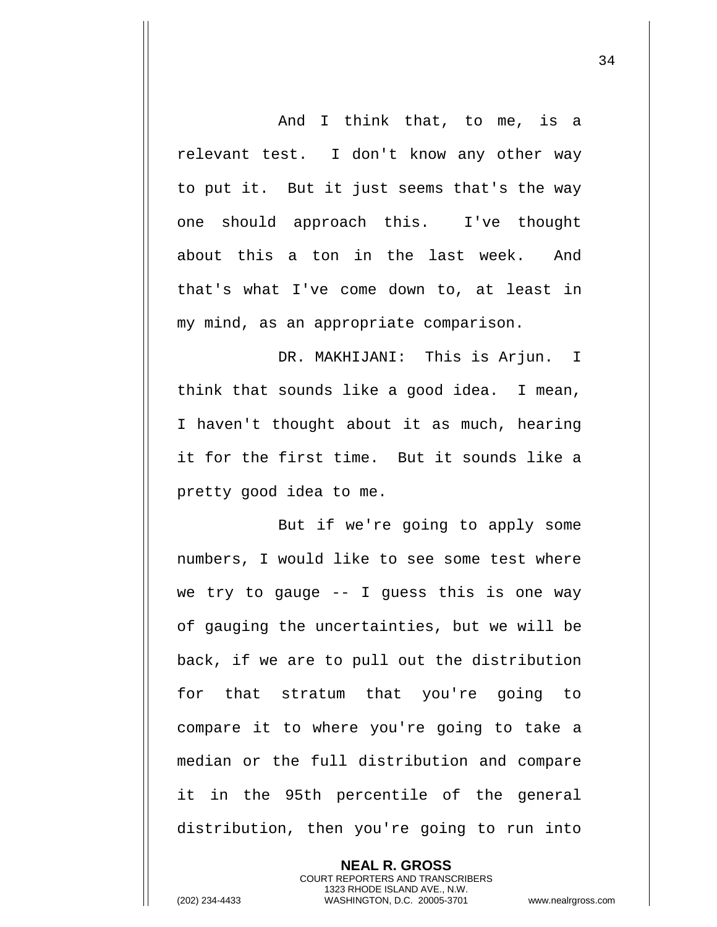And I think that, to me, is a relevant test. I don't know any other way to put it. But it just seems that's the way one should approach this. I've thought about this a ton in the last week. And that's what I've come down to, at least in my mind, as an appropriate comparison.

DR. MAKHIJANI: This is Arjun. I think that sounds like a good idea. I mean, I haven't thought about it as much, hearing it for the first time. But it sounds like a pretty good idea to me.

But if we're going to apply some numbers, I would like to see some test where we try to gauge -- I guess this is one way of gauging the uncertainties, but we will be back, if we are to pull out the distribution for that stratum that you're going to compare it to where you're going to take a median or the full distribution and compare it in the 95th percentile of the general distribution, then you're going to run into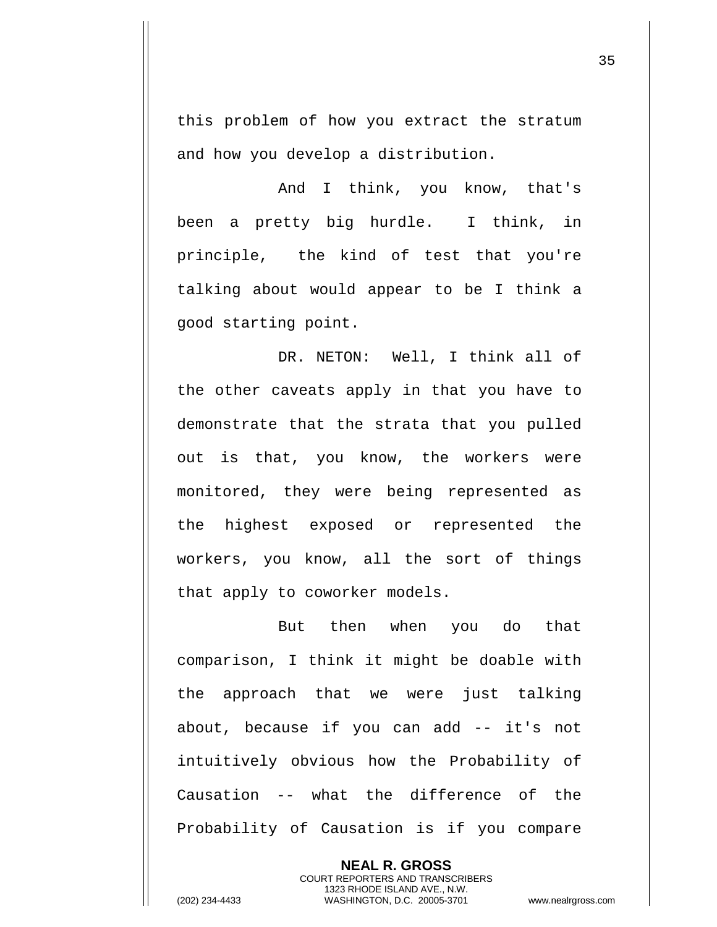this problem of how you extract the stratum and how you develop a distribution.

And I think, you know, that's been a pretty big hurdle. I think, in principle, the kind of test that you're talking about would appear to be I think a good starting point.

DR. NETON: Well, I think all of the other caveats apply in that you have to demonstrate that the strata that you pulled out is that, you know, the workers were monitored, they were being represented as the highest exposed or represented the workers, you know, all the sort of things that apply to coworker models.

But then when you do that comparison, I think it might be doable with the approach that we were just talking about, because if you can add -- it's not intuitively obvious how the Probability of Causation -- what the difference of the Probability of Causation is if you compare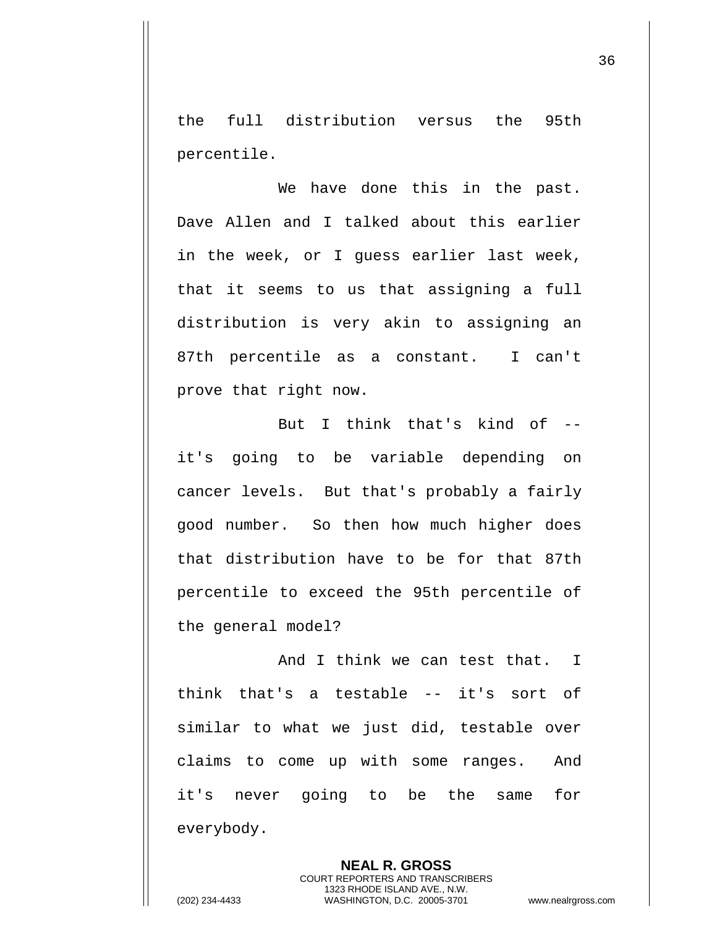the full distribution versus the 95th percentile.

We have done this in the past. Dave Allen and I talked about this earlier in the week, or I guess earlier last week, that it seems to us that assigning a full distribution is very akin to assigning an 87th percentile as a constant. I can't prove that right now.

But I think that's kind of - it's going to be variable depending on cancer levels. But that's probably a fairly good number. So then how much higher does that distribution have to be for that 87th percentile to exceed the 95th percentile of the general model?

And I think we can test that. I think that's a testable -- it's sort of similar to what we just did, testable over claims to come up with some ranges. And it's never going to be the same for everybody.

> **NEAL R. GROSS** COURT REPORTERS AND TRANSCRIBERS 1323 RHODE ISLAND AVE., N.W.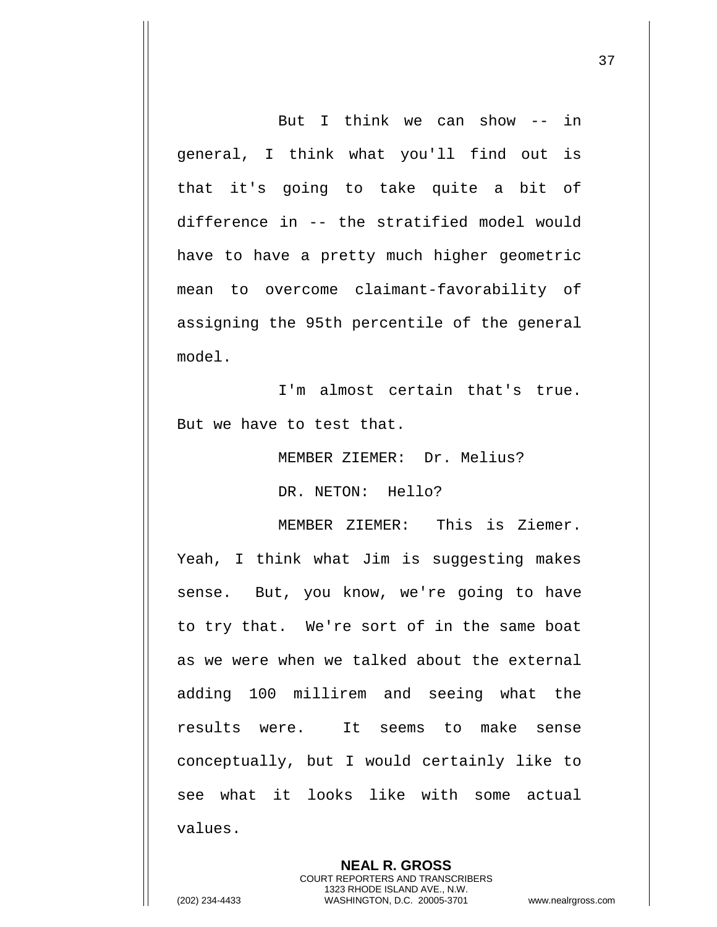But I think we can show -- in general, I think what you'll find out is that it's going to take quite a bit of difference in -- the stratified model would have to have a pretty much higher geometric mean to overcome claimant-favorability of assigning the 95th percentile of the general model.

I'm almost certain that's true. But we have to test that.

MEMBER ZIEMER: Dr. Melius?

DR. NETON: Hello?

MEMBER ZIEMER: This is Ziemer. Yeah, I think what Jim is suggesting makes sense. But, you know, we're going to have to try that. We're sort of in the same boat as we were when we talked about the external adding 100 millirem and seeing what the results were. It seems to make sense conceptually, but I would certainly like to see what it looks like with some actual values.

> **NEAL R. GROSS** COURT REPORTERS AND TRANSCRIBERS

1323 RHODE ISLAND AVE., N.W. (202) 234-4433 WASHINGTON, D.C. 20005-3701 www.nealrgross.com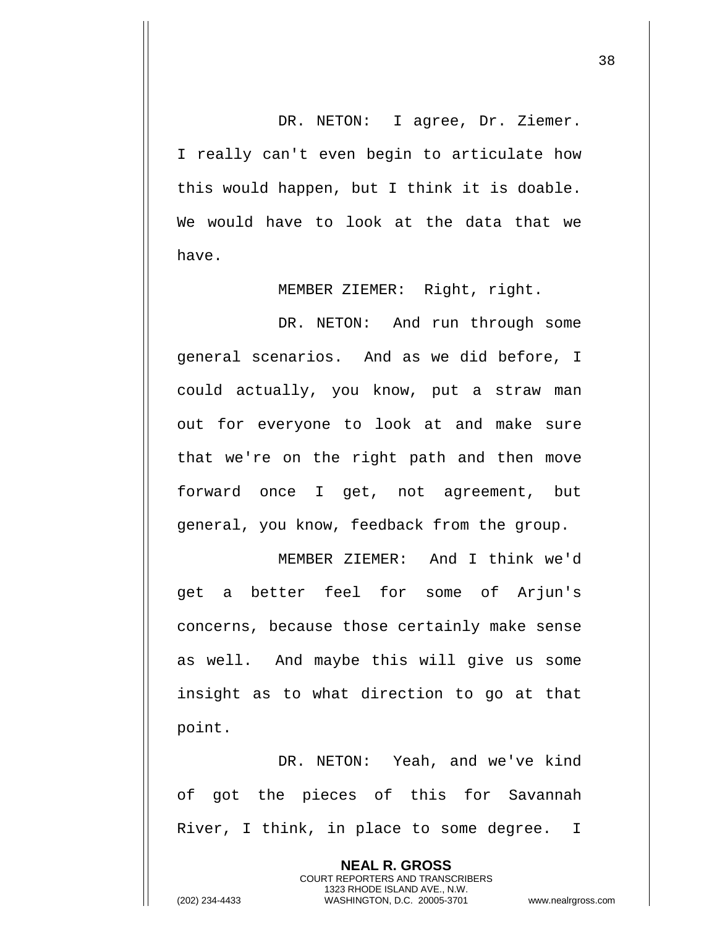DR. NETON: I agree, Dr. Ziemer. I really can't even begin to articulate how this would happen, but I think it is doable. We would have to look at the data that we have.

MEMBER ZIEMER: Right, right.

DR. NETON: And run through some general scenarios. And as we did before, I could actually, you know, put a straw man out for everyone to look at and make sure that we're on the right path and then move forward once I get, not agreement, but general, you know, feedback from the group.

MEMBER ZIEMER: And I think we'd get a better feel for some of Arjun's concerns, because those certainly make sense as well. And maybe this will give us some insight as to what direction to go at that point.

DR. NETON: Yeah, and we've kind of got the pieces of this for Savannah River, I think, in place to some degree. I

> **NEAL R. GROSS** COURT REPORTERS AND TRANSCRIBERS 1323 RHODE ISLAND AVE., N.W.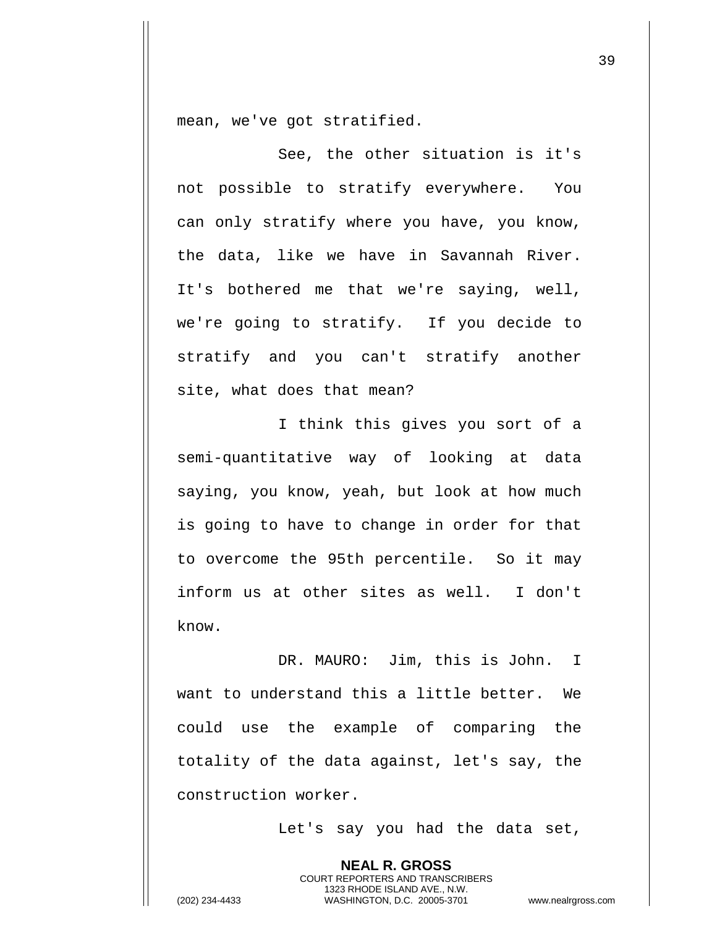mean, we've got stratified.

See, the other situation is it's not possible to stratify everywhere. You can only stratify where you have, you know, the data, like we have in Savannah River. It's bothered me that we're saying, well, we're going to stratify. If you decide to stratify and you can't stratify another site, what does that mean?

I think this gives you sort of a semi-quantitative way of looking at data saying, you know, yeah, but look at how much is going to have to change in order for that to overcome the 95th percentile. So it may inform us at other sites as well. I don't know.

DR. MAURO: Jim, this is John. I want to understand this a little better. We could use the example of comparing the totality of the data against, let's say, the construction worker.

Let's say you had the data set,

**NEAL R. GROSS**

COURT REPORTERS AND TRANSCRIBERS 1323 RHODE ISLAND AVE., N.W. (202) 234-4433 WASHINGTON, D.C. 20005-3701 www.nealrgross.com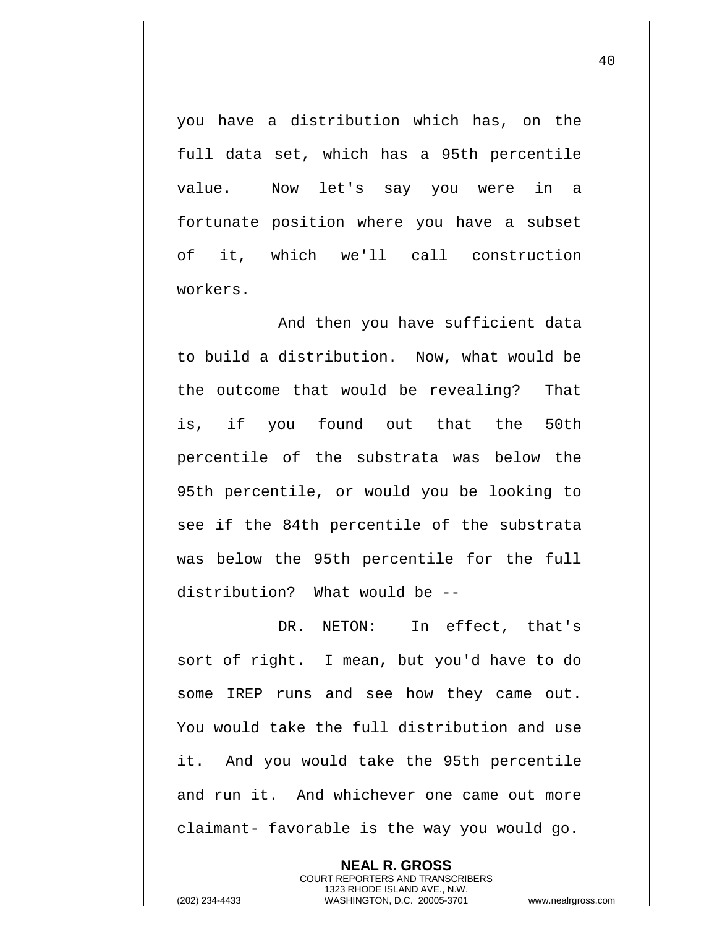you have a distribution which has, on the full data set, which has a 95th percentile value. Now let's say you were in a fortunate position where you have a subset of it, which we'll call construction workers.

And then you have sufficient data to build a distribution. Now, what would be the outcome that would be revealing? That is, if you found out that the 50th percentile of the substrata was below the 95th percentile, or would you be looking to see if the 84th percentile of the substrata was below the 95th percentile for the full distribution? What would be --

DR. NETON: In effect, that's sort of right. I mean, but you'd have to do some IREP runs and see how they came out. You would take the full distribution and use it. And you would take the 95th percentile and run it. And whichever one came out more claimant- favorable is the way you would go.

> **NEAL R. GROSS** COURT REPORTERS AND TRANSCRIBERS 1323 RHODE ISLAND AVE., N.W.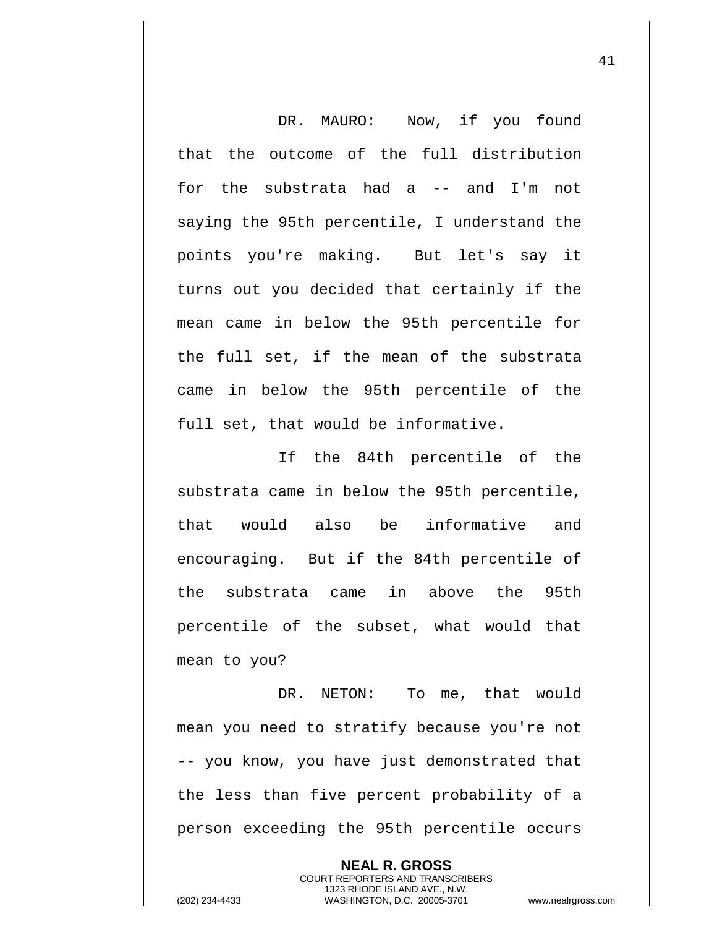DR. MAURO: Now, if you found that the outcome of the full distribution for the substrata had a -- and I'm not saying the 95th percentile, I understand the points you're making. But let's say it turns out you decided that certainly if the mean came in below the 95th percentile for the full set, if the mean of the substrata came in below the 95th percentile of the full set, that would be informative.

If the 84th percentile of the substrata came in below the 95th percentile, that would also be informative and encouraging. But if the 84th percentile of the substrata came in above the 95th percentile of the subset, what would that mean to you?

DR. NETON: To me, that would mean you need to stratify because you're not -- you know, you have just demonstrated that the less than five percent probability of a person exceeding the 95th percentile occurs

> **NEAL R. GROSS** COURT REPORTERS AND TRANSCRIBERS 1323 RHODE ISLAND AVE., N.W.

(202) 234-4433 WASHINGTON, D.C. 20005-3701 www.nealrgross.com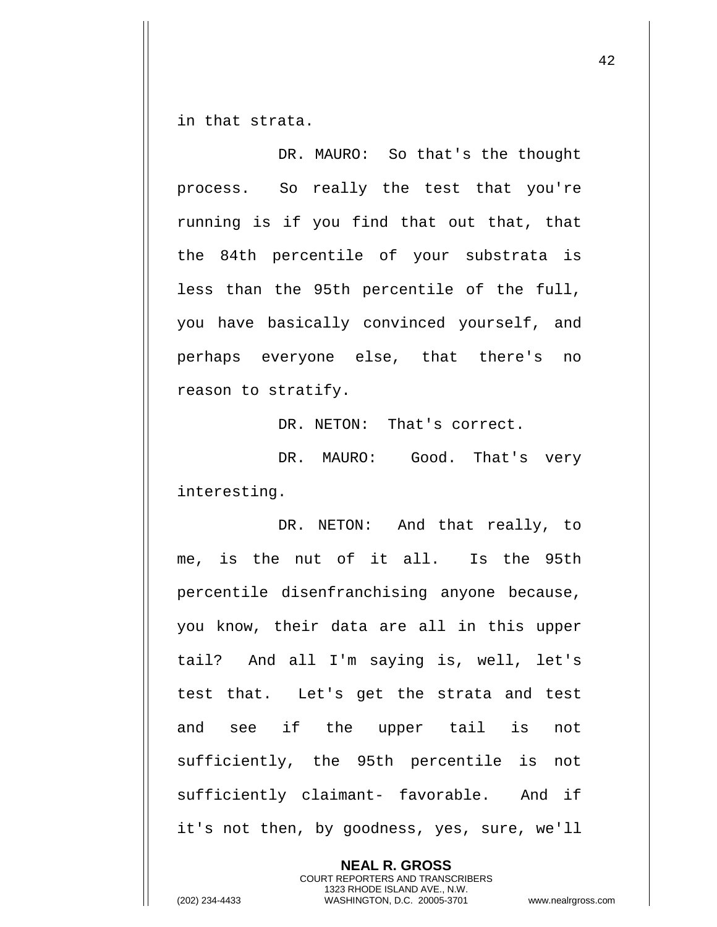in that strata.

DR. MAURO: So that's the thought process. So really the test that you're running is if you find that out that, that the 84th percentile of your substrata is less than the 95th percentile of the full, you have basically convinced yourself, and perhaps everyone else, that there's no reason to stratify.

DR. NETON: That's correct.

DR. MAURO: Good. That's very interesting.

DR. NETON: And that really, to me, is the nut of it all. Is the 95th percentile disenfranchising anyone because, you know, their data are all in this upper tail? And all I'm saying is, well, let's test that. Let's get the strata and test and see if the upper tail is not sufficiently, the 95th percentile is not sufficiently claimant- favorable. And if it's not then, by goodness, yes, sure, we'll

**NEAL R. GROSS** COURT REPORTERS AND TRANSCRIBERS 1323 RHODE ISLAND AVE., N.W. (202) 234-4433 WASHINGTON, D.C. 20005-3701 www.nealrgross.com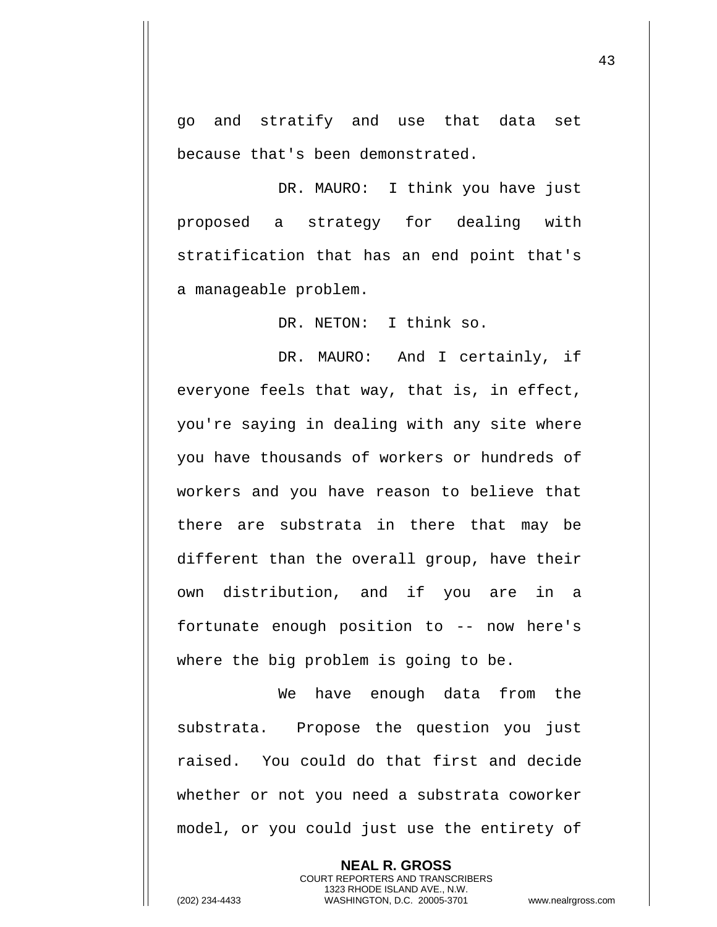go and stratify and use that data set because that's been demonstrated.

DR. MAURO: I think you have just proposed a strategy for dealing with stratification that has an end point that's a manageable problem.

DR. NETON: I think so.

DR. MAURO: And I certainly, if everyone feels that way, that is, in effect, you're saying in dealing with any site where you have thousands of workers or hundreds of workers and you have reason to believe that there are substrata in there that may be different than the overall group, have their own distribution, and if you are in a fortunate enough position to -- now here's where the big problem is going to be.

We have enough data from the substrata. Propose the question you just raised. You could do that first and decide whether or not you need a substrata coworker model, or you could just use the entirety of

> **NEAL R. GROSS** COURT REPORTERS AND TRANSCRIBERS 1323 RHODE ISLAND AVE., N.W.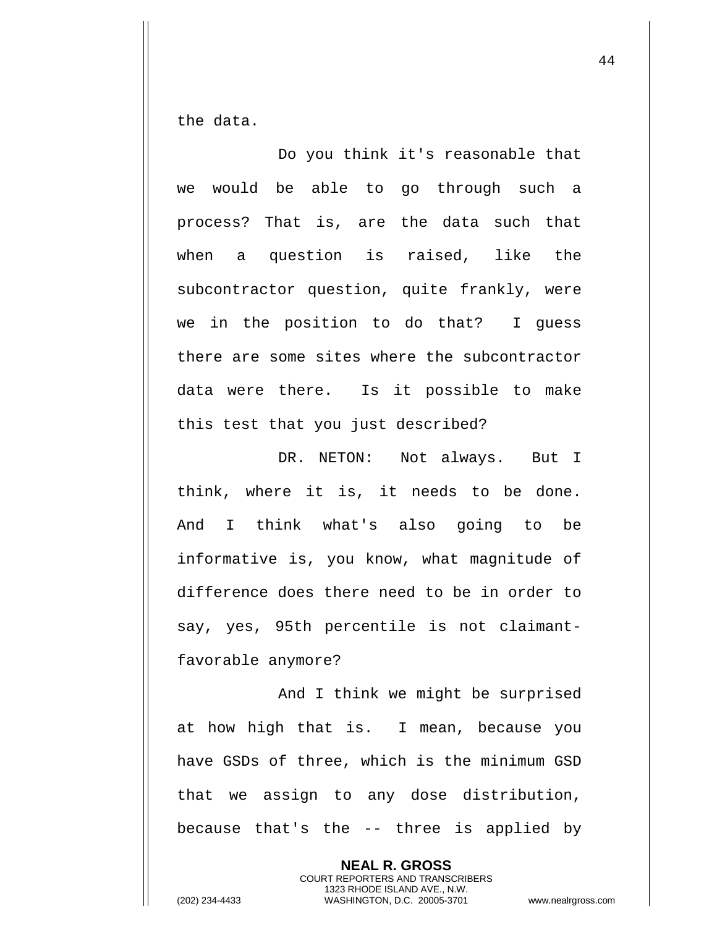the data.

Do you think it's reasonable that we would be able to go through such a process? That is, are the data such that when a question is raised, like the subcontractor question, quite frankly, were we in the position to do that? I guess there are some sites where the subcontractor data were there. Is it possible to make this test that you just described?

DR. NETON: Not always. But I think, where it is, it needs to be done. And I think what's also going to be informative is, you know, what magnitude of difference does there need to be in order to say, yes, 95th percentile is not claimantfavorable anymore?

And I think we might be surprised at how high that is. I mean, because you have GSDs of three, which is the minimum GSD that we assign to any dose distribution, because that's the -- three is applied by

> **NEAL R. GROSS** COURT REPORTERS AND TRANSCRIBERS 1323 RHODE ISLAND AVE., N.W.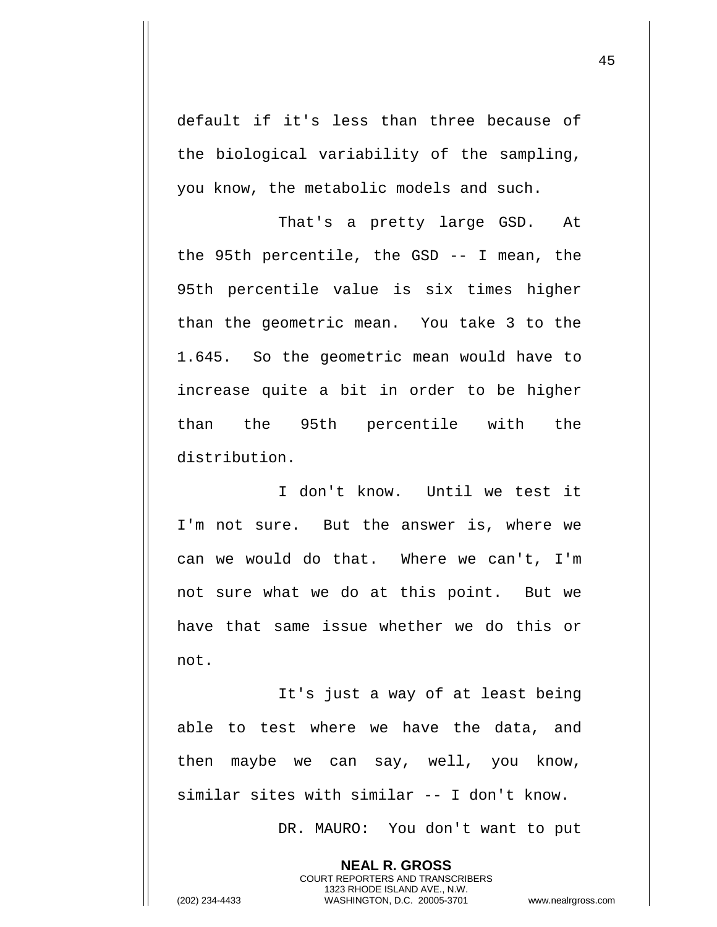default if it's less than three because of the biological variability of the sampling, you know, the metabolic models and such.

That's a pretty large GSD. At the 95th percentile, the GSD -- I mean, the 95th percentile value is six times higher than the geometric mean. You take 3 to the 1.645. So the geometric mean would have to increase quite a bit in order to be higher than the 95th percentile with the distribution.

I don't know. Until we test it I'm not sure. But the answer is, where we can we would do that. Where we can't, I'm not sure what we do at this point. But we have that same issue whether we do this or not.

It's just a way of at least being able to test where we have the data, and then maybe we can say, well, you know, similar sites with similar -- I don't know.

> **NEAL R. GROSS** COURT REPORTERS AND TRANSCRIBERS 1323 RHODE ISLAND AVE., N.W.

DR. MAURO: You don't want to put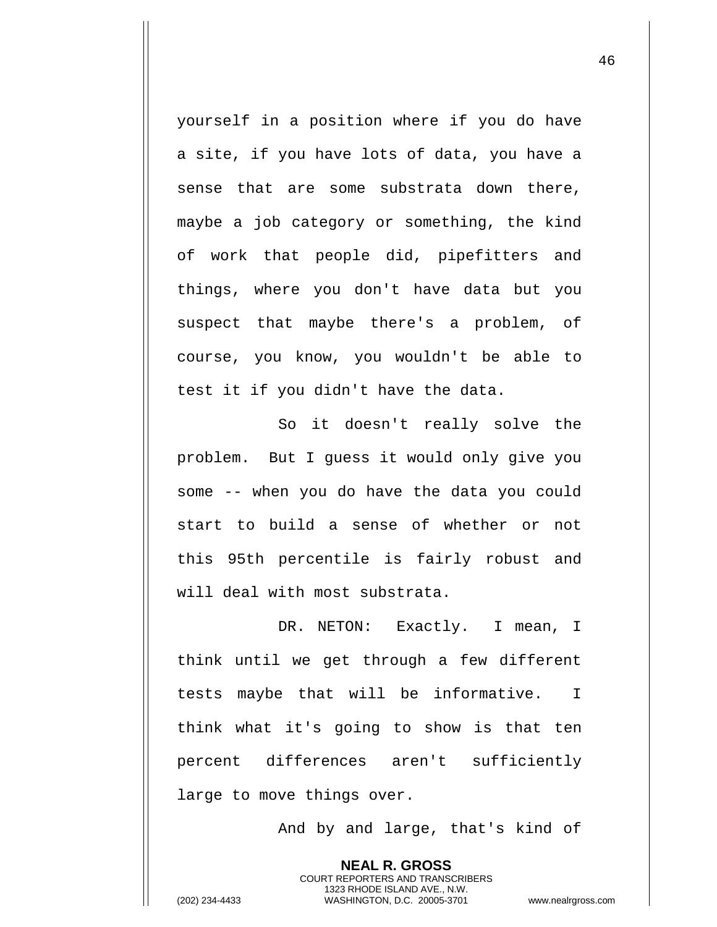yourself in a position where if you do have a site, if you have lots of data, you have a sense that are some substrata down there, maybe a job category or something, the kind of work that people did, pipefitters and things, where you don't have data but you suspect that maybe there's a problem, of course, you know, you wouldn't be able to test it if you didn't have the data.

So it doesn't really solve the problem. But I guess it would only give you some -- when you do have the data you could start to build a sense of whether or not this 95th percentile is fairly robust and will deal with most substrata.

DR. NETON: Exactly. I mean, I think until we get through a few different tests maybe that will be informative. I think what it's going to show is that ten percent differences aren't sufficiently large to move things over.

And by and large, that's kind of

**NEAL R. GROSS** COURT REPORTERS AND TRANSCRIBERS 1323 RHODE ISLAND AVE., N.W.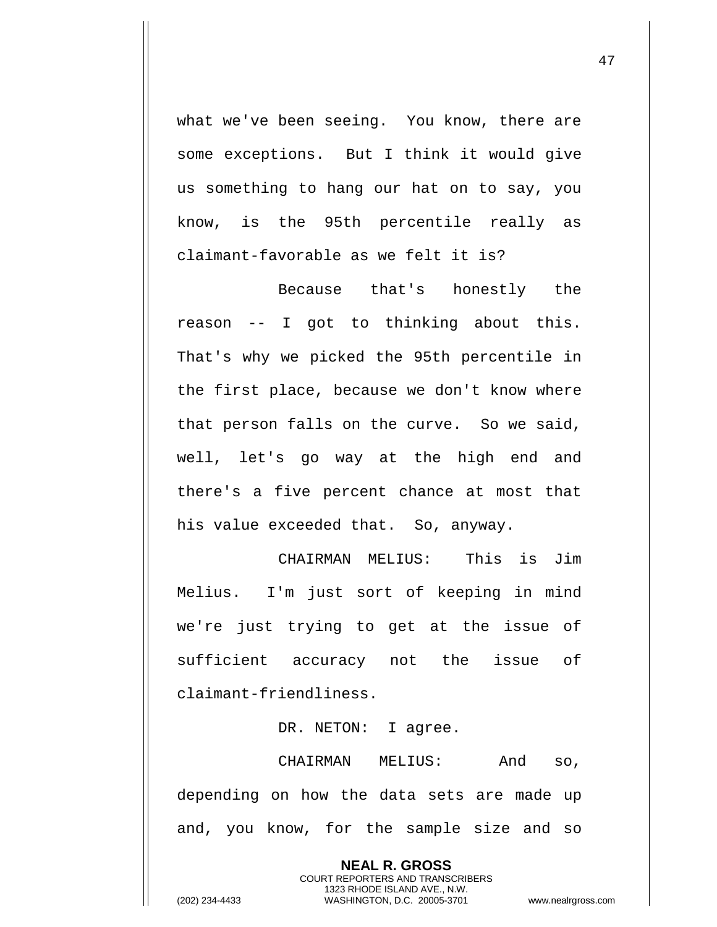what we've been seeing. You know, there are some exceptions. But I think it would give us something to hang our hat on to say, you know, is the 95th percentile really as claimant-favorable as we felt it is?

Because that's honestly the reason -- I got to thinking about this. That's why we picked the 95th percentile in the first place, because we don't know where that person falls on the curve. So we said, well, let's go way at the high end and there's a five percent chance at most that his value exceeded that. So, anyway.

CHAIRMAN MELIUS: This is Jim Melius. I'm just sort of keeping in mind we're just trying to get at the issue of sufficient accuracy not the issue of claimant-friendliness.

DR. NETON: I agree.

CHAIRMAN MELIUS: And so, depending on how the data sets are made up and, you know, for the sample size and so

**NEAL R. GROSS** COURT REPORTERS AND TRANSCRIBERS 1323 RHODE ISLAND AVE., N.W. (202) 234-4433 WASHINGTON, D.C. 20005-3701 www.nealrgross.com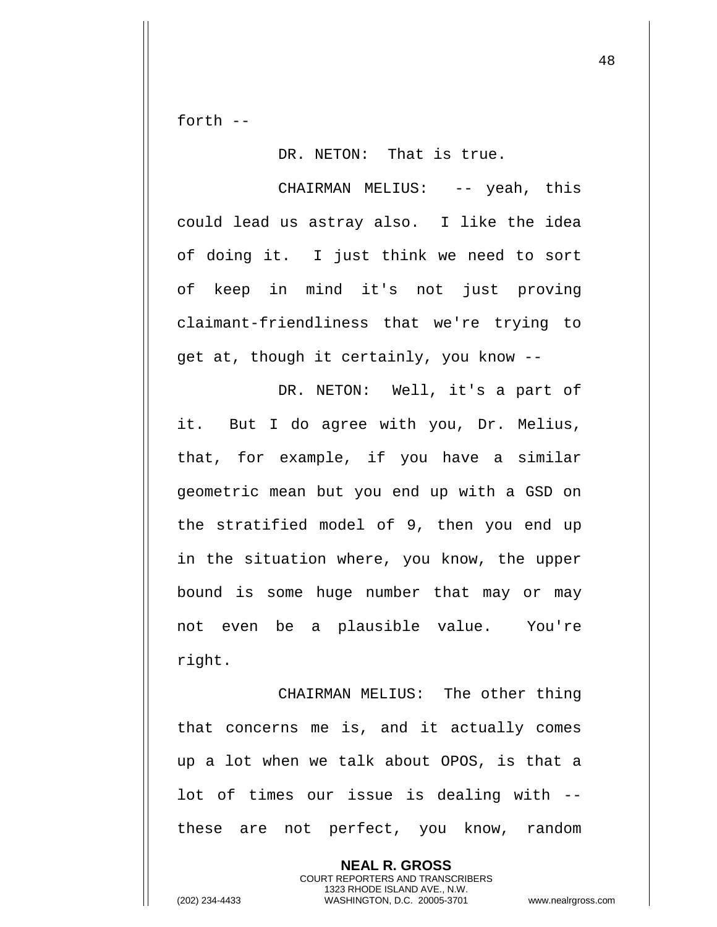forth --

DR. NETON: That is true.

CHAIRMAN MELIUS: -- yeah, this could lead us astray also. I like the idea of doing it. I just think we need to sort of keep in mind it's not just proving claimant-friendliness that we're trying to get at, though it certainly, you know --

DR. NETON: Well, it's a part of it. But I do agree with you, Dr. Melius, that, for example, if you have a similar geometric mean but you end up with a GSD on the stratified model of 9, then you end up in the situation where, you know, the upper bound is some huge number that may or may not even be a plausible value. You're right.

CHAIRMAN MELIUS: The other thing that concerns me is, and it actually comes up a lot when we talk about OPOS, is that a lot of times our issue is dealing with - these are not perfect, you know, random

**NEAL R. GROSS** COURT REPORTERS AND TRANSCRIBERS 1323 RHODE ISLAND AVE., N.W. (202) 234-4433 WASHINGTON, D.C. 20005-3701 www.nealrgross.com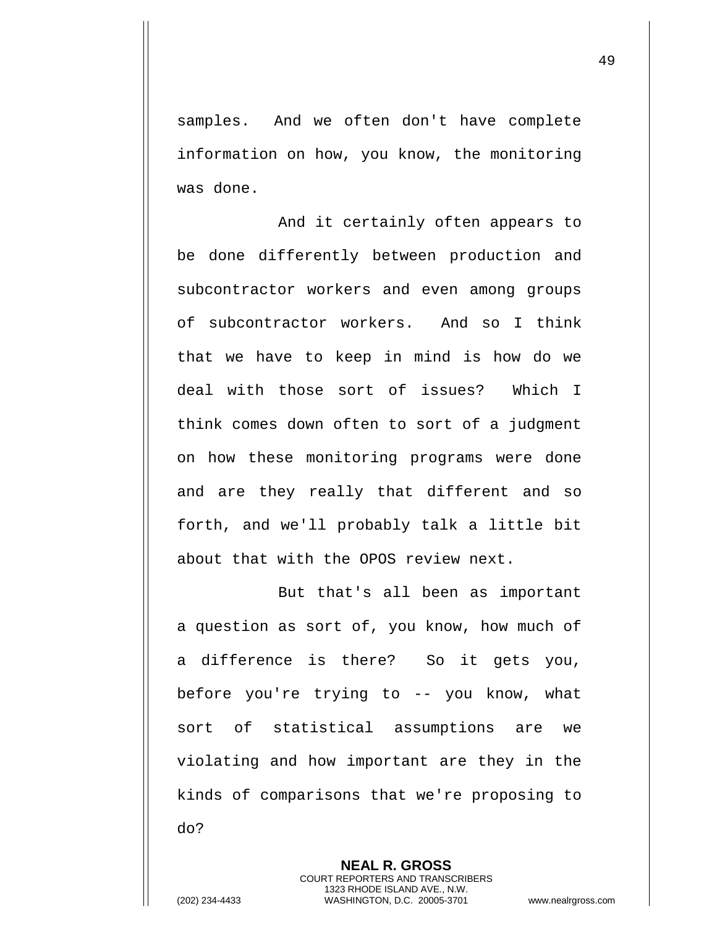samples. And we often don't have complete information on how, you know, the monitoring was done.

And it certainly often appears to be done differently between production and subcontractor workers and even among groups of subcontractor workers. And so I think that we have to keep in mind is how do we deal with those sort of issues? Which I think comes down often to sort of a judgment on how these monitoring programs were done and are they really that different and so forth, and we'll probably talk a little bit about that with the OPOS review next.

But that's all been as important a question as sort of, you know, how much of a difference is there? So it gets you, before you're trying to -- you know, what sort of statistical assumptions are we violating and how important are they in the kinds of comparisons that we're proposing to do?

> **NEAL R. GROSS** COURT REPORTERS AND TRANSCRIBERS 1323 RHODE ISLAND AVE., N.W.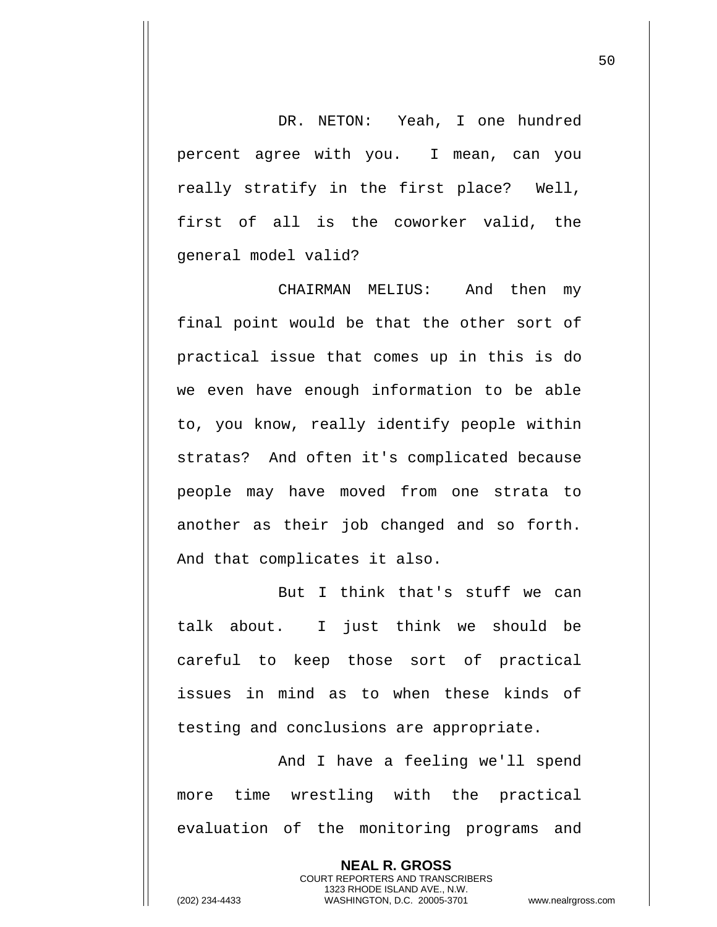DR. NETON: Yeah, I one hundred percent agree with you. I mean, can you really stratify in the first place? Well, first of all is the coworker valid, the general model valid?

CHAIRMAN MELIUS: And then my final point would be that the other sort of practical issue that comes up in this is do we even have enough information to be able to, you know, really identify people within stratas? And often it's complicated because people may have moved from one strata to another as their job changed and so forth. And that complicates it also.

But I think that's stuff we can talk about. I just think we should be careful to keep those sort of practical issues in mind as to when these kinds of testing and conclusions are appropriate.

And I have a feeling we'll spend more time wrestling with the practical evaluation of the monitoring programs and

> **NEAL R. GROSS** COURT REPORTERS AND TRANSCRIBERS 1323 RHODE ISLAND AVE., N.W.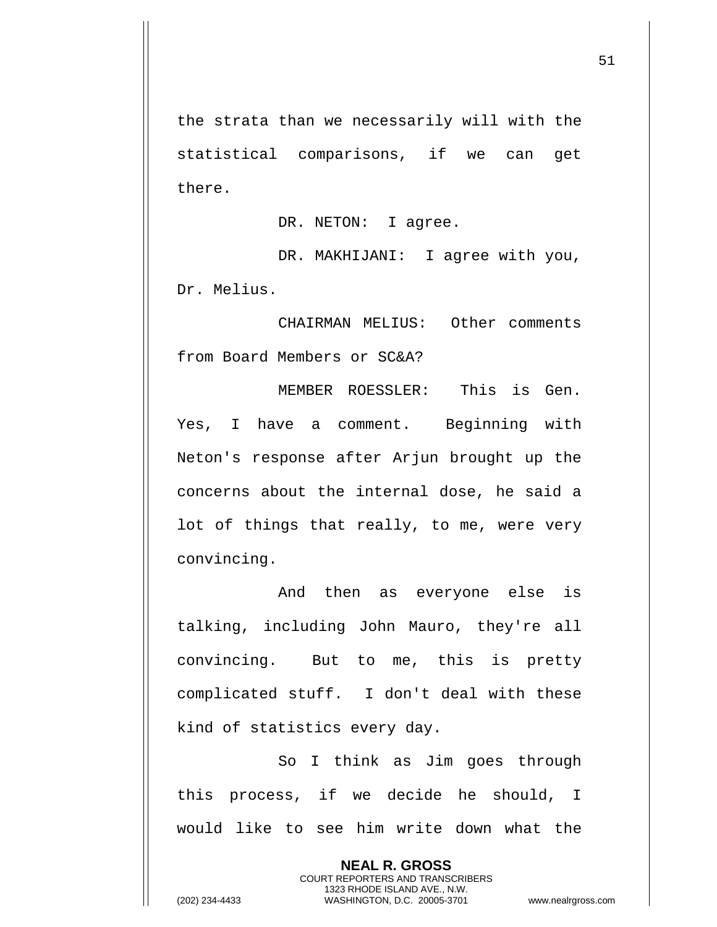the strata than we necessarily will with the statistical comparisons, if we can get there.

DR. NETON: I agree.

DR. MAKHIJANI: I agree with you, Dr. Melius.

CHAIRMAN MELIUS: Other comments from Board Members or SC&A?

MEMBER ROESSLER: This is Gen. Yes, I have a comment. Beginning with Neton's response after Arjun brought up the concerns about the internal dose, he said a lot of things that really, to me, were very convincing.

And then as everyone else is talking, including John Mauro, they're all convincing. But to me, this is pretty complicated stuff. I don't deal with these kind of statistics every day.

So I think as Jim goes through this process, if we decide he should, I would like to see him write down what the

> **NEAL R. GROSS** COURT REPORTERS AND TRANSCRIBERS 1323 RHODE ISLAND AVE., N.W.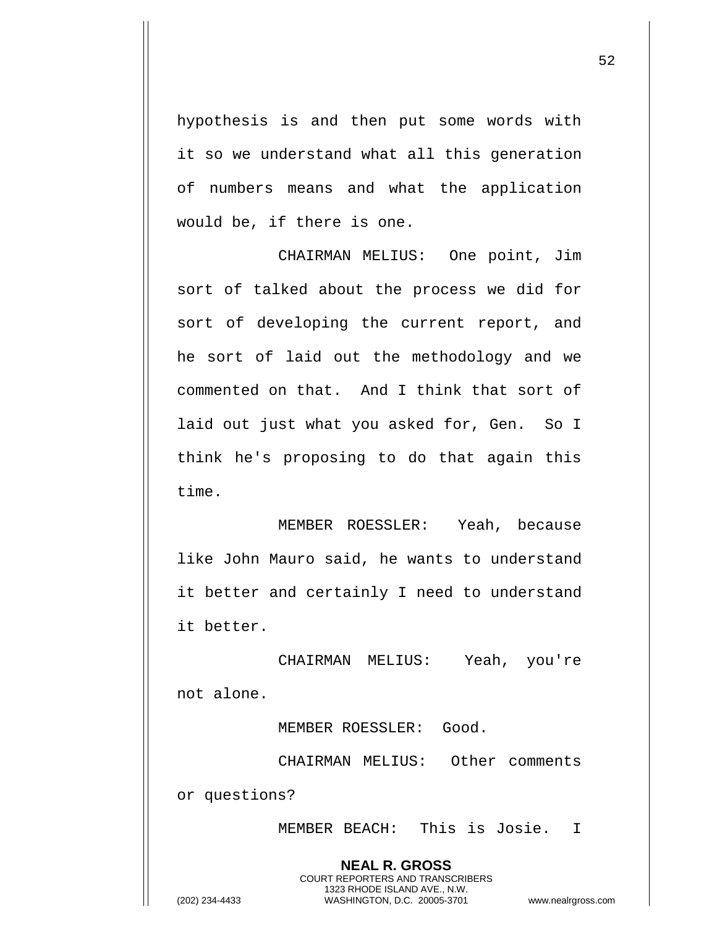hypothesis is and then put some words with it so we understand what all this generation of numbers means and what the application would be, if there is one.

CHAIRMAN MELIUS: One point, Jim sort of talked about the process we did for sort of developing the current report, and he sort of laid out the methodology and we commented on that. And I think that sort of laid out just what you asked for, Gen. So I think he's proposing to do that again this time.

MEMBER ROESSLER: Yeah, because like John Mauro said, he wants to understand it better and certainly I need to understand it better.

CHAIRMAN MELIUS: Yeah, you're not alone.

MEMBER ROESSLER: Good.

CHAIRMAN MELIUS: Other comments or questions?

> **NEAL R. GROSS** COURT REPORTERS AND TRANSCRIBERS 1323 RHODE ISLAND AVE., N.W.

MEMBER BEACH: This is Josie. I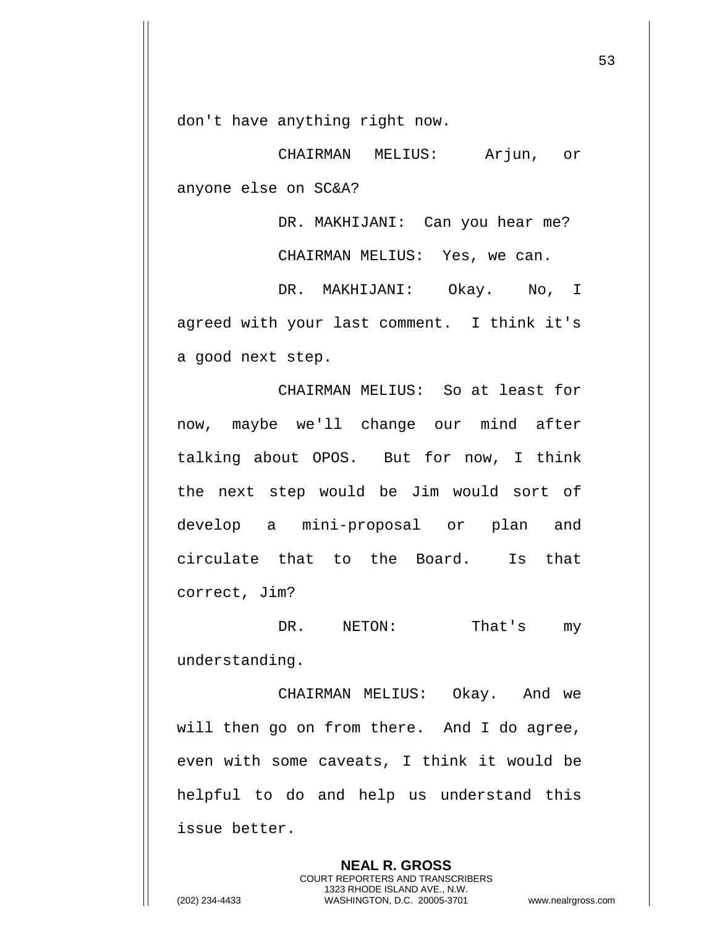don't have anything right now.

CHAIRMAN MELIUS: Arjun, or anyone else on SC&A?

> DR. MAKHIJANI: Can you hear me? CHAIRMAN MELIUS: Yes, we can.

DR. MAKHIJANI: Okay. No, I agreed with your last comment. I think it's a good next step.

CHAIRMAN MELIUS: So at least for now, maybe we'll change our mind after talking about OPOS. But for now, I think the next step would be Jim would sort of develop a mini-proposal or plan and circulate that to the Board. Is that correct, Jim?

DR. NETON: That's my understanding.

CHAIRMAN MELIUS: Okay. And we will then go on from there. And I do agree, even with some caveats, I think it would be helpful to do and help us understand this issue better.

> **NEAL R. GROSS** COURT REPORTERS AND TRANSCRIBERS 1323 RHODE ISLAND AVE., N.W.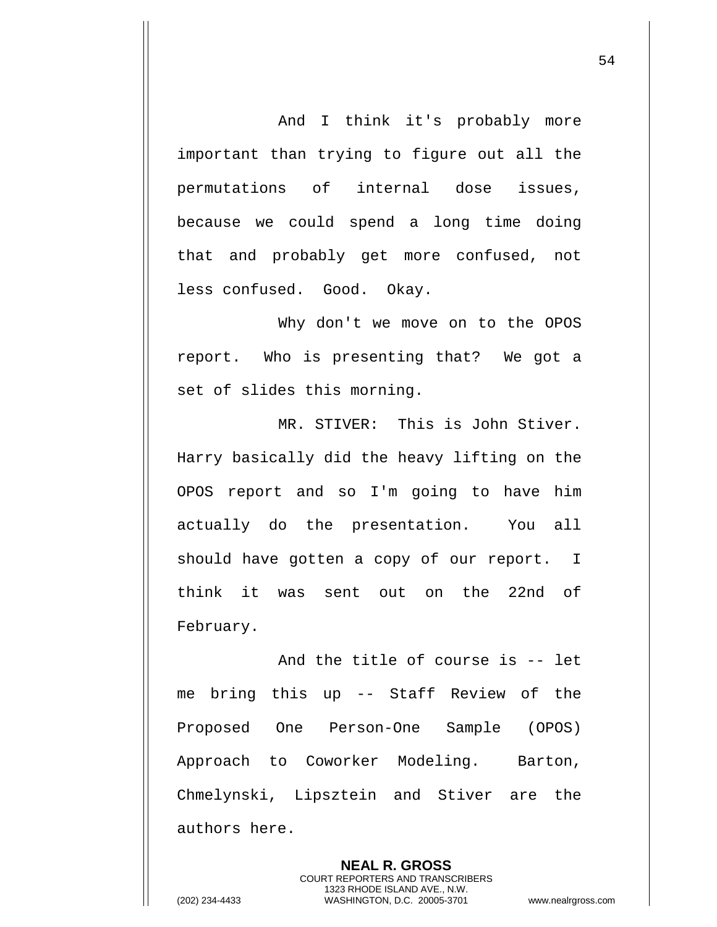And I think it's probably more important than trying to figure out all the permutations of internal dose issues, because we could spend a long time doing that and probably get more confused, not less confused. Good. Okay.

Why don't we move on to the OPOS report. Who is presenting that? We got a set of slides this morning.

MR. STIVER: This is John Stiver. Harry basically did the heavy lifting on the OPOS report and so I'm going to have him actually do the presentation. You all should have gotten a copy of our report. I think it was sent out on the 22nd of February.

And the title of course is -- let me bring this up -- Staff Review of the Proposed One Person-One Sample (OPOS) Approach to Coworker Modeling. Barton, Chmelynski, Lipsztein and Stiver are the authors here.

**NEAL R. GROSS** COURT REPORTERS AND TRANSCRIBERS 1323 RHODE ISLAND AVE., N.W. (202) 234-4433 WASHINGTON, D.C. 20005-3701 www.nealrgross.com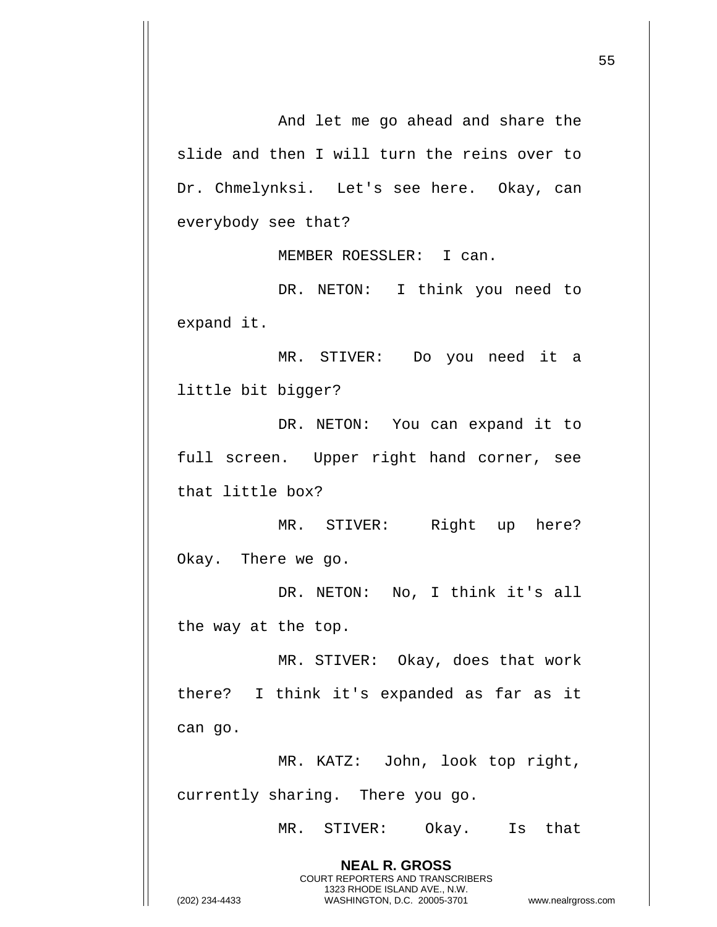And let me go ahead and share the slide and then I will turn the reins over to Dr. Chmelynksi. Let's see here. Okay, can everybody see that?

MEMBER ROESSLER: I can.

DR. NETON: I think you need to expand it.

MR. STIVER: Do you need it a little bit bigger?

DR. NETON: You can expand it to full screen. Upper right hand corner, see that little box?

MR. STIVER: Right up here? Okay. There we go.

DR. NETON: No, I think it's all the way at the top.

MR. STIVER: Okay, does that work there? I think it's expanded as far as it can go.

MR. KATZ: John, look top right, currently sharing. There you go.

> **NEAL R. GROSS** COURT REPORTERS AND TRANSCRIBERS 1323 RHODE ISLAND AVE., N.W.

MR. STIVER: Okay. Is that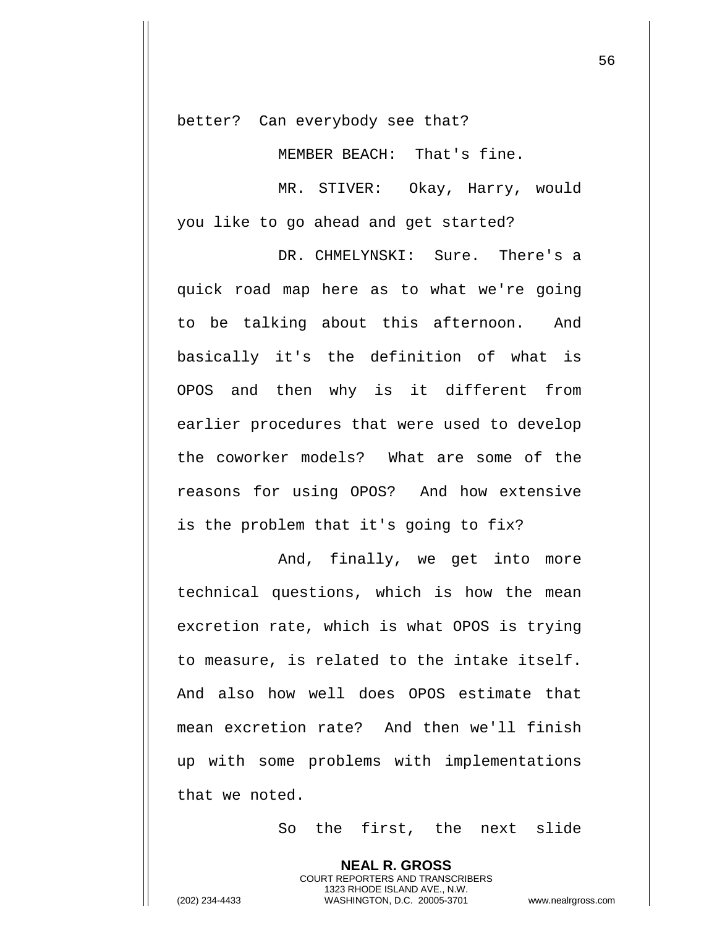better? Can everybody see that?

MEMBER BEACH: That's fine.

MR. STIVER: Okay, Harry, would you like to go ahead and get started?

DR. CHMELYNSKI: Sure. There's a quick road map here as to what we're going to be talking about this afternoon. And basically it's the definition of what is OPOS and then why is it different from earlier procedures that were used to develop the coworker models? What are some of the reasons for using OPOS? And how extensive is the problem that it's going to fix?

And, finally, we get into more technical questions, which is how the mean excretion rate, which is what OPOS is trying to measure, is related to the intake itself. And also how well does OPOS estimate that mean excretion rate? And then we'll finish up with some problems with implementations that we noted.

So the first, the next slide

**NEAL R. GROSS** COURT REPORTERS AND TRANSCRIBERS

1323 RHODE ISLAND AVE., N.W. (202) 234-4433 WASHINGTON, D.C. 20005-3701 www.nealrgross.com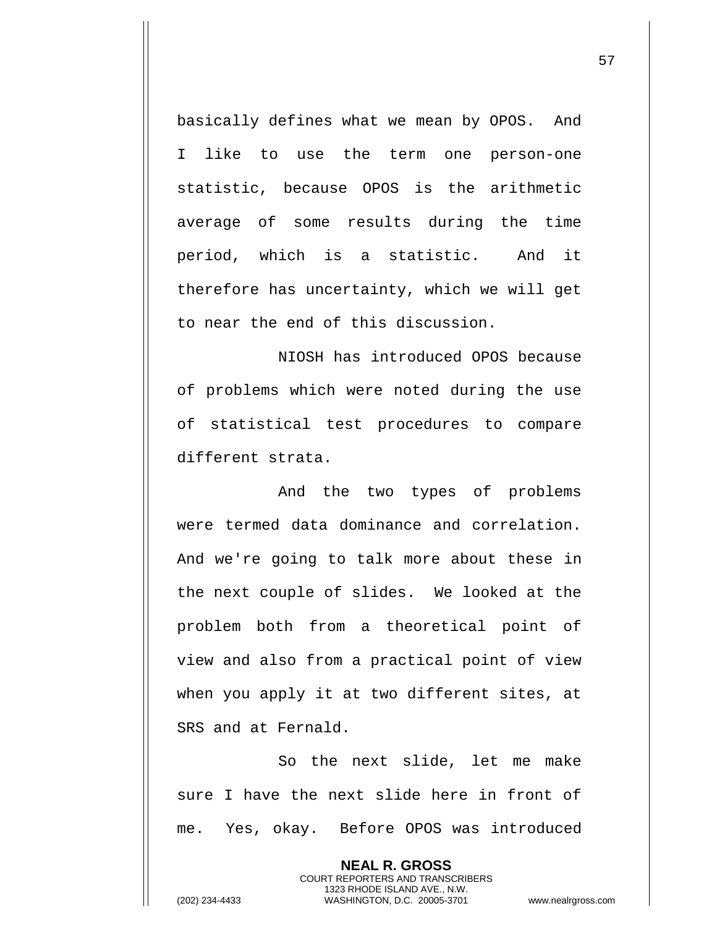basically defines what we mean by OPOS. And I like to use the term one person-one statistic, because OPOS is the arithmetic average of some results during the time period, which is a statistic. And it therefore has uncertainty, which we will get to near the end of this discussion.

NIOSH has introduced OPOS because of problems which were noted during the use of statistical test procedures to compare different strata.

And the two types of problems were termed data dominance and correlation. And we're going to talk more about these in the next couple of slides. We looked at the problem both from a theoretical point of view and also from a practical point of view when you apply it at two different sites, at SRS and at Fernald.

So the next slide, let me make sure I have the next slide here in front of me. Yes, okay. Before OPOS was introduced

> **NEAL R. GROSS** COURT REPORTERS AND TRANSCRIBERS 1323 RHODE ISLAND AVE., N.W.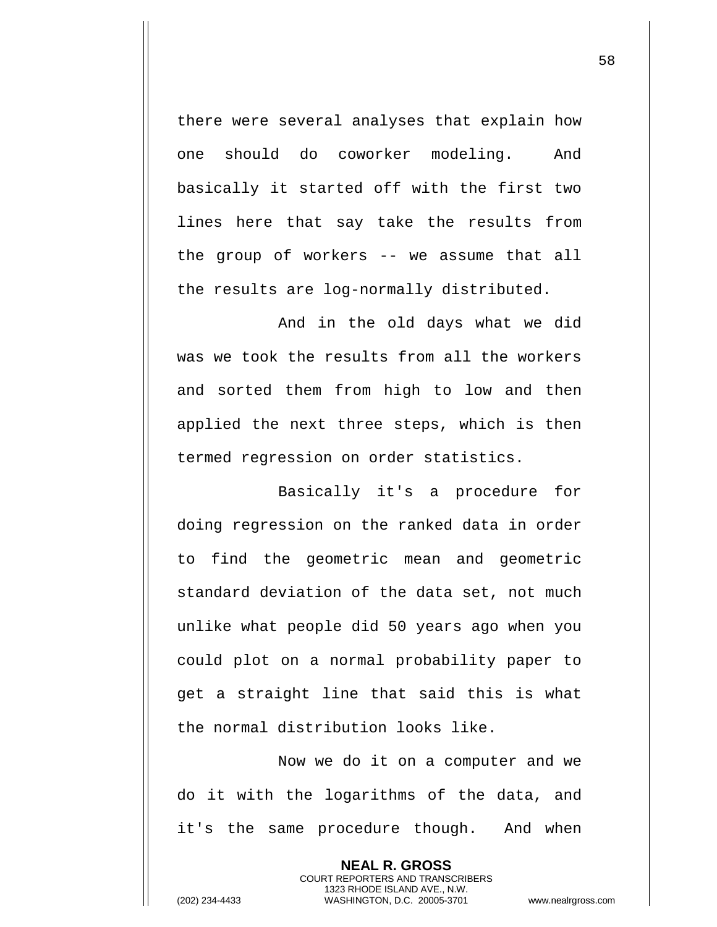there were several analyses that explain how one should do coworker modeling. And basically it started off with the first two lines here that say take the results from the group of workers -- we assume that all the results are log-normally distributed.

And in the old days what we did was we took the results from all the workers and sorted them from high to low and then applied the next three steps, which is then termed regression on order statistics.

Basically it's a procedure for doing regression on the ranked data in order to find the geometric mean and geometric standard deviation of the data set, not much unlike what people did 50 years ago when you could plot on a normal probability paper to get a straight line that said this is what the normal distribution looks like.

 Now we do it on a computer and we do it with the logarithms of the data, and it's the same procedure though. And when

> **NEAL R. GROSS** COURT REPORTERS AND TRANSCRIBERS 1323 RHODE ISLAND AVE., N.W.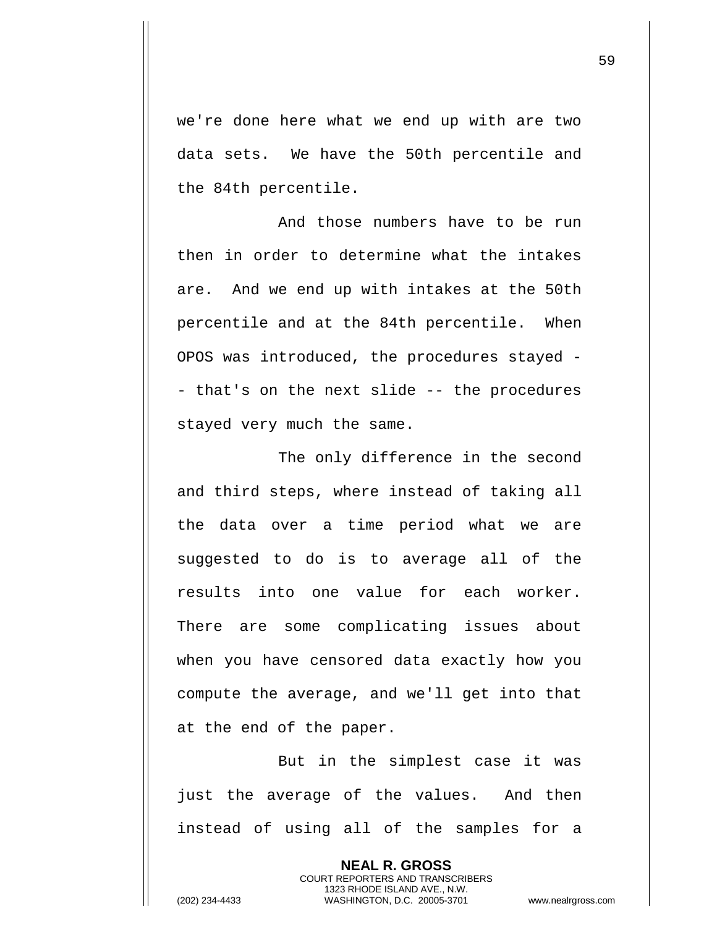we're done here what we end up with are two data sets. We have the 50th percentile and the 84th percentile.

And those numbers have to be run then in order to determine what the intakes are. And we end up with intakes at the 50th percentile and at the 84th percentile. When OPOS was introduced, the procedures stayed - - that's on the next slide -- the procedures stayed very much the same.

The only difference in the second and third steps, where instead of taking all the data over a time period what we are suggested to do is to average all of the results into one value for each worker. There are some complicating issues about when you have censored data exactly how you compute the average, and we'll get into that at the end of the paper.

But in the simplest case it was just the average of the values. And then instead of using all of the samples for a

> **NEAL R. GROSS** COURT REPORTERS AND TRANSCRIBERS 1323 RHODE ISLAND AVE., N.W.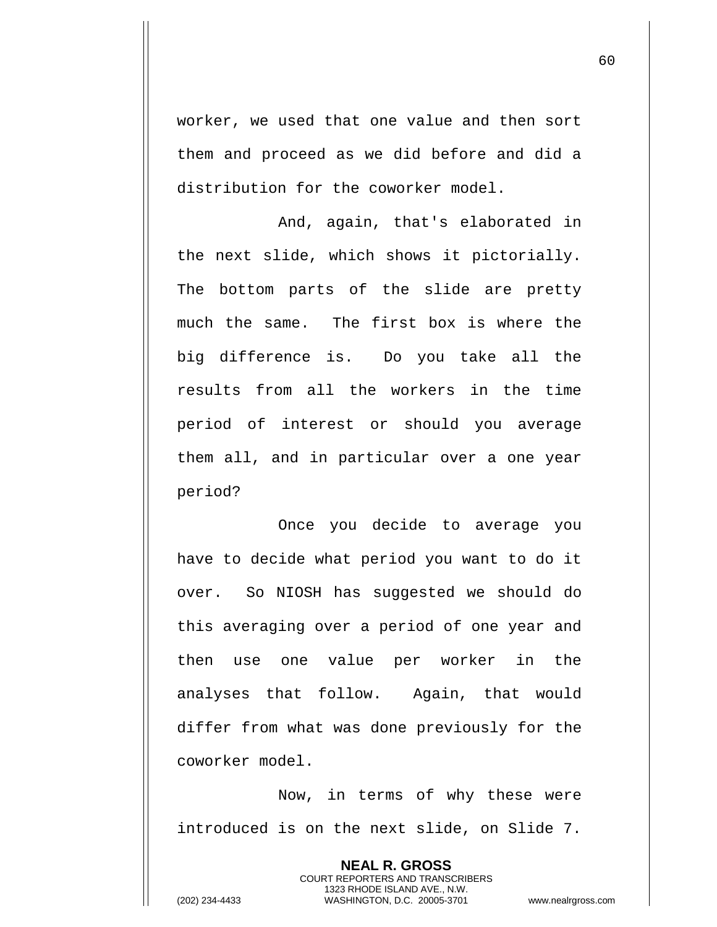worker, we used that one value and then sort them and proceed as we did before and did a distribution for the coworker model.

And, again, that's elaborated in the next slide, which shows it pictorially. The bottom parts of the slide are pretty much the same. The first box is where the big difference is. Do you take all the results from all the workers in the time period of interest or should you average them all, and in particular over a one year period?

Once you decide to average you have to decide what period you want to do it over. So NIOSH has suggested we should do this averaging over a period of one year and then use one value per worker in the analyses that follow. Again, that would differ from what was done previously for the coworker model.

Now, in terms of why these were introduced is on the next slide, on Slide 7.

> **NEAL R. GROSS** COURT REPORTERS AND TRANSCRIBERS 1323 RHODE ISLAND AVE., N.W.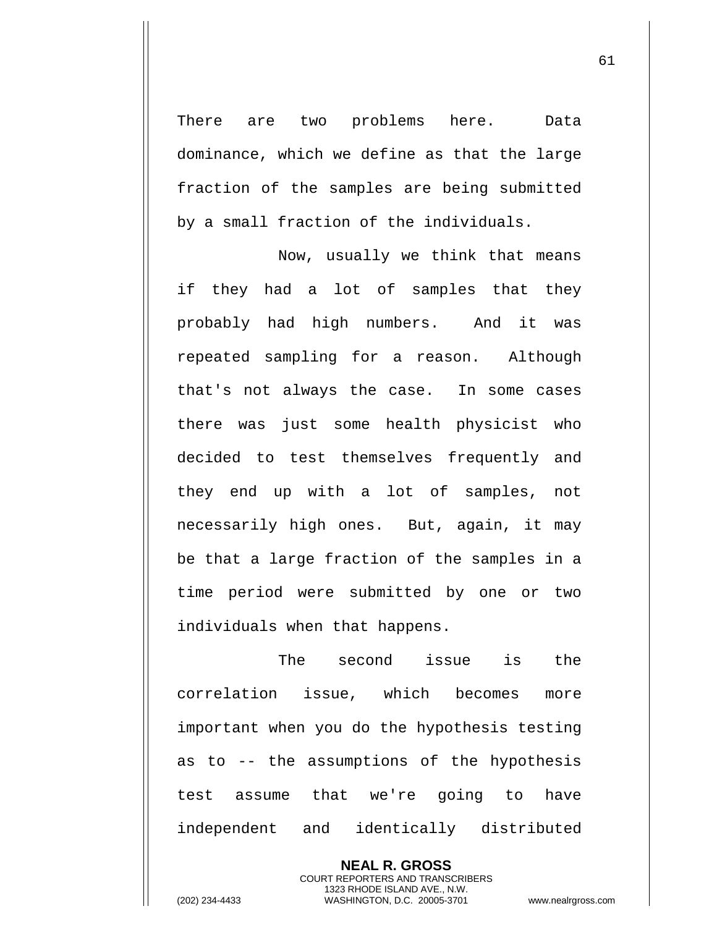There are two problems here. Data dominance, which we define as that the large fraction of the samples are being submitted by a small fraction of the individuals.

Now, usually we think that means if they had a lot of samples that they probably had high numbers. And it was repeated sampling for a reason. Although that's not always the case. In some cases there was just some health physicist who decided to test themselves frequently and they end up with a lot of samples, not necessarily high ones. But, again, it may be that a large fraction of the samples in a time period were submitted by one or two individuals when that happens.

The second issue is the correlation issue, which becomes more important when you do the hypothesis testing as to -- the assumptions of the hypothesis test assume that we're going to have independent and identically distributed

**NEAL R. GROSS** COURT REPORTERS AND TRANSCRIBERS 1323 RHODE ISLAND AVE., N.W. (202) 234-4433 WASHINGTON, D.C. 20005-3701 www.nealrgross.com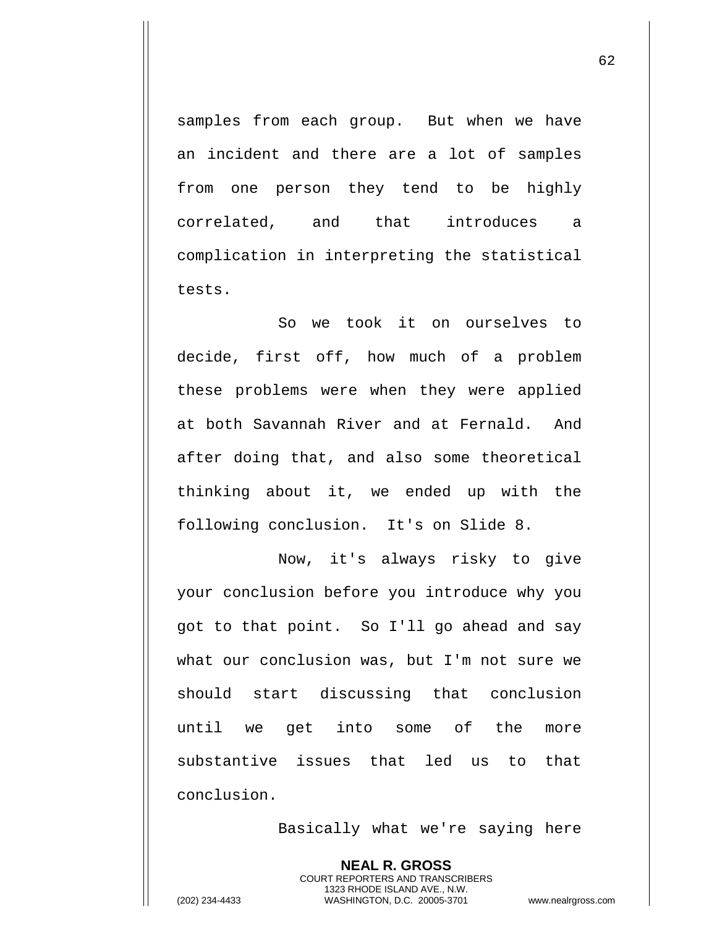samples from each group. But when we have an incident and there are a lot of samples from one person they tend to be highly correlated, and that introduces a complication in interpreting the statistical tests.

So we took it on ourselves to decide, first off, how much of a problem these problems were when they were applied at both Savannah River and at Fernald. And after doing that, and also some theoretical thinking about it, we ended up with the following conclusion. It's on Slide 8.

Now, it's always risky to give your conclusion before you introduce why you got to that point. So I'll go ahead and say what our conclusion was, but I'm not sure we should start discussing that conclusion until we get into some of the more substantive issues that led us to that conclusion.

Basically what we're saying here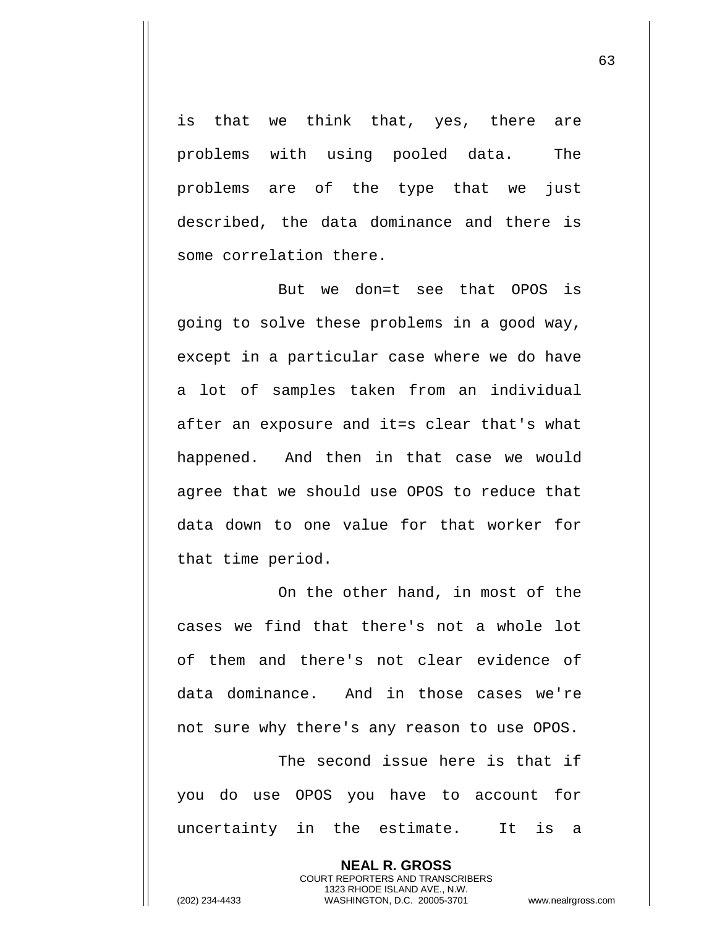is that we think that, yes, there are problems with using pooled data. The problems are of the type that we just described, the data dominance and there is some correlation there.

But we don=t see that OPOS is going to solve these problems in a good way, except in a particular case where we do have a lot of samples taken from an individual after an exposure and it=s clear that's what happened. And then in that case we would agree that we should use OPOS to reduce that data down to one value for that worker for that time period.

On the other hand, in most of the cases we find that there's not a whole lot of them and there's not clear evidence of data dominance. And in those cases we're not sure why there's any reason to use OPOS.

The second issue here is that if you do use OPOS you have to account for uncertainty in the estimate. It is a

> **NEAL R. GROSS** COURT REPORTERS AND TRANSCRIBERS 1323 RHODE ISLAND AVE., N.W.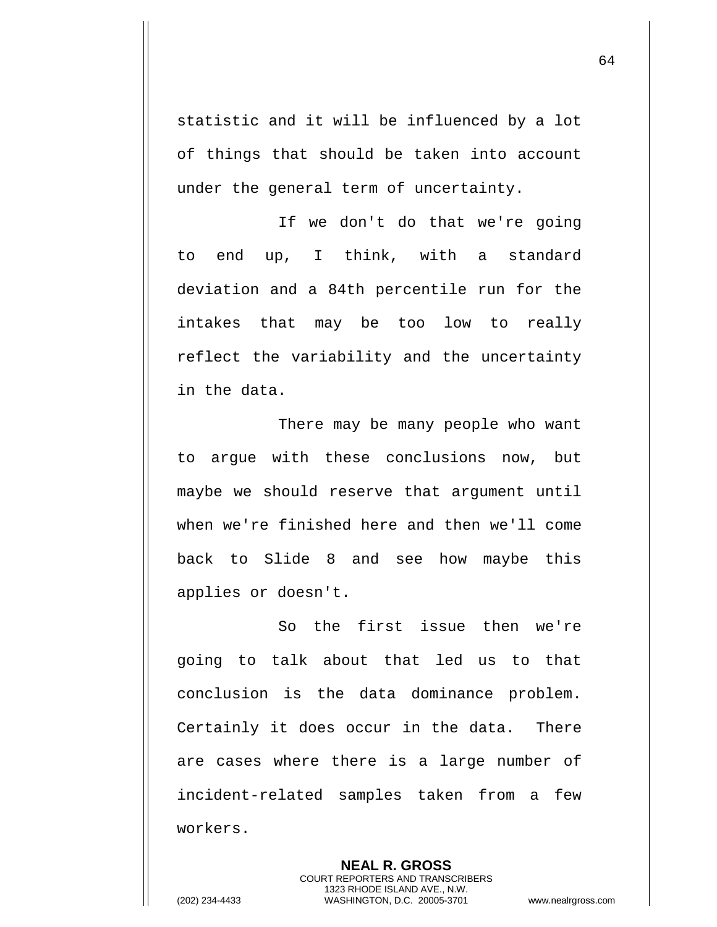statistic and it will be influenced by a lot of things that should be taken into account under the general term of uncertainty.

If we don't do that we're going to end up, I think, with a standard deviation and a 84th percentile run for the intakes that may be too low to really reflect the variability and the uncertainty in the data.

There may be many people who want to argue with these conclusions now, but maybe we should reserve that argument until when we're finished here and then we'll come back to Slide 8 and see how maybe this applies or doesn't.

So the first issue then we're going to talk about that led us to that conclusion is the data dominance problem. Certainly it does occur in the data. There are cases where there is a large number of incident-related samples taken from a few workers.

> **NEAL R. GROSS** COURT REPORTERS AND TRANSCRIBERS 1323 RHODE ISLAND AVE., N.W.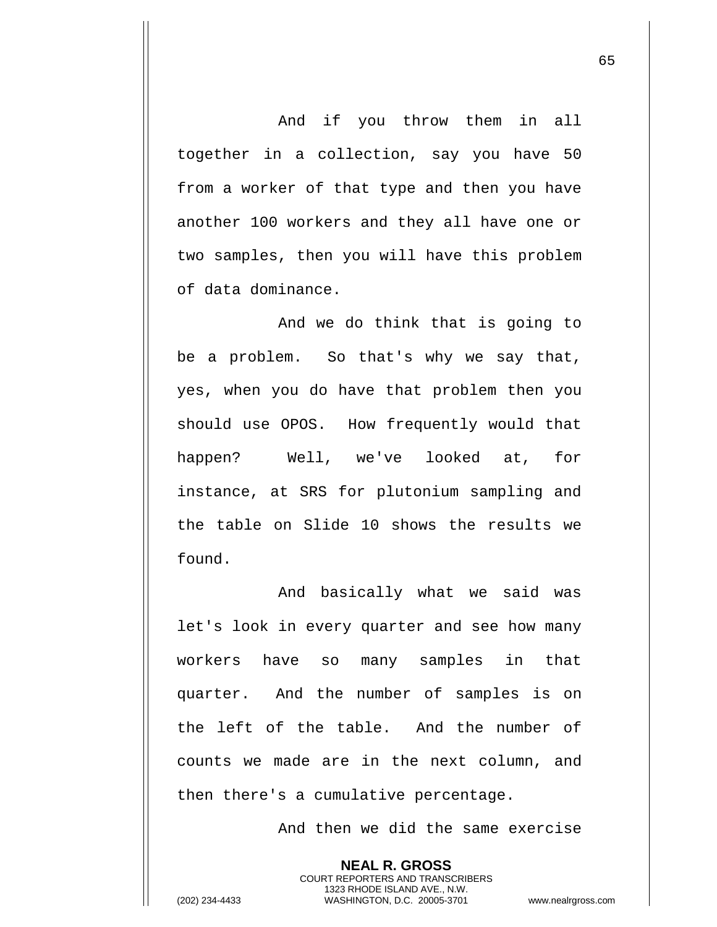And if you throw them in all together in a collection, say you have 50 from a worker of that type and then you have another 100 workers and they all have one or two samples, then you will have this problem of data dominance.

And we do think that is going to be a problem. So that's why we say that, yes, when you do have that problem then you should use OPOS. How frequently would that happen? Well, we've looked at, for instance, at SRS for plutonium sampling and the table on Slide 10 shows the results we found.

And basically what we said was let's look in every quarter and see how many workers have so many samples in that quarter. And the number of samples is on the left of the table. And the number of counts we made are in the next column, and then there's a cumulative percentage.

And then we did the same exercise

**NEAL R. GROSS** COURT REPORTERS AND TRANSCRIBERS 1323 RHODE ISLAND AVE., N.W.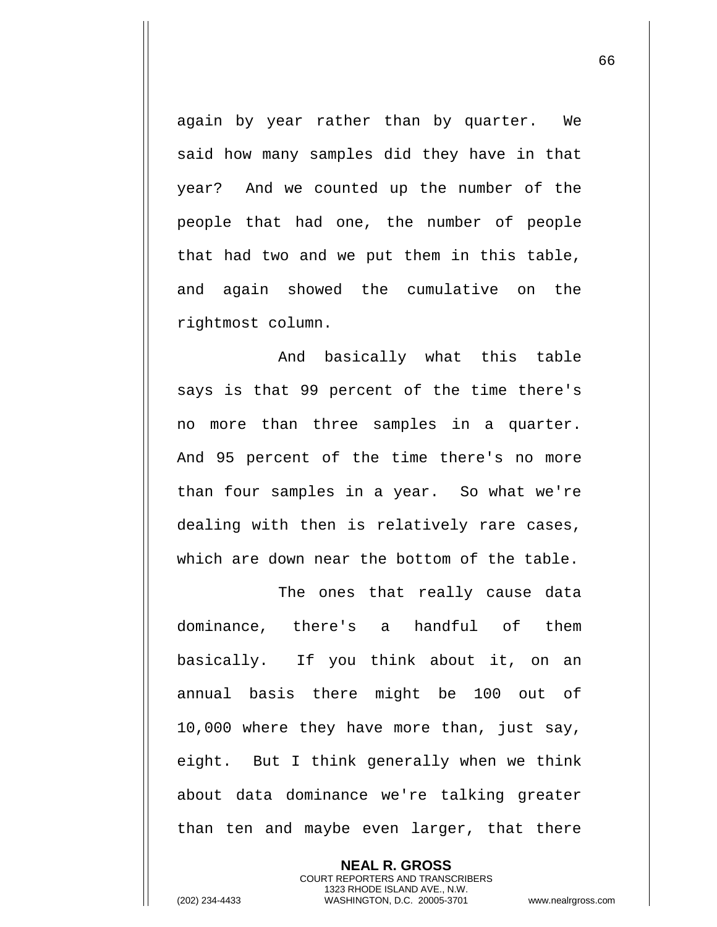again by year rather than by quarter. We said how many samples did they have in that year? And we counted up the number of the people that had one, the number of people that had two and we put them in this table, and again showed the cumulative on the rightmost column.

And basically what this table says is that 99 percent of the time there's no more than three samples in a quarter. And 95 percent of the time there's no more than four samples in a year. So what we're dealing with then is relatively rare cases, which are down near the bottom of the table.

The ones that really cause data dominance, there's a handful of them basically. If you think about it, on an annual basis there might be 100 out of 10,000 where they have more than, just say, eight. But I think generally when we think about data dominance we're talking greater than ten and maybe even larger, that there

> **NEAL R. GROSS** COURT REPORTERS AND TRANSCRIBERS 1323 RHODE ISLAND AVE., N.W.

(202) 234-4433 WASHINGTON, D.C. 20005-3701 www.nealrgross.com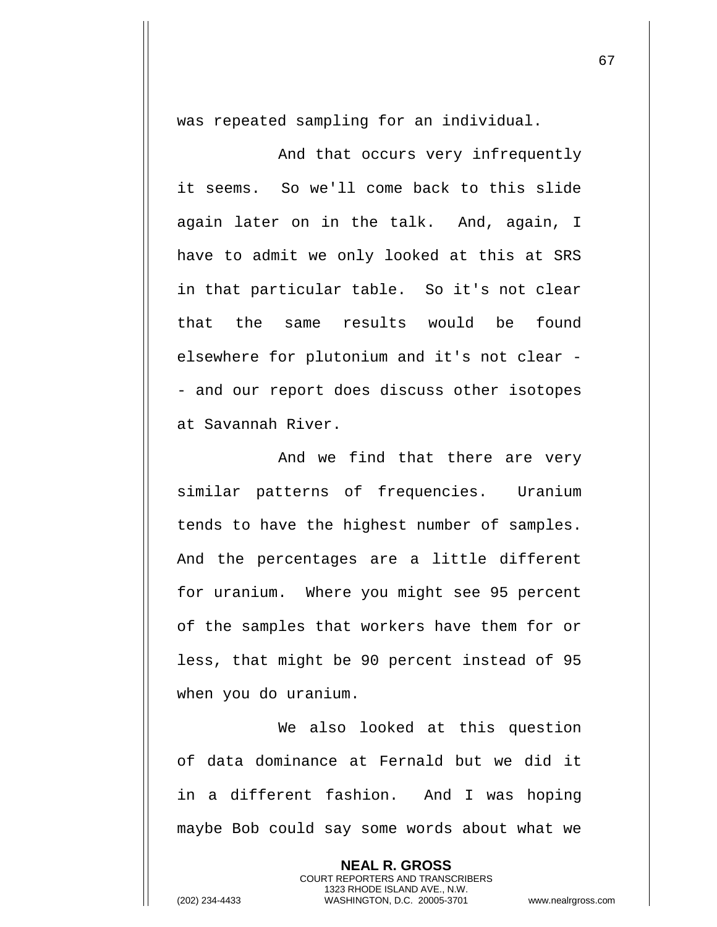was repeated sampling for an individual.

And that occurs very infrequently it seems. So we'll come back to this slide again later on in the talk. And, again, I have to admit we only looked at this at SRS in that particular table. So it's not clear that the same results would be found elsewhere for plutonium and it's not clear - - and our report does discuss other isotopes at Savannah River.

And we find that there are very similar patterns of frequencies. Uranium tends to have the highest number of samples. And the percentages are a little different for uranium. Where you might see 95 percent of the samples that workers have them for or less, that might be 90 percent instead of 95 when you do uranium.

We also looked at this question of data dominance at Fernald but we did it in a different fashion. And I was hoping maybe Bob could say some words about what we

> **NEAL R. GROSS** COURT REPORTERS AND TRANSCRIBERS 1323 RHODE ISLAND AVE., N.W.

(202) 234-4433 WASHINGTON, D.C. 20005-3701 www.nealrgross.com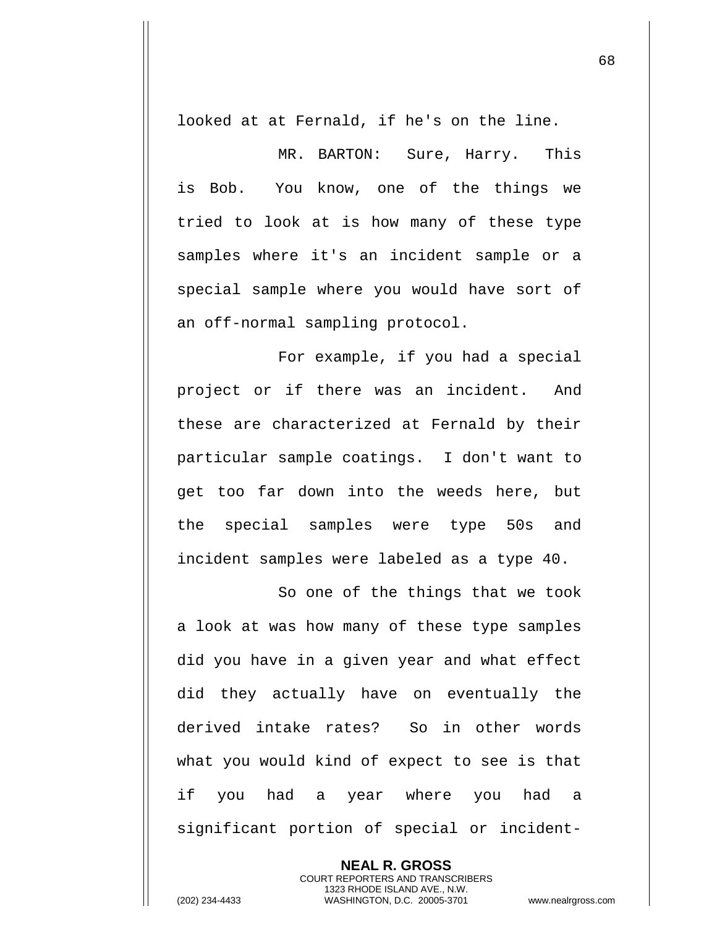looked at at Fernald, if he's on the line.

MR. BARTON: Sure, Harry. This is Bob. You know, one of the things we tried to look at is how many of these type samples where it's an incident sample or a special sample where you would have sort of an off-normal sampling protocol.

For example, if you had a special project or if there was an incident. And these are characterized at Fernald by their particular sample coatings. I don't want to get too far down into the weeds here, but the special samples were type 50s and incident samples were labeled as a type 40.

So one of the things that we took a look at was how many of these type samples did you have in a given year and what effect did they actually have on eventually the derived intake rates? So in other words what you would kind of expect to see is that if you had a year where you had a significant portion of special or incident-

**NEAL R. GROSS** COURT REPORTERS AND TRANSCRIBERS 1323 RHODE ISLAND AVE., N.W. (202) 234-4433 WASHINGTON, D.C. 20005-3701 www.nealrgross.com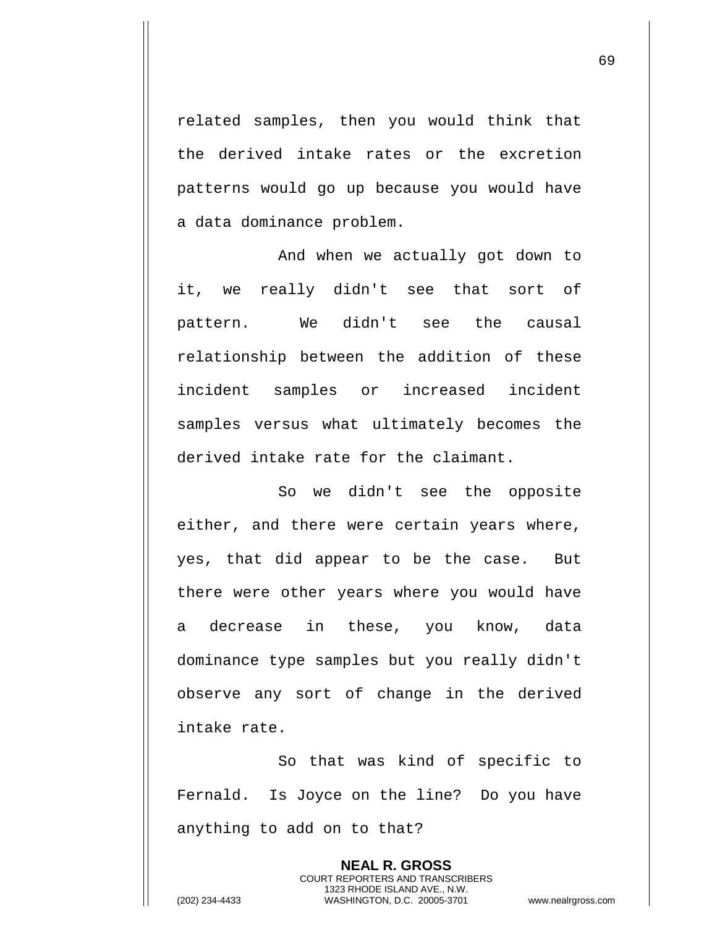related samples, then you would think that the derived intake rates or the excretion patterns would go up because you would have a data dominance problem.

And when we actually got down to it, we really didn't see that sort of pattern. We didn't see the causal relationship between the addition of these incident samples or increased incident samples versus what ultimately becomes the derived intake rate for the claimant.

So we didn't see the opposite either, and there were certain years where, yes, that did appear to be the case. But there were other years where you would have a decrease in these, you know, data dominance type samples but you really didn't observe any sort of change in the derived intake rate.

So that was kind of specific to Fernald. Is Joyce on the line? Do you have anything to add on to that?

**NEAL R. GROSS** COURT REPORTERS AND TRANSCRIBERS 1323 RHODE ISLAND AVE., N.W. (202) 234-4433 WASHINGTON, D.C. 20005-3701 www.nealrgross.com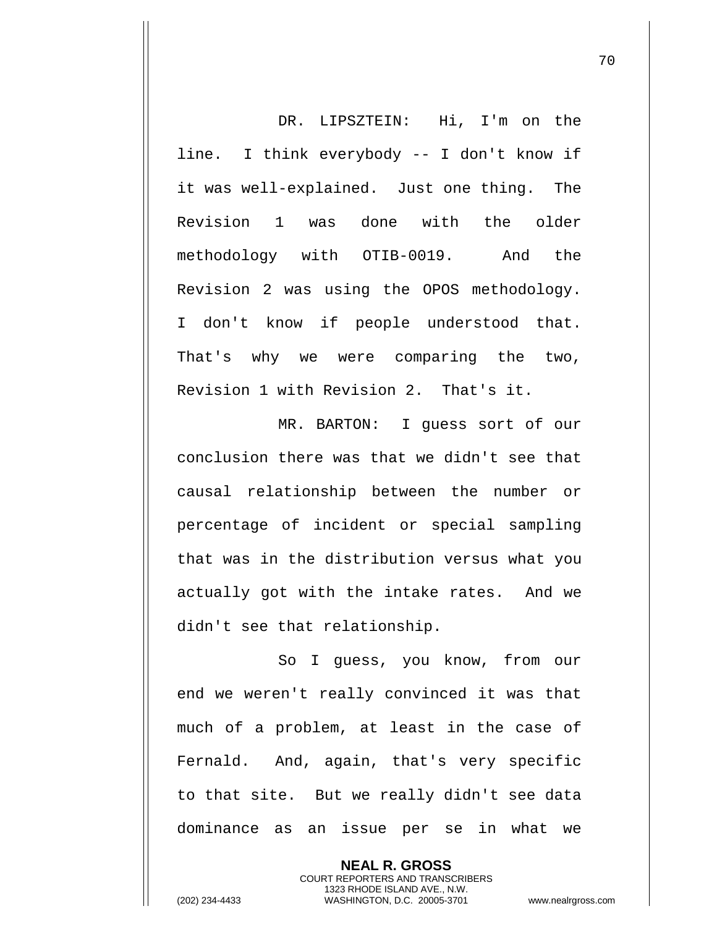DR. LIPSZTEIN: Hi, I'm on the line. I think everybody -- I don't know if it was well-explained. Just one thing. The Revision 1 was done with the older methodology with OTIB-0019. And the Revision 2 was using the OPOS methodology. I don't know if people understood that. That's why we were comparing the two, Revision 1 with Revision 2. That's it.

MR. BARTON: I guess sort of our conclusion there was that we didn't see that causal relationship between the number or percentage of incident or special sampling that was in the distribution versus what you actually got with the intake rates. And we didn't see that relationship.

So I guess, you know, from our end we weren't really convinced it was that much of a problem, at least in the case of Fernald. And, again, that's very specific to that site. But we really didn't see data dominance as an issue per se in what we

> **NEAL R. GROSS** COURT REPORTERS AND TRANSCRIBERS 1323 RHODE ISLAND AVE., N.W.

(202) 234-4433 WASHINGTON, D.C. 20005-3701 www.nealrgross.com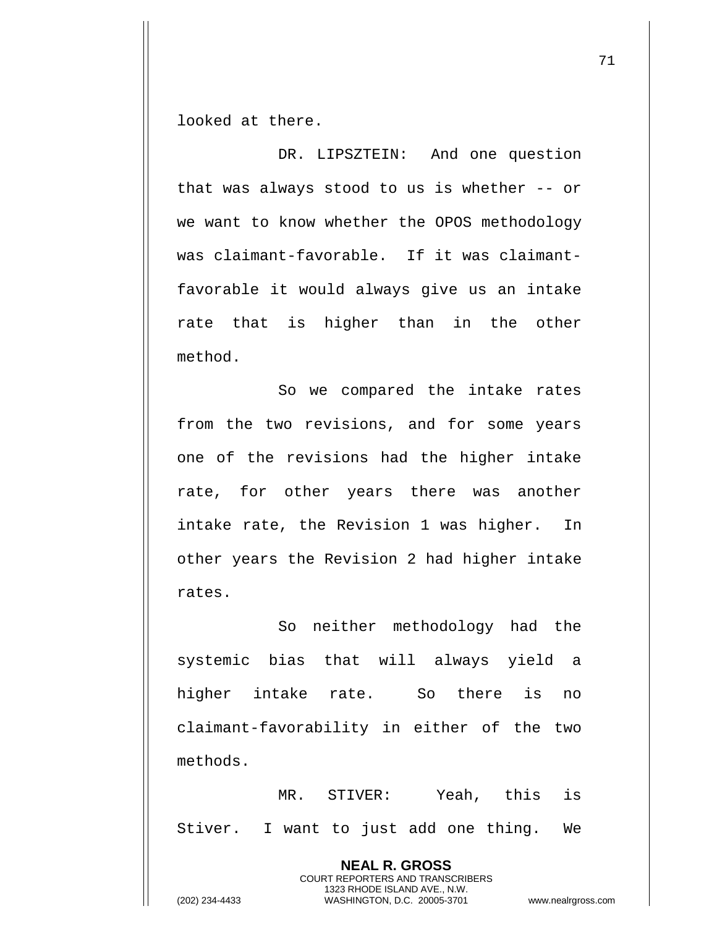looked at there.

DR. LIPSZTEIN: And one question that was always stood to us is whether -- or we want to know whether the OPOS methodology was claimant-favorable. If it was claimantfavorable it would always give us an intake rate that is higher than in the other method.

So we compared the intake rates from the two revisions, and for some years one of the revisions had the higher intake rate, for other years there was another intake rate, the Revision 1 was higher. In other years the Revision 2 had higher intake rates.

So neither methodology had the systemic bias that will always yield a higher intake rate. So there is no claimant-favorability in either of the two methods.

MR. STIVER: Yeah, this is Stiver. I want to just add one thing. We

> **NEAL R. GROSS** COURT REPORTERS AND TRANSCRIBERS 1323 RHODE ISLAND AVE., N.W.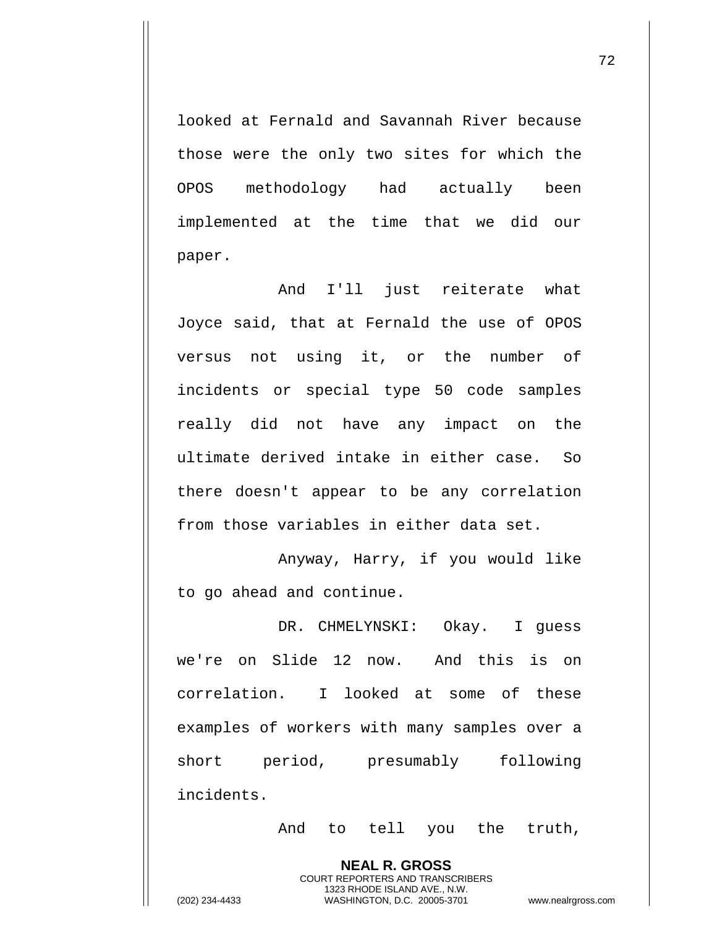looked at Fernald and Savannah River because those were the only two sites for which the OPOS methodology had actually been implemented at the time that we did our paper.

And I'll just reiterate what Joyce said, that at Fernald the use of OPOS versus not using it, or the number of incidents or special type 50 code samples really did not have any impact on the ultimate derived intake in either case. So there doesn't appear to be any correlation from those variables in either data set.

Anyway, Harry, if you would like to go ahead and continue.

DR. CHMELYNSKI: Okay. I guess we're on Slide 12 now. And this is on correlation. I looked at some of these examples of workers with many samples over a short period, presumably following incidents.

And to tell you the truth,

**NEAL R. GROSS** COURT REPORTERS AND TRANSCRIBERS 1323 RHODE ISLAND AVE., N.W.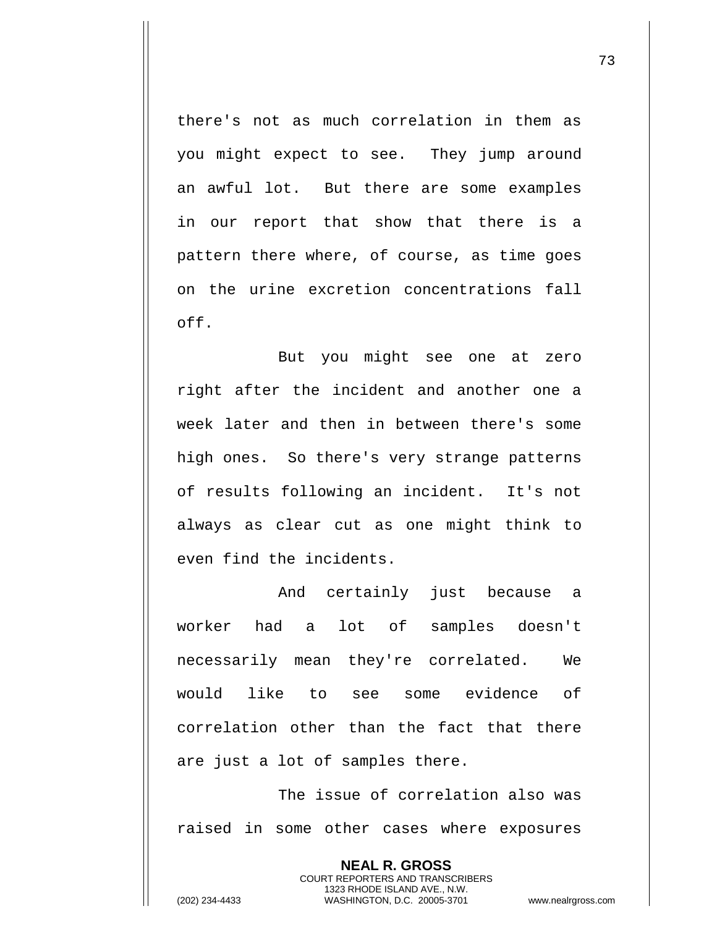there's not as much correlation in them as you might expect to see. They jump around an awful lot. But there are some examples in our report that show that there is a pattern there where, of course, as time goes on the urine excretion concentrations fall off.

But you might see one at zero right after the incident and another one a week later and then in between there's some high ones. So there's very strange patterns of results following an incident. It's not always as clear cut as one might think to even find the incidents.

And certainly just because a worker had a lot of samples doesn't necessarily mean they're correlated. We would like to see some evidence of correlation other than the fact that there are just a lot of samples there.

The issue of correlation also was raised in some other cases where exposures

> **NEAL R. GROSS** COURT REPORTERS AND TRANSCRIBERS 1323 RHODE ISLAND AVE., N.W.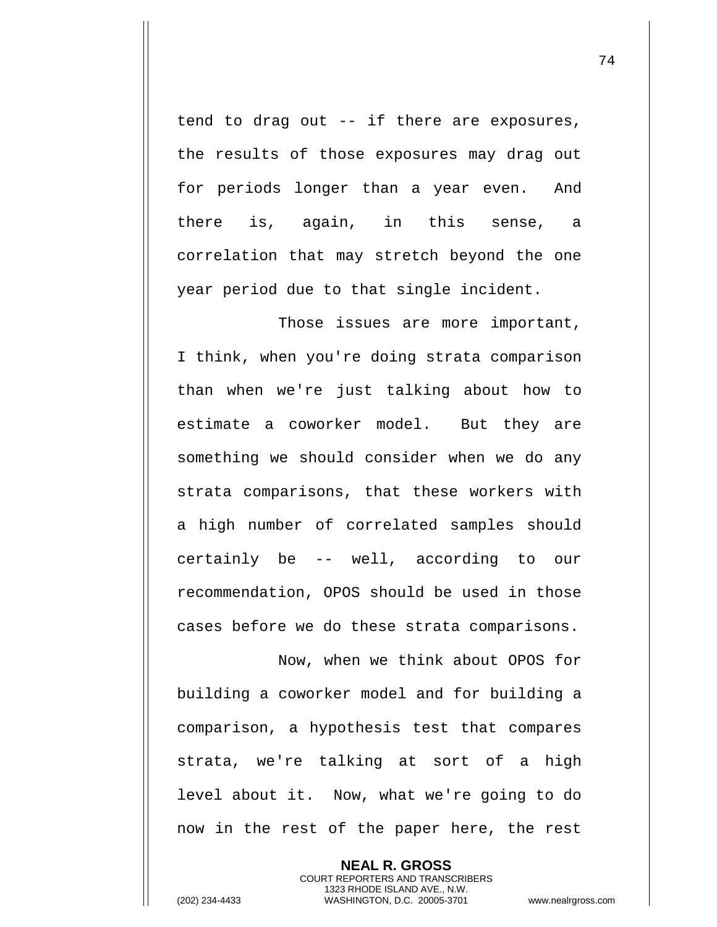tend to drag out -- if there are exposures, the results of those exposures may drag out for periods longer than a year even. And there is, again, in this sense, a correlation that may stretch beyond the one year period due to that single incident.

Those issues are more important, I think, when you're doing strata comparison than when we're just talking about how to estimate a coworker model. But they are something we should consider when we do any strata comparisons, that these workers with a high number of correlated samples should certainly be -- well, according to our recommendation, OPOS should be used in those cases before we do these strata comparisons.

Now, when we think about OPOS for building a coworker model and for building a comparison, a hypothesis test that compares strata, we're talking at sort of a high level about it. Now, what we're going to do now in the rest of the paper here, the rest

> **NEAL R. GROSS** COURT REPORTERS AND TRANSCRIBERS 1323 RHODE ISLAND AVE., N.W.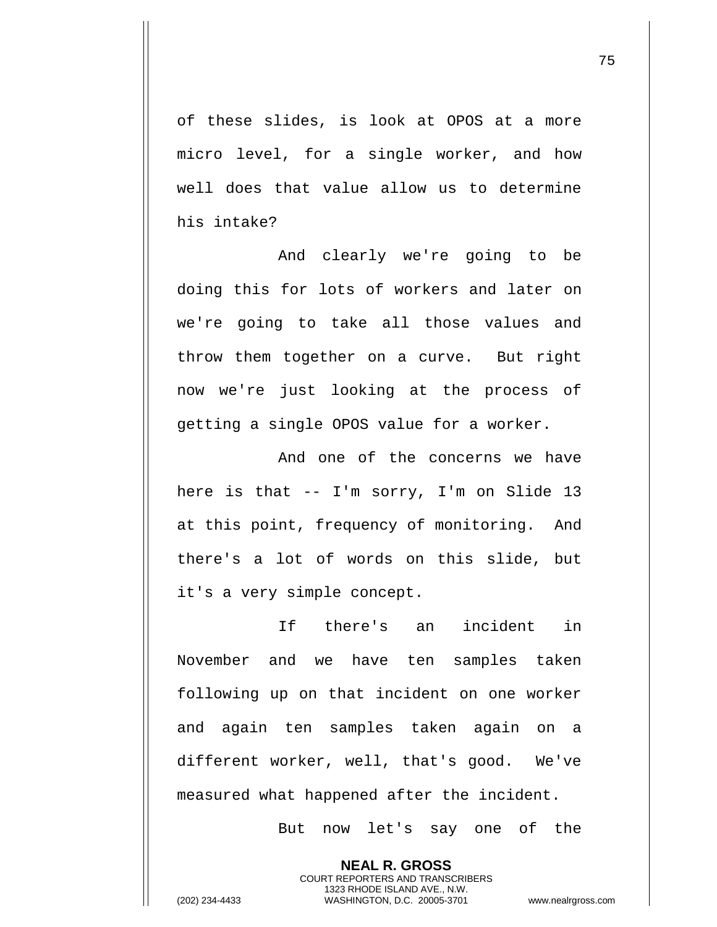of these slides, is look at OPOS at a more micro level, for a single worker, and how well does that value allow us to determine his intake?

And clearly we're going to be doing this for lots of workers and later on we're going to take all those values and throw them together on a curve. But right now we're just looking at the process of getting a single OPOS value for a worker.

And one of the concerns we have here is that -- I'm sorry, I'm on Slide 13 at this point, frequency of monitoring. And there's a lot of words on this slide, but it's a very simple concept.

If there's an incident in November and we have ten samples taken following up on that incident on one worker and again ten samples taken again on a different worker, well, that's good. We've measured what happened after the incident.

But now let's say one of the

**NEAL R. GROSS** COURT REPORTERS AND TRANSCRIBERS 1323 RHODE ISLAND AVE., N.W.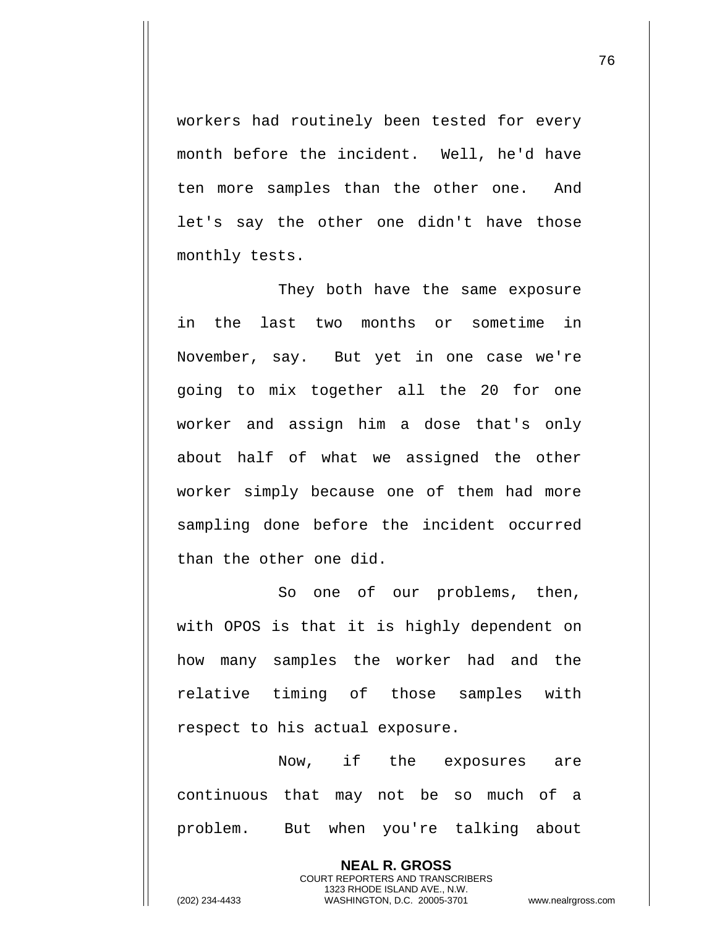workers had routinely been tested for every month before the incident. Well, he'd have ten more samples than the other one. And let's say the other one didn't have those monthly tests.

They both have the same exposure in the last two months or sometime in November, say. But yet in one case we're going to mix together all the 20 for one worker and assign him a dose that's only about half of what we assigned the other worker simply because one of them had more sampling done before the incident occurred than the other one did.

So one of our problems, then, with OPOS is that it is highly dependent on how many samples the worker had and the relative timing of those samples with respect to his actual exposure.

Now, if the exposures are continuous that may not be so much of a problem. But when you're talking about

> **NEAL R. GROSS** COURT REPORTERS AND TRANSCRIBERS 1323 RHODE ISLAND AVE., N.W.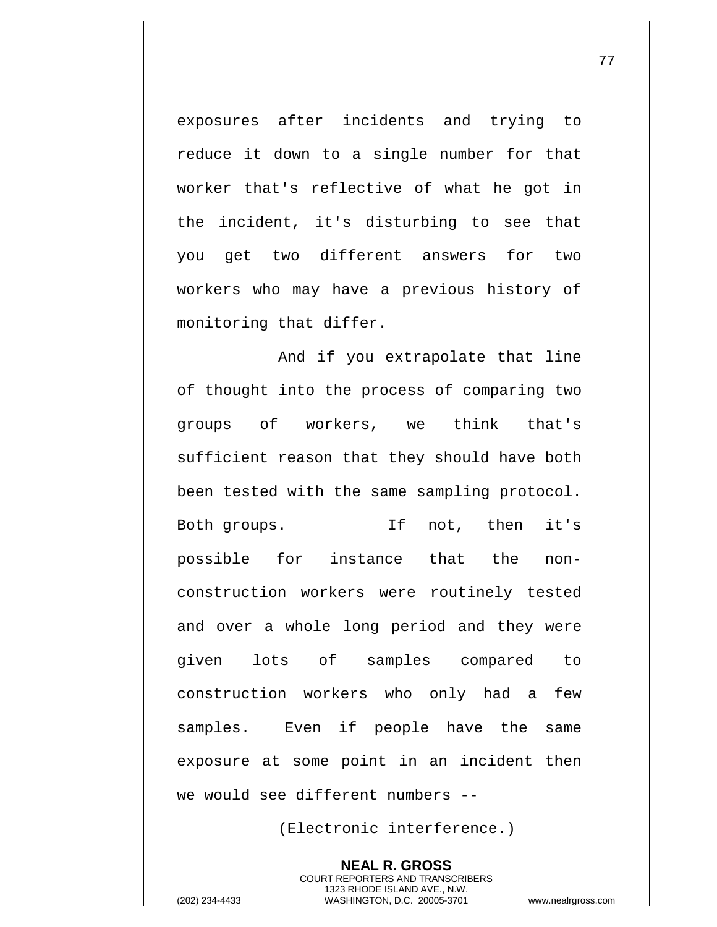exposures after incidents and trying to reduce it down to a single number for that worker that's reflective of what he got in the incident, it's disturbing to see that you get two different answers for two workers who may have a previous history of monitoring that differ.

And if you extrapolate that line of thought into the process of comparing two groups of workers, we think that's sufficient reason that they should have both been tested with the same sampling protocol. Both groups. If not, then it's possible for instance that the nonconstruction workers were routinely tested and over a whole long period and they were given lots of samples compared to construction workers who only had a few samples. Even if people have the same exposure at some point in an incident then we would see different numbers --

(Electronic interference.)

**NEAL R. GROSS** COURT REPORTERS AND TRANSCRIBERS 1323 RHODE ISLAND AVE., N.W. (202) 234-4433 WASHINGTON, D.C. 20005-3701 www.nealrgross.com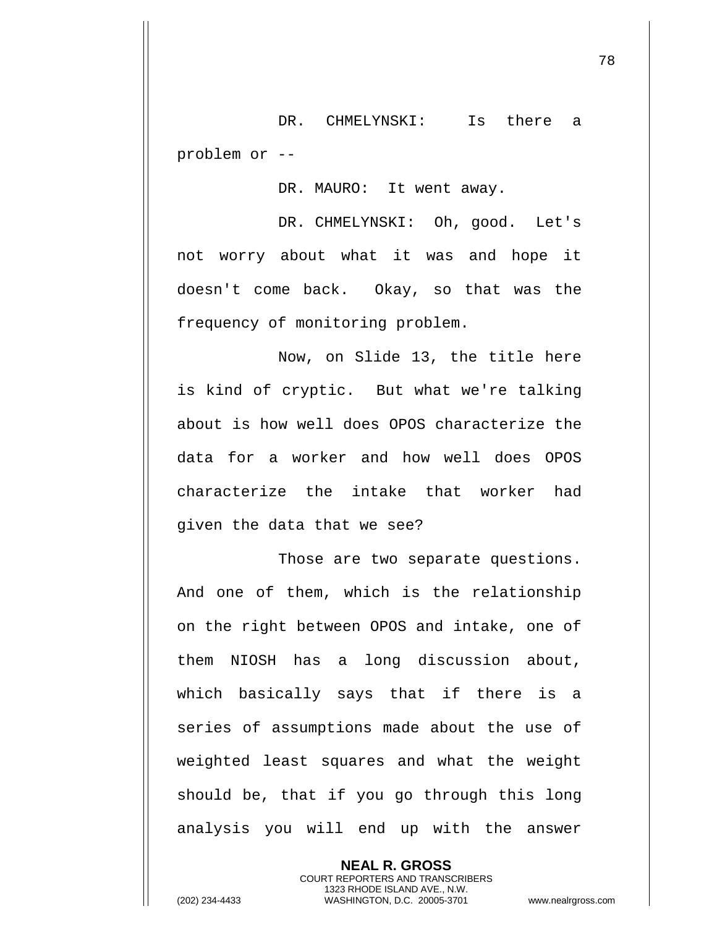DR. CHMELYNSKI: Is there a problem or --

DR. MAURO: It went away.

DR. CHMELYNSKI: Oh, good. Let's not worry about what it was and hope it doesn't come back. Okay, so that was the frequency of monitoring problem.

Now, on Slide 13, the title here is kind of cryptic. But what we're talking about is how well does OPOS characterize the data for a worker and how well does OPOS characterize the intake that worker had given the data that we see?

Those are two separate questions. And one of them, which is the relationship on the right between OPOS and intake, one of them NIOSH has a long discussion about, which basically says that if there is a series of assumptions made about the use of weighted least squares and what the weight should be, that if you go through this long analysis you will end up with the answer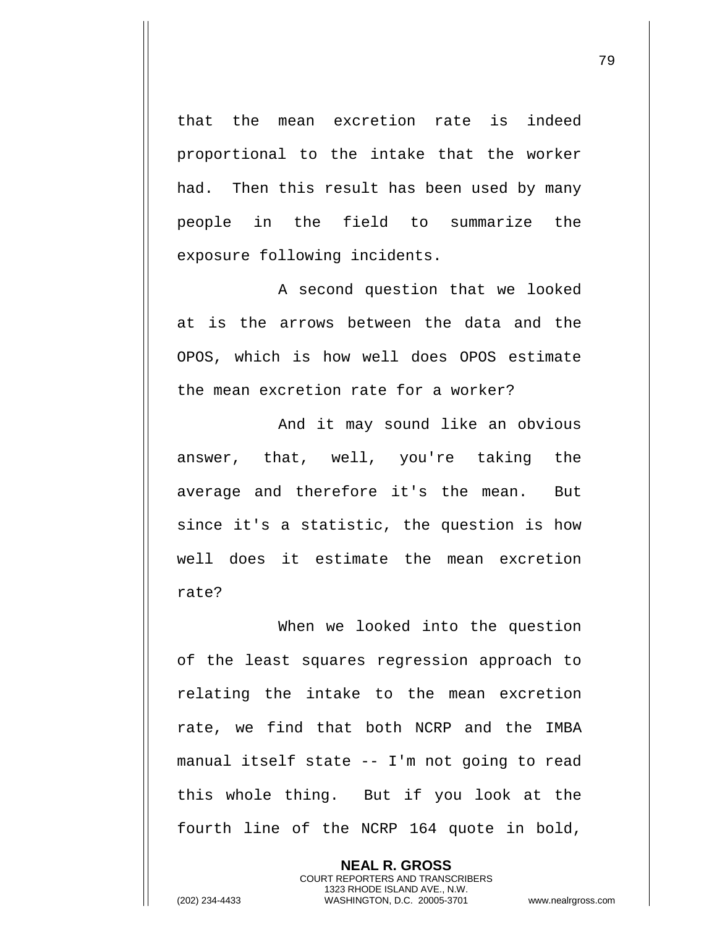that the mean excretion rate is indeed proportional to the intake that the worker had. Then this result has been used by many people in the field to summarize the exposure following incidents.

A second question that we looked at is the arrows between the data and the OPOS, which is how well does OPOS estimate the mean excretion rate for a worker?

And it may sound like an obvious answer, that, well, you're taking the average and therefore it's the mean. But since it's a statistic, the question is how well does it estimate the mean excretion rate?

When we looked into the question of the least squares regression approach to relating the intake to the mean excretion rate, we find that both NCRP and the IMBA manual itself state -- I'm not going to read this whole thing. But if you look at the fourth line of the NCRP 164 quote in bold,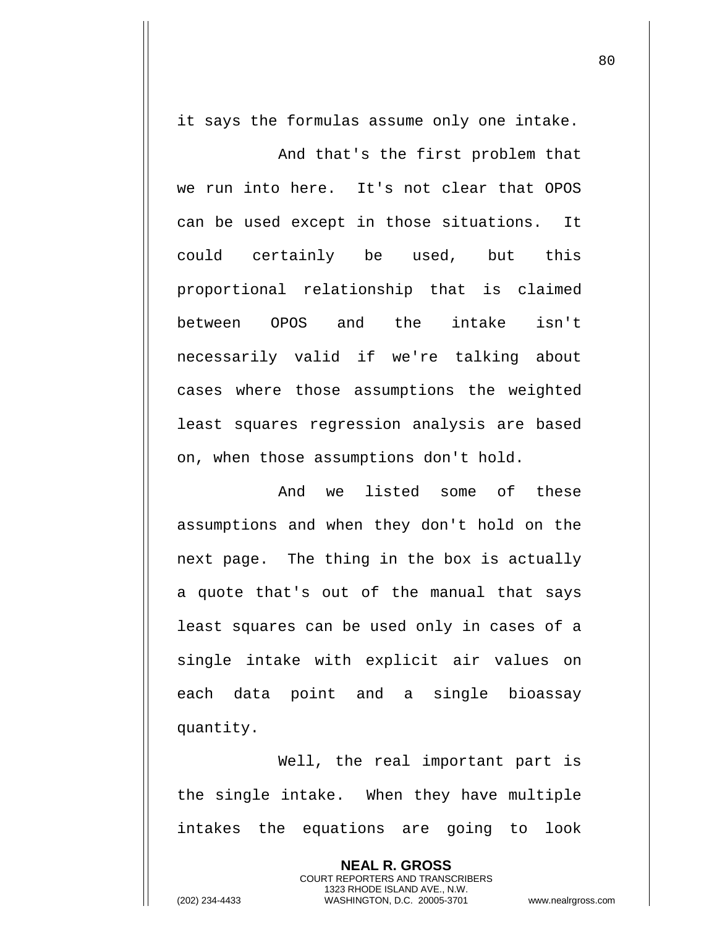it says the formulas assume only one intake.

And that's the first problem that we run into here. It's not clear that OPOS can be used except in those situations. It could certainly be used, but this proportional relationship that is claimed between OPOS and the intake isn't necessarily valid if we're talking about cases where those assumptions the weighted least squares regression analysis are based on, when those assumptions don't hold.

And we listed some of these assumptions and when they don't hold on the next page. The thing in the box is actually a quote that's out of the manual that says least squares can be used only in cases of a single intake with explicit air values on each data point and a single bioassay quantity.

Well, the real important part is the single intake. When they have multiple intakes the equations are going to look

> **NEAL R. GROSS** COURT REPORTERS AND TRANSCRIBERS 1323 RHODE ISLAND AVE., N.W.

(202) 234-4433 WASHINGTON, D.C. 20005-3701 www.nealrgross.com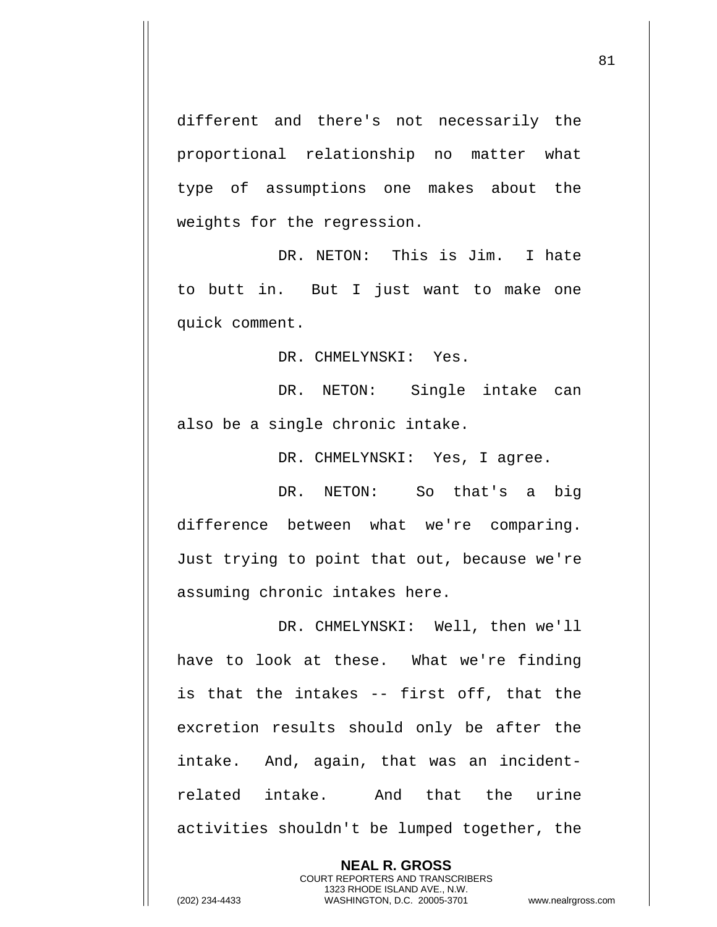different and there's not necessarily the proportional relationship no matter what type of assumptions one makes about the weights for the regression.

DR. NETON: This is Jim. I hate to butt in. But I just want to make one quick comment.

DR. CHMELYNSKI: Yes.

DR. NETON: Single intake can also be a single chronic intake.

DR. CHMELYNSKI: Yes, I agree.

DR. NETON: So that's a big difference between what we're comparing. Just trying to point that out, because we're assuming chronic intakes here.

DR. CHMELYNSKI: Well, then we'll have to look at these. What we're finding is that the intakes -- first off, that the excretion results should only be after the intake. And, again, that was an incidentrelated intake. And that the urine activities shouldn't be lumped together, the

> **NEAL R. GROSS** COURT REPORTERS AND TRANSCRIBERS 1323 RHODE ISLAND AVE., N.W.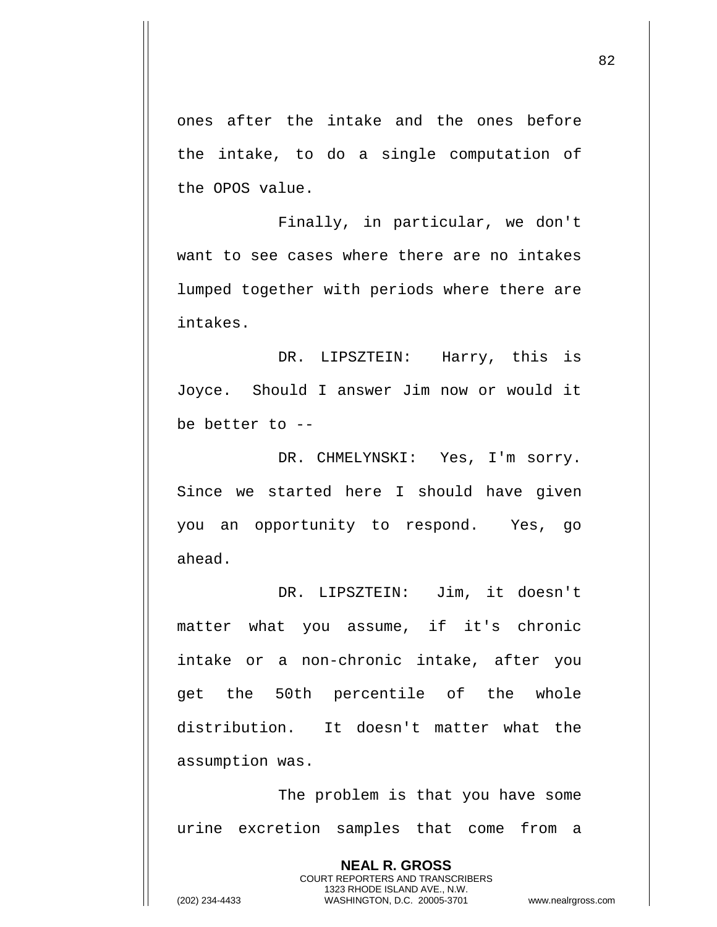ones after the intake and the ones before the intake, to do a single computation of the OPOS value.

Finally, in particular, we don't want to see cases where there are no intakes lumped together with periods where there are intakes.

DR. LIPSZTEIN: Harry, this is Joyce. Should I answer Jim now or would it be better to --

DR. CHMELYNSKI: Yes, I'm sorry. Since we started here I should have given you an opportunity to respond. Yes, go ahead.

DR. LIPSZTEIN: Jim, it doesn't matter what you assume, if it's chronic intake or a non-chronic intake, after you get the 50th percentile of the whole distribution. It doesn't matter what the assumption was.

The problem is that you have some urine excretion samples that come from a

> **NEAL R. GROSS** COURT REPORTERS AND TRANSCRIBERS 1323 RHODE ISLAND AVE., N.W.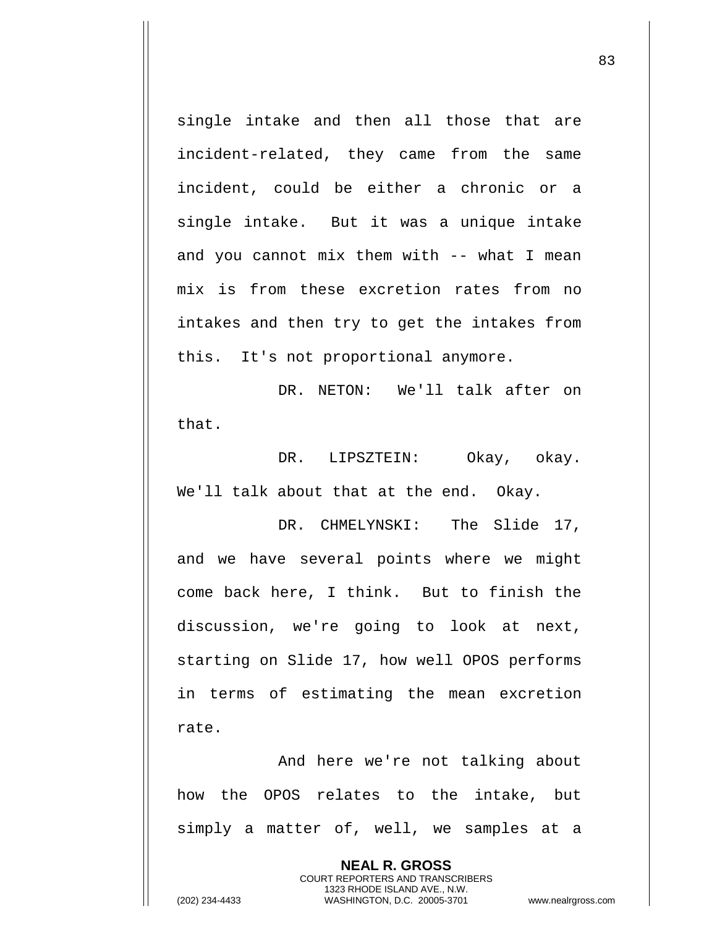single intake and then all those that are incident-related, they came from the same incident, could be either a chronic or a single intake. But it was a unique intake and you cannot mix them with -- what I mean mix is from these excretion rates from no intakes and then try to get the intakes from this. It's not proportional anymore.

DR. NETON: We'll talk after on that.

DR. LIPSZTEIN: Okay, okay. We'll talk about that at the end. Okay.

DR. CHMELYNSKI: The Slide 17, and we have several points where we might come back here, I think. But to finish the discussion, we're going to look at next, starting on Slide 17, how well OPOS performs in terms of estimating the mean excretion rate.

And here we're not talking about how the OPOS relates to the intake, but simply a matter of, well, we samples at a

> **NEAL R. GROSS** COURT REPORTERS AND TRANSCRIBERS 1323 RHODE ISLAND AVE., N.W.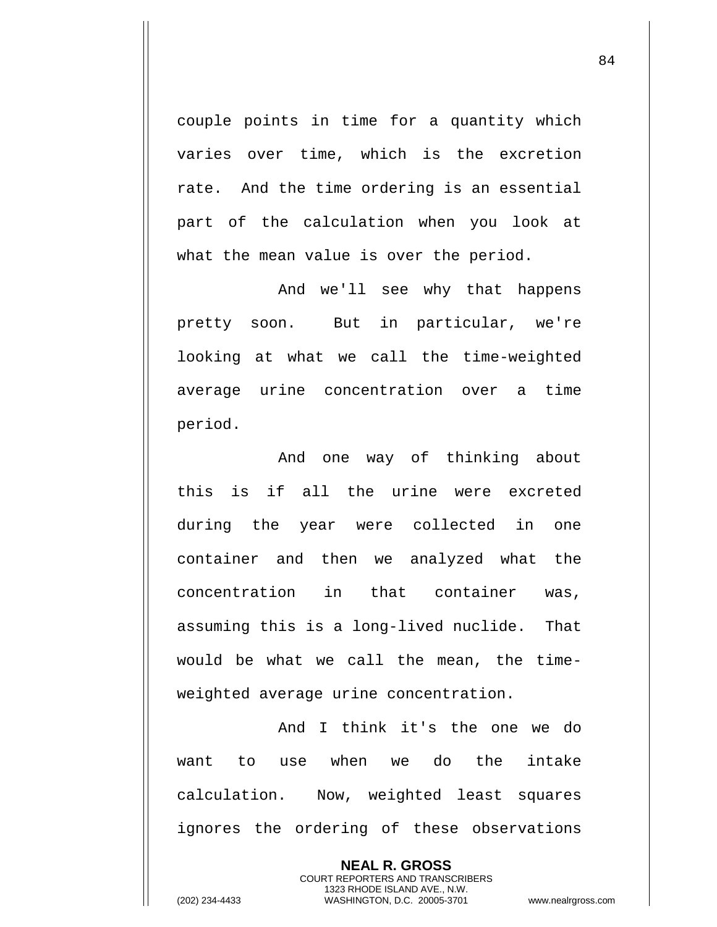couple points in time for a quantity which varies over time, which is the excretion rate. And the time ordering is an essential part of the calculation when you look at what the mean value is over the period.

And we'll see why that happens pretty soon. But in particular, we're looking at what we call the time-weighted average urine concentration over a time period.

And one way of thinking about this is if all the urine were excreted during the year were collected in one container and then we analyzed what the concentration in that container was, assuming this is a long-lived nuclide. That would be what we call the mean, the timeweighted average urine concentration.

And I think it's the one we do want to use when we do the intake calculation. Now, weighted least squares ignores the ordering of these observations

> **NEAL R. GROSS** COURT REPORTERS AND TRANSCRIBERS 1323 RHODE ISLAND AVE., N.W.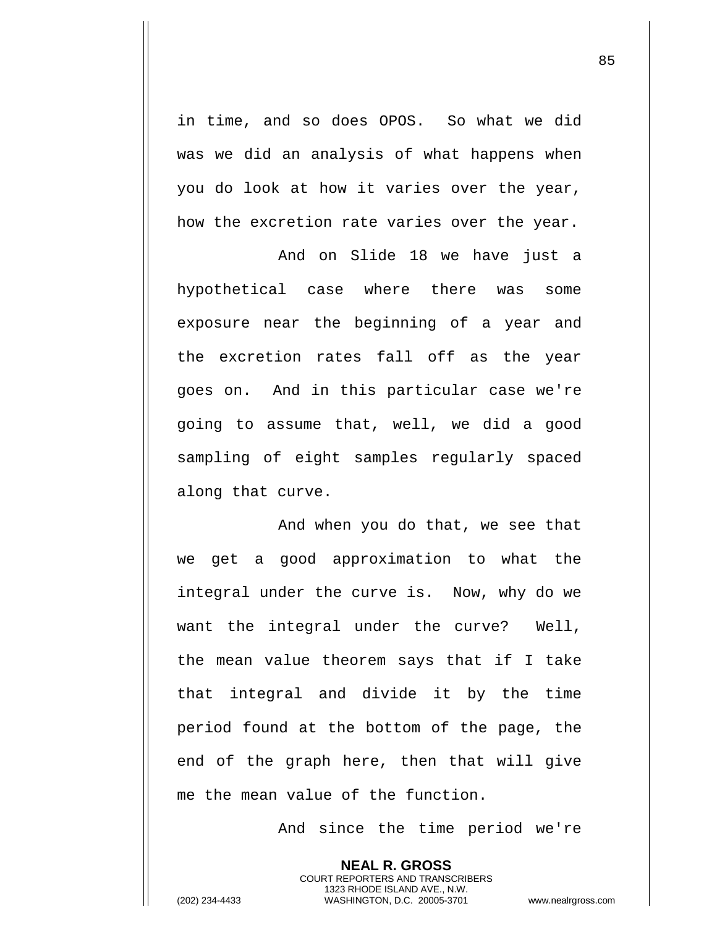in time, and so does OPOS. So what we did was we did an analysis of what happens when you do look at how it varies over the year, how the excretion rate varies over the year.

And on Slide 18 we have just a hypothetical case where there was some exposure near the beginning of a year and the excretion rates fall off as the year goes on. And in this particular case we're going to assume that, well, we did a good sampling of eight samples regularly spaced along that curve.

And when you do that, we see that we get a good approximation to what the integral under the curve is. Now, why do we want the integral under the curve? Well, the mean value theorem says that if I take that integral and divide it by the time period found at the bottom of the page, the end of the graph here, then that will give me the mean value of the function.

And since the time period we're

**NEAL R. GROSS** COURT REPORTERS AND TRANSCRIBERS 1323 RHODE ISLAND AVE., N.W.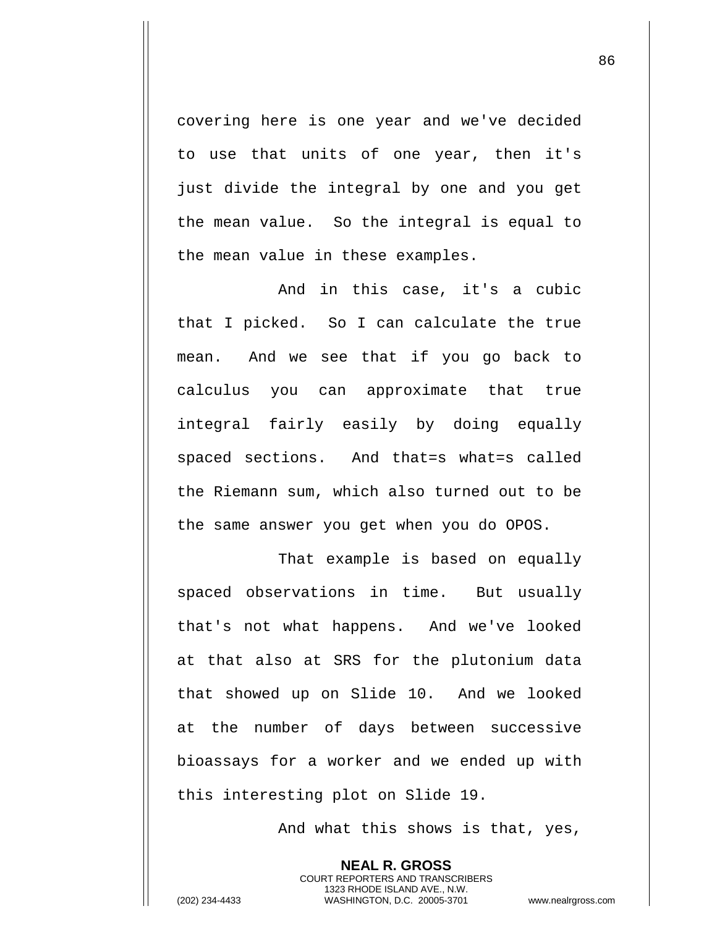covering here is one year and we've decided to use that units of one year, then it's just divide the integral by one and you get the mean value. So the integral is equal to the mean value in these examples.

And in this case, it's a cubic that I picked. So I can calculate the true mean. And we see that if you go back to calculus you can approximate that true integral fairly easily by doing equally spaced sections. And that=s what=s called the Riemann sum, which also turned out to be the same answer you get when you do OPOS.

That example is based on equally spaced observations in time. But usually that's not what happens. And we've looked at that also at SRS for the plutonium data that showed up on Slide 10. And we looked at the number of days between successive bioassays for a worker and we ended up with this interesting plot on Slide 19.

And what this shows is that, yes,

**NEAL R. GROSS** COURT REPORTERS AND TRANSCRIBERS 1323 RHODE ISLAND AVE., N.W.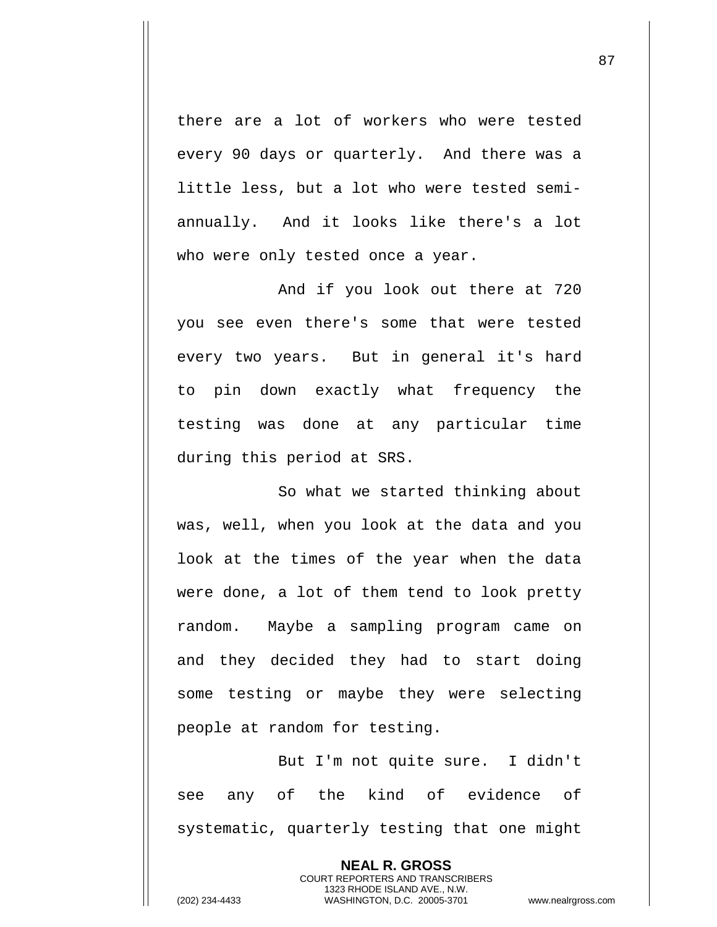there are a lot of workers who were tested every 90 days or quarterly. And there was a little less, but a lot who were tested semiannually. And it looks like there's a lot who were only tested once a year.

And if you look out there at 720 you see even there's some that were tested every two years. But in general it's hard to pin down exactly what frequency the testing was done at any particular time during this period at SRS.

So what we started thinking about was, well, when you look at the data and you look at the times of the year when the data were done, a lot of them tend to look pretty random. Maybe a sampling program came on and they decided they had to start doing some testing or maybe they were selecting people at random for testing.

But I'm not quite sure. I didn't see any of the kind of evidence of systematic, quarterly testing that one might

> **NEAL R. GROSS** COURT REPORTERS AND TRANSCRIBERS 1323 RHODE ISLAND AVE., N.W.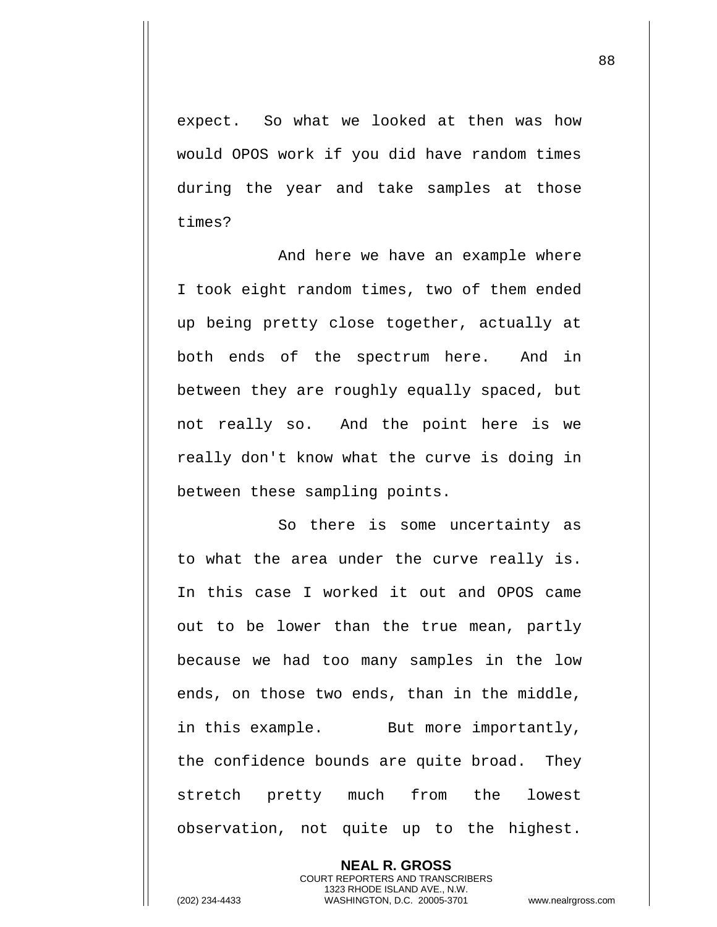expect. So what we looked at then was how would OPOS work if you did have random times during the year and take samples at those times?

And here we have an example where I took eight random times, two of them ended up being pretty close together, actually at both ends of the spectrum here. And in between they are roughly equally spaced, but not really so. And the point here is we really don't know what the curve is doing in between these sampling points.

So there is some uncertainty as to what the area under the curve really is. In this case I worked it out and OPOS came out to be lower than the true mean, partly because we had too many samples in the low ends, on those two ends, than in the middle, in this example. But more importantly, the confidence bounds are quite broad. They stretch pretty much from the lowest observation, not quite up to the highest.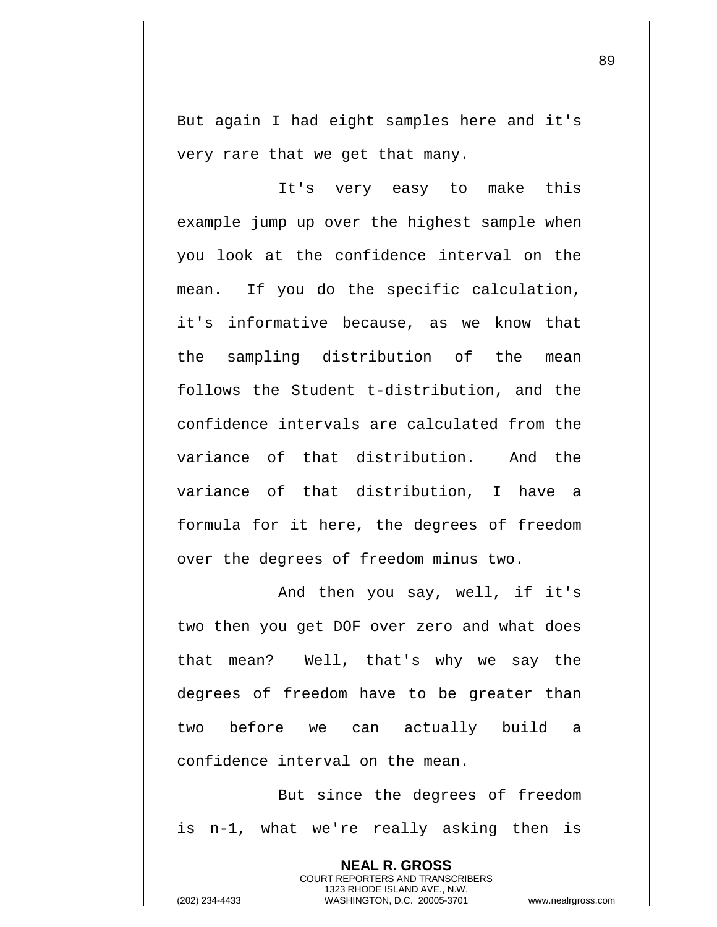But again I had eight samples here and it's very rare that we get that many.

It's very easy to make this example jump up over the highest sample when you look at the confidence interval on the mean. If you do the specific calculation, it's informative because, as we know that the sampling distribution of the mean follows the Student t-distribution, and the confidence intervals are calculated from the variance of that distribution. And the variance of that distribution, I have a formula for it here, the degrees of freedom over the degrees of freedom minus two.

And then you say, well, if it's two then you get DOF over zero and what does that mean? Well, that's why we say the degrees of freedom have to be greater than two before we can actually build a confidence interval on the mean.

But since the degrees of freedom is n-1, what we're really asking then is

> **NEAL R. GROSS** COURT REPORTERS AND TRANSCRIBERS 1323 RHODE ISLAND AVE., N.W.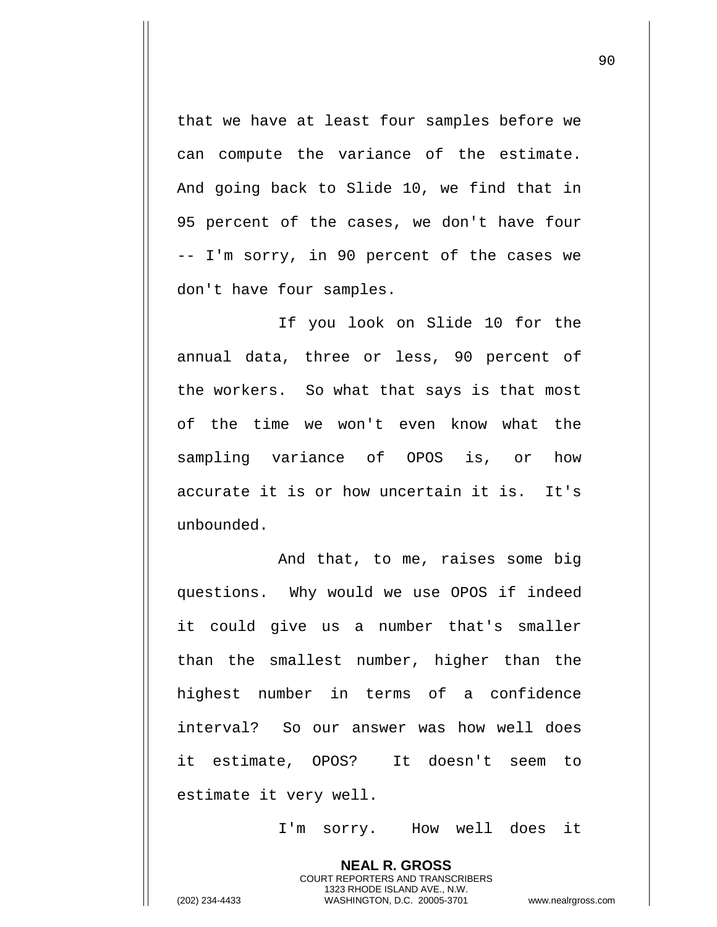that we have at least four samples before we can compute the variance of the estimate. And going back to Slide 10, we find that in 95 percent of the cases, we don't have four -- I'm sorry, in 90 percent of the cases we don't have four samples.

If you look on Slide 10 for the annual data, three or less, 90 percent of the workers. So what that says is that most of the time we won't even know what the sampling variance of OPOS is, or how accurate it is or how uncertain it is. It's unbounded.

And that, to me, raises some big questions. Why would we use OPOS if indeed it could give us a number that's smaller than the smallest number, higher than the highest number in terms of a confidence interval? So our answer was how well does it estimate, OPOS? It doesn't seem to estimate it very well.

I'm sorry. How well does it

**NEAL R. GROSS** COURT REPORTERS AND TRANSCRIBERS 1323 RHODE ISLAND AVE., N.W.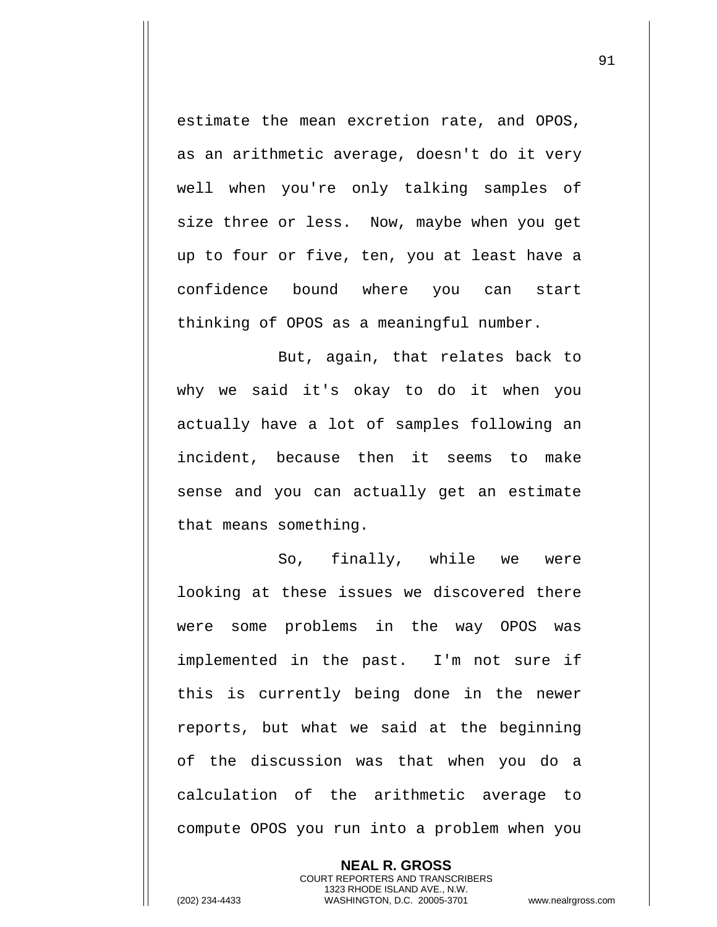estimate the mean excretion rate, and OPOS, as an arithmetic average, doesn't do it very well when you're only talking samples of size three or less. Now, maybe when you get up to four or five, ten, you at least have a confidence bound where you can start thinking of OPOS as a meaningful number.

But, again, that relates back to why we said it's okay to do it when you actually have a lot of samples following an incident, because then it seems to make sense and you can actually get an estimate that means something.

So, finally, while we were looking at these issues we discovered there were some problems in the way OPOS was implemented in the past. I'm not sure if this is currently being done in the newer reports, but what we said at the beginning of the discussion was that when you do a calculation of the arithmetic average to compute OPOS you run into a problem when you

**NEAL R. GROSS** COURT REPORTERS AND TRANSCRIBERS 1323 RHODE ISLAND AVE., N.W. (202) 234-4433 WASHINGTON, D.C. 20005-3701 www.nealrgross.com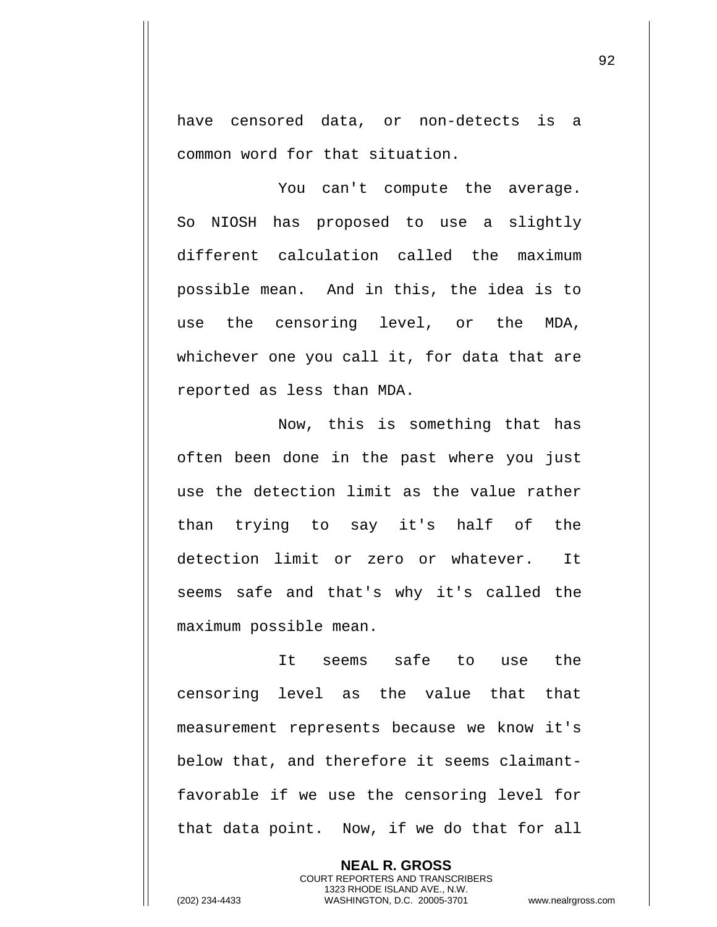have censored data, or non-detects is a common word for that situation.

You can't compute the average. So NIOSH has proposed to use a slightly different calculation called the maximum possible mean. And in this, the idea is to use the censoring level, or the MDA, whichever one you call it, for data that are reported as less than MDA.

Now, this is something that has often been done in the past where you just use the detection limit as the value rather than trying to say it's half of the detection limit or zero or whatever. It seems safe and that's why it's called the maximum possible mean.

It seems safe to use the censoring level as the value that that measurement represents because we know it's below that, and therefore it seems claimantfavorable if we use the censoring level for that data point. Now, if we do that for all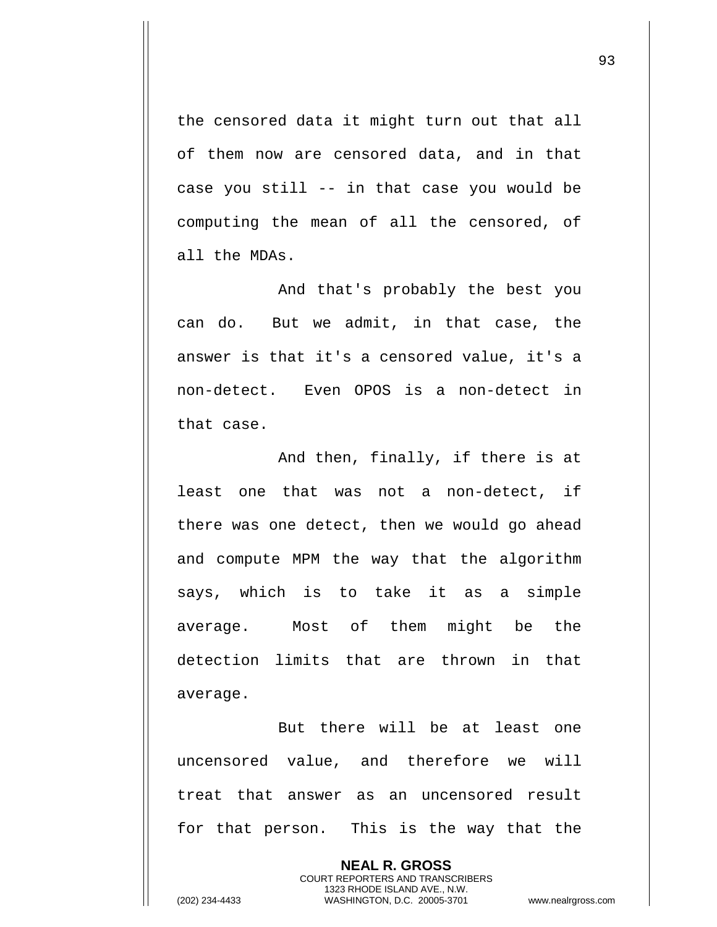the censored data it might turn out that all of them now are censored data, and in that case you still -- in that case you would be computing the mean of all the censored, of all the MDAs.

And that's probably the best you can do. But we admit, in that case, the answer is that it's a censored value, it's a non-detect. Even OPOS is a non-detect in that case.

And then, finally, if there is at least one that was not a non-detect, if there was one detect, then we would go ahead and compute MPM the way that the algorithm says, which is to take it as a simple average. Most of them might be the detection limits that are thrown in that average.

But there will be at least one uncensored value, and therefore we will treat that answer as an uncensored result for that person. This is the way that the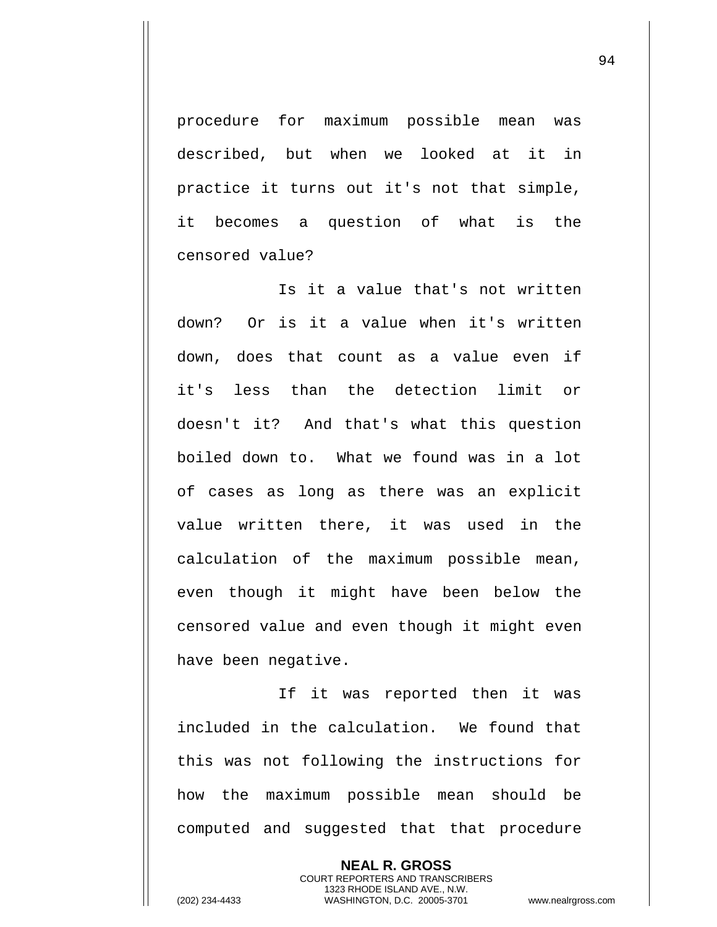procedure for maximum possible mean was described, but when we looked at it in practice it turns out it's not that simple, it becomes a question of what is the censored value?

Is it a value that's not written down? Or is it a value when it's written down, does that count as a value even if it's less than the detection limit or doesn't it? And that's what this question boiled down to. What we found was in a lot of cases as long as there was an explicit value written there, it was used in the calculation of the maximum possible mean, even though it might have been below the censored value and even though it might even have been negative.

If it was reported then it was included in the calculation. We found that this was not following the instructions for how the maximum possible mean should be computed and suggested that that procedure

> **NEAL R. GROSS** COURT REPORTERS AND TRANSCRIBERS 1323 RHODE ISLAND AVE., N.W.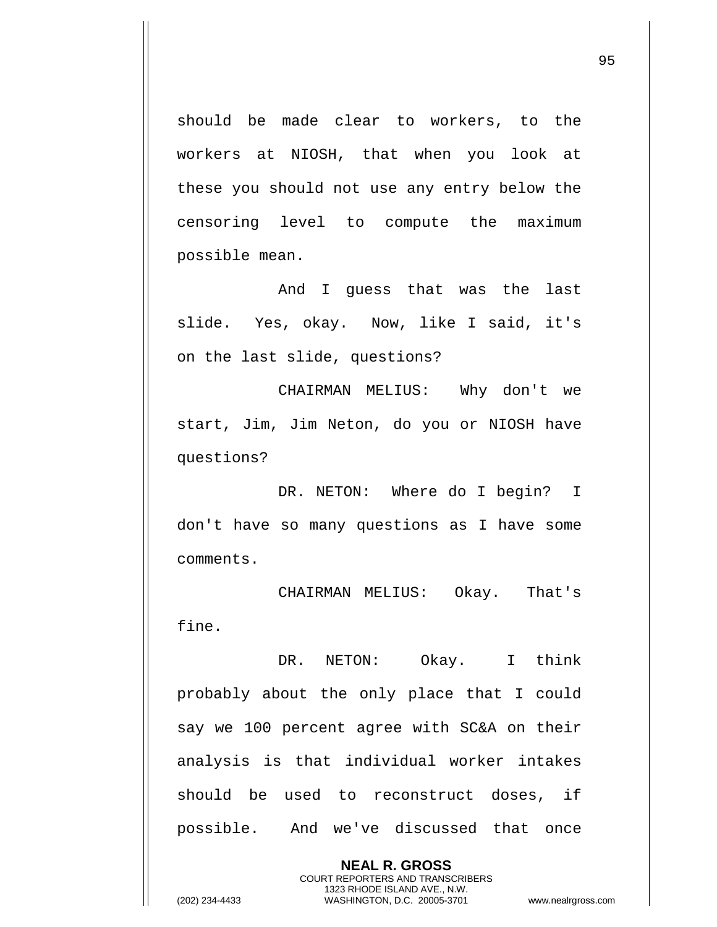should be made clear to workers, to the workers at NIOSH, that when you look at these you should not use any entry below the censoring level to compute the maximum possible mean.

And I guess that was the last slide. Yes, okay. Now, like I said, it's on the last slide, questions?

CHAIRMAN MELIUS: Why don't we start, Jim, Jim Neton, do you or NIOSH have questions?

DR. NETON: Where do I begin? I don't have so many questions as I have some comments.

CHAIRMAN MELIUS: Okay. That's fine.

DR. NETON: Okay. I think probably about the only place that I could say we 100 percent agree with SC&A on their analysis is that individual worker intakes should be used to reconstruct doses, if possible. And we've discussed that once

> **NEAL R. GROSS** COURT REPORTERS AND TRANSCRIBERS 1323 RHODE ISLAND AVE., N.W.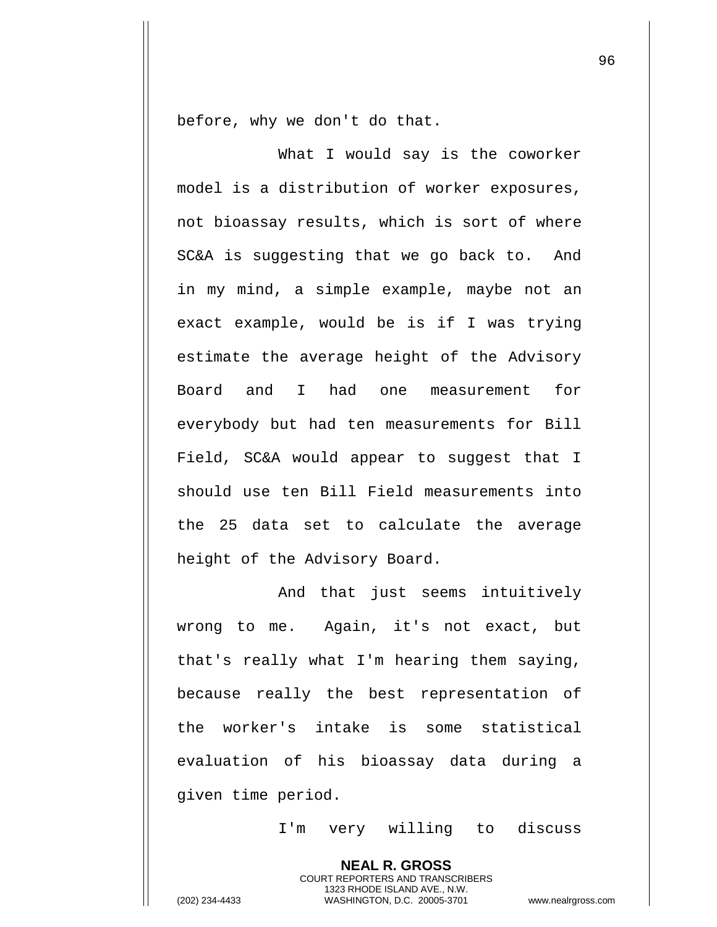before, why we don't do that.

What I would say is the coworker model is a distribution of worker exposures, not bioassay results, which is sort of where SC&A is suggesting that we go back to. And in my mind, a simple example, maybe not an exact example, would be is if I was trying estimate the average height of the Advisory Board and I had one measurement for everybody but had ten measurements for Bill Field, SC&A would appear to suggest that I should use ten Bill Field measurements into the 25 data set to calculate the average height of the Advisory Board.

And that just seems intuitively wrong to me. Again, it's not exact, but that's really what I'm hearing them saying, because really the best representation of the worker's intake is some statistical evaluation of his bioassay data during a given time period.

I'm very willing to discuss

**NEAL R. GROSS** COURT REPORTERS AND TRANSCRIBERS 1323 RHODE ISLAND AVE., N.W.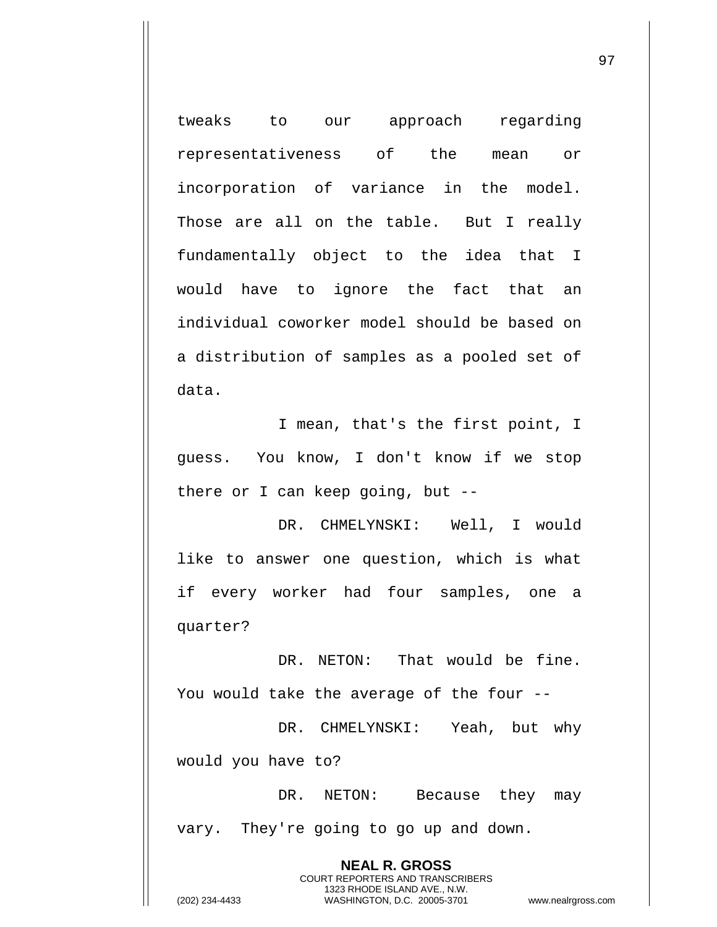tweaks to our approach regarding representativeness of the mean or incorporation of variance in the model. Those are all on the table. But I really fundamentally object to the idea that I would have to ignore the fact that an individual coworker model should be based on a distribution of samples as a pooled set of data.

I mean, that's the first point, I guess. You know, I don't know if we stop there or I can keep going, but --

DR. CHMELYNSKI: Well, I would like to answer one question, which is what if every worker had four samples, one a quarter?

DR. NETON: That would be fine. You would take the average of the four --

DR. CHMELYNSKI: Yeah, but why would you have to?

DR. NETON: Because they may vary. They're going to go up and down.

> **NEAL R. GROSS** COURT REPORTERS AND TRANSCRIBERS 1323 RHODE ISLAND AVE., N.W.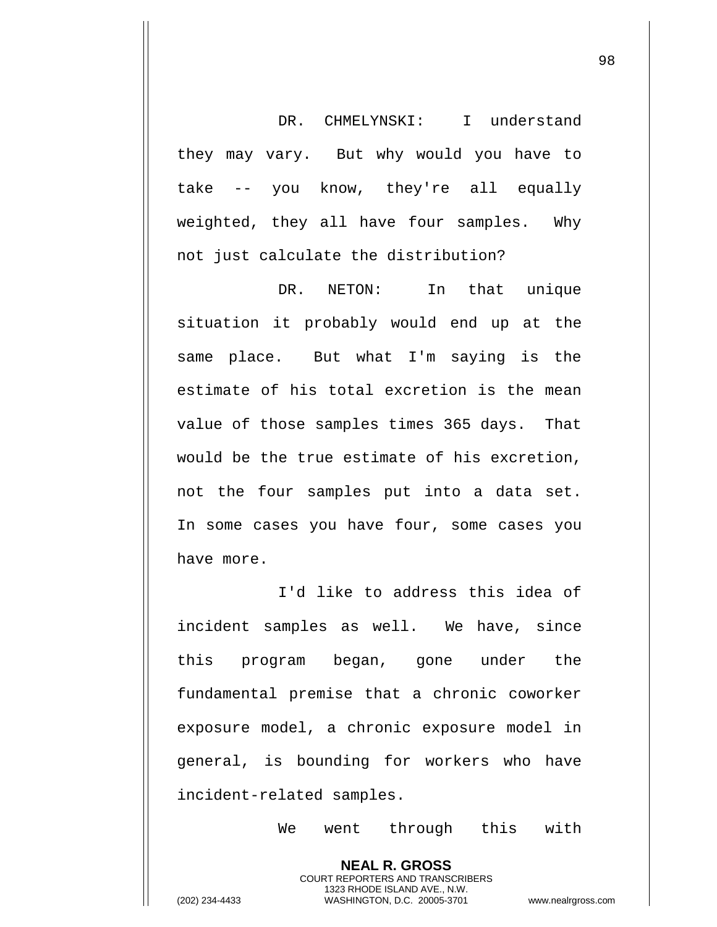DR. CHMELYNSKI: I understand they may vary. But why would you have to take -- you know, they're all equally weighted, they all have four samples. Why not just calculate the distribution?

DR. NETON: In that unique situation it probably would end up at the same place. But what I'm saying is the estimate of his total excretion is the mean value of those samples times 365 days. That would be the true estimate of his excretion, not the four samples put into a data set. In some cases you have four, some cases you have more.

I'd like to address this idea of incident samples as well. We have, since this program began, gone under the fundamental premise that a chronic coworker exposure model, a chronic exposure model in general, is bounding for workers who have incident-related samples.

We went through this with

**NEAL R. GROSS** COURT REPORTERS AND TRANSCRIBERS 1323 RHODE ISLAND AVE., N.W.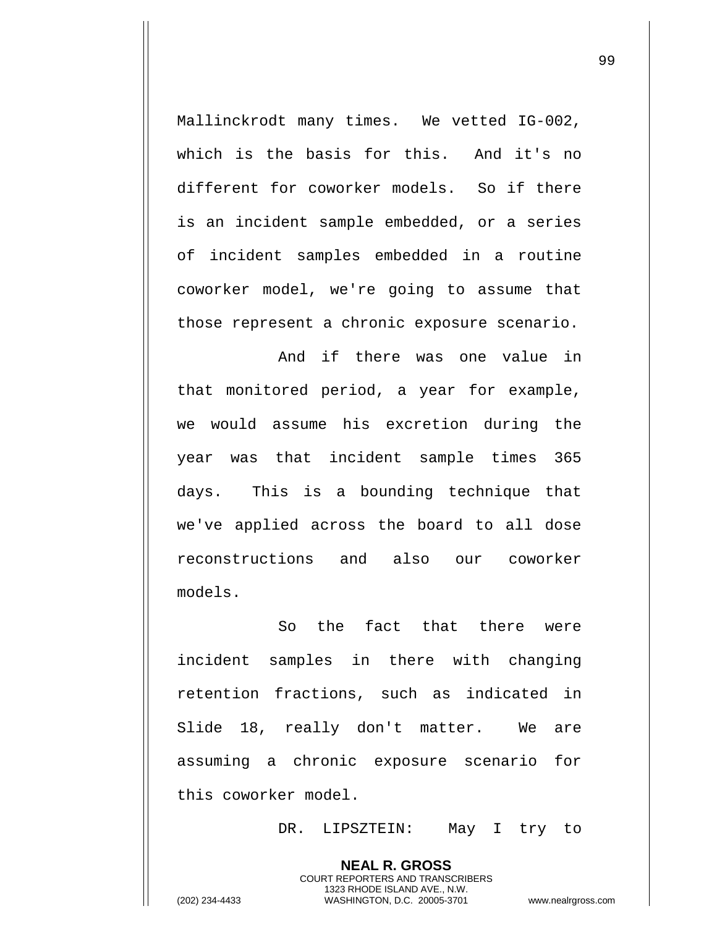Mallinckrodt many times. We vetted IG-002, which is the basis for this. And it's no different for coworker models. So if there is an incident sample embedded, or a series of incident samples embedded in a routine coworker model, we're going to assume that those represent a chronic exposure scenario.

And if there was one value in that monitored period, a year for example, we would assume his excretion during the year was that incident sample times 365 days. This is a bounding technique that we've applied across the board to all dose reconstructions and also our coworker models.

So the fact that there were incident samples in there with changing retention fractions, such as indicated in Slide 18, really don't matter. We are assuming a chronic exposure scenario for this coworker model.

DR. LIPSZTEIN: May I try to

**NEAL R. GROSS** COURT REPORTERS AND TRANSCRIBERS 1323 RHODE ISLAND AVE., N.W.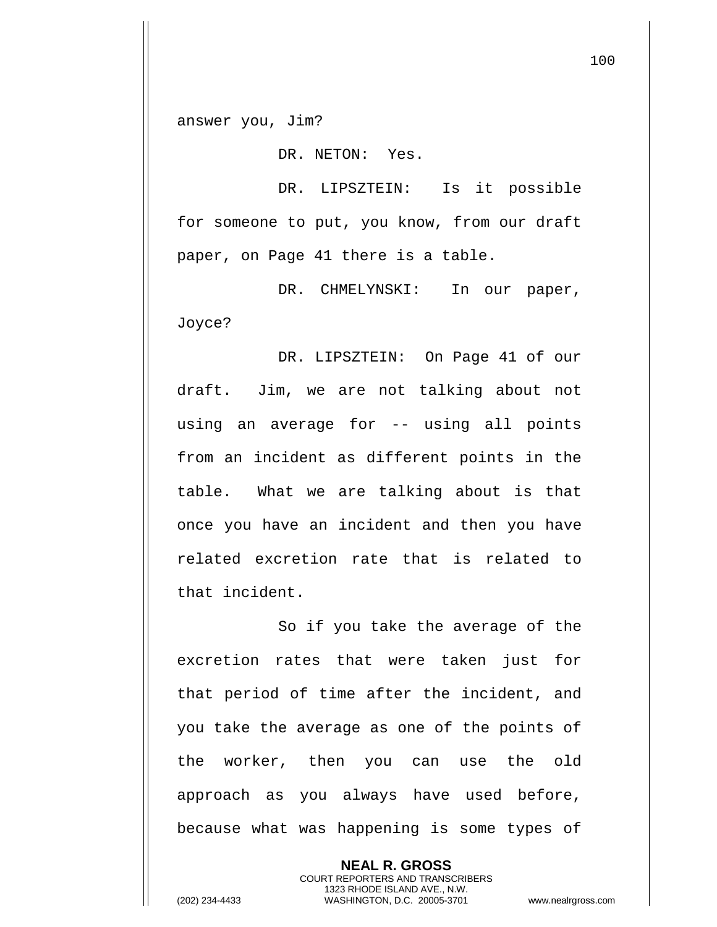answer you, Jim?

DR. NETON: Yes.

DR. LIPSZTEIN: Is it possible for someone to put, you know, from our draft paper, on Page 41 there is a table.

DR. CHMELYNSKI: In our paper, Joyce?

DR. LIPSZTEIN: On Page 41 of our draft. Jim, we are not talking about not using an average for -- using all points from an incident as different points in the table. What we are talking about is that once you have an incident and then you have related excretion rate that is related to that incident.

So if you take the average of the excretion rates that were taken just for that period of time after the incident, and you take the average as one of the points of the worker, then you can use the old approach as you always have used before, because what was happening is some types of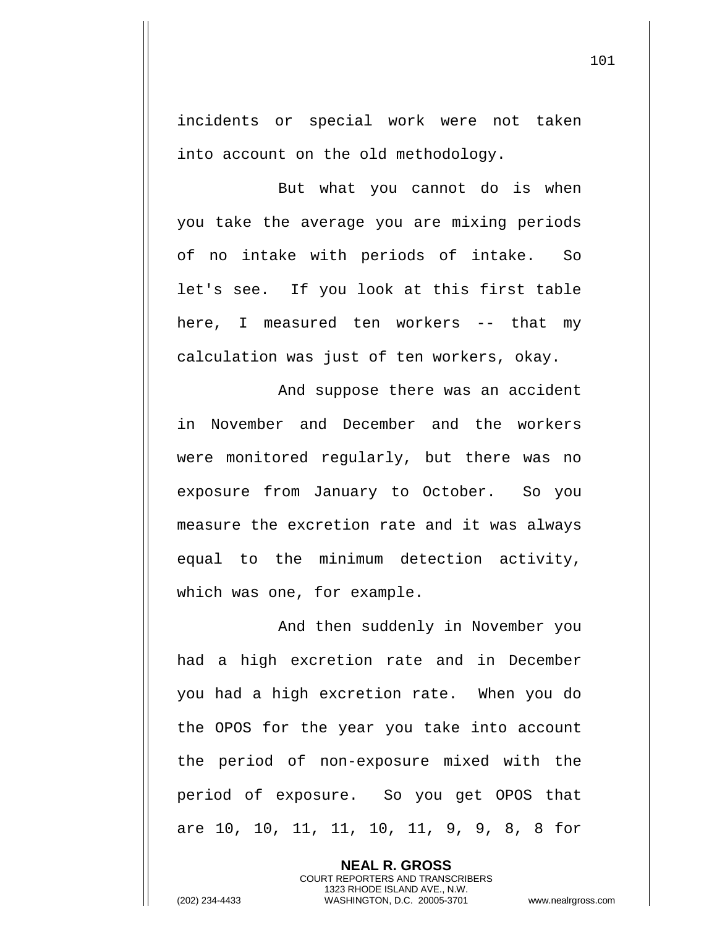incidents or special work were not taken into account on the old methodology.

But what you cannot do is when you take the average you are mixing periods of no intake with periods of intake. So let's see. If you look at this first table here, I measured ten workers -- that my calculation was just of ten workers, okay.

And suppose there was an accident in November and December and the workers were monitored regularly, but there was no exposure from January to October. So you measure the excretion rate and it was always equal to the minimum detection activity, which was one, for example.

And then suddenly in November you had a high excretion rate and in December you had a high excretion rate. When you do the OPOS for the year you take into account the period of non-exposure mixed with the period of exposure. So you get OPOS that are 10, 10, 11, 11, 10, 11, 9, 9, 8, 8 for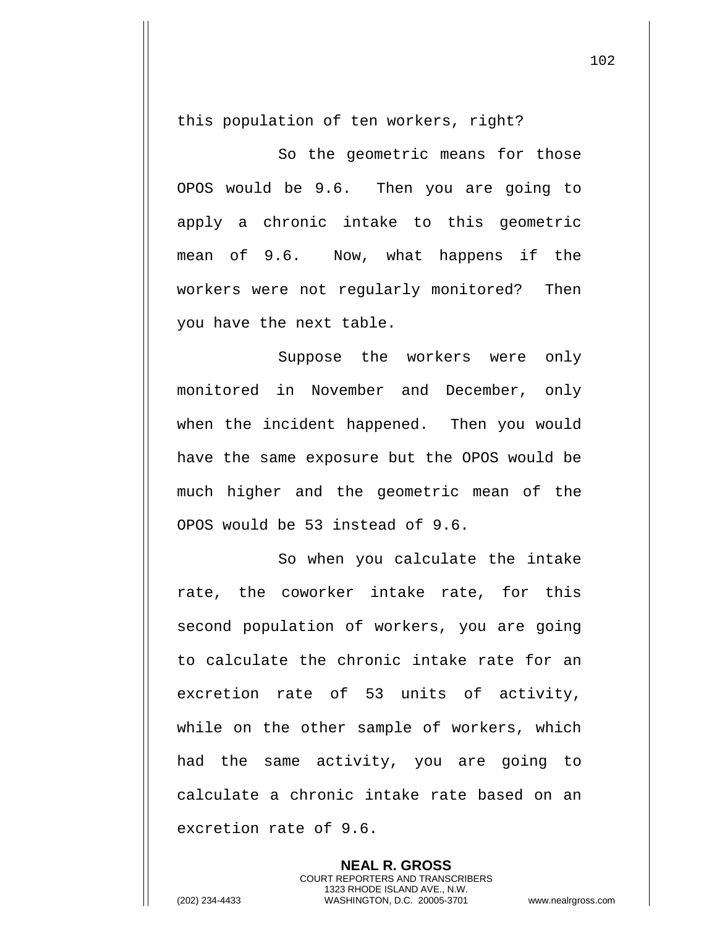this population of ten workers, right?

So the geometric means for those OPOS would be 9.6. Then you are going to apply a chronic intake to this geometric mean of 9.6. Now, what happens if the workers were not regularly monitored? Then you have the next table.

Suppose the workers were only monitored in November and December, only when the incident happened. Then you would have the same exposure but the OPOS would be much higher and the geometric mean of the OPOS would be 53 instead of 9.6.

So when you calculate the intake rate, the coworker intake rate, for this second population of workers, you are going to calculate the chronic intake rate for an excretion rate of 53 units of activity, while on the other sample of workers, which had the same activity, you are going to calculate a chronic intake rate based on an excretion rate of 9.6.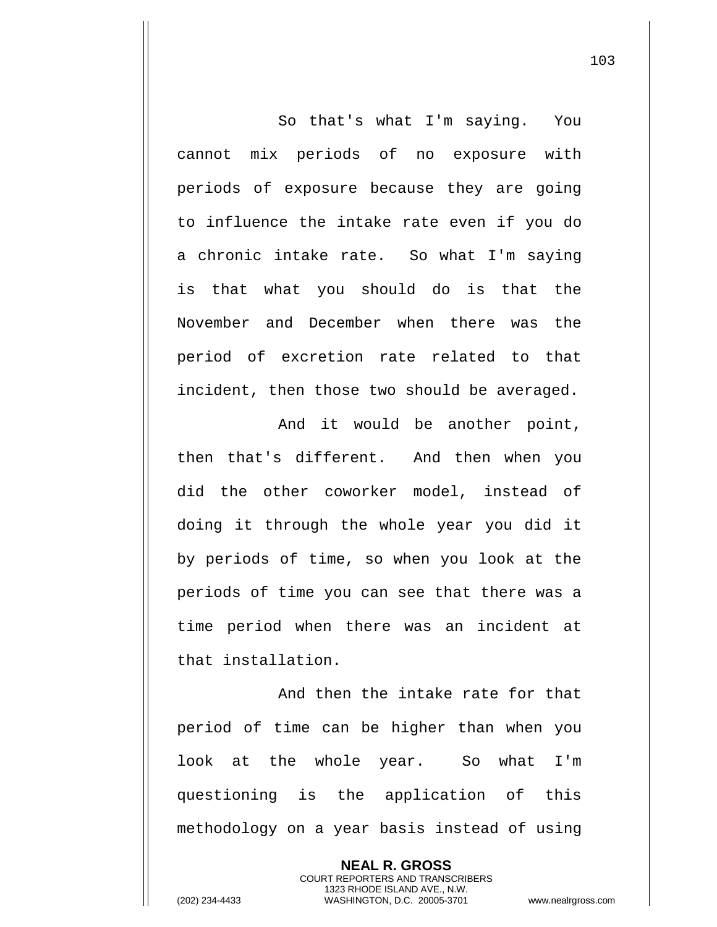So that's what I'm saying. You cannot mix periods of no exposure with periods of exposure because they are going to influence the intake rate even if you do a chronic intake rate. So what I'm saying is that what you should do is that the November and December when there was the period of excretion rate related to that incident, then those two should be averaged.

And it would be another point, then that's different. And then when you did the other coworker model, instead of doing it through the whole year you did it by periods of time, so when you look at the periods of time you can see that there was a time period when there was an incident at that installation.

And then the intake rate for that period of time can be higher than when you look at the whole year. So what I'm questioning is the application of this methodology on a year basis instead of using

**NEAL R. GROSS** COURT REPORTERS AND TRANSCRIBERS 1323 RHODE ISLAND AVE., N.W. (202) 234-4433 WASHINGTON, D.C. 20005-3701 www.nealrgross.com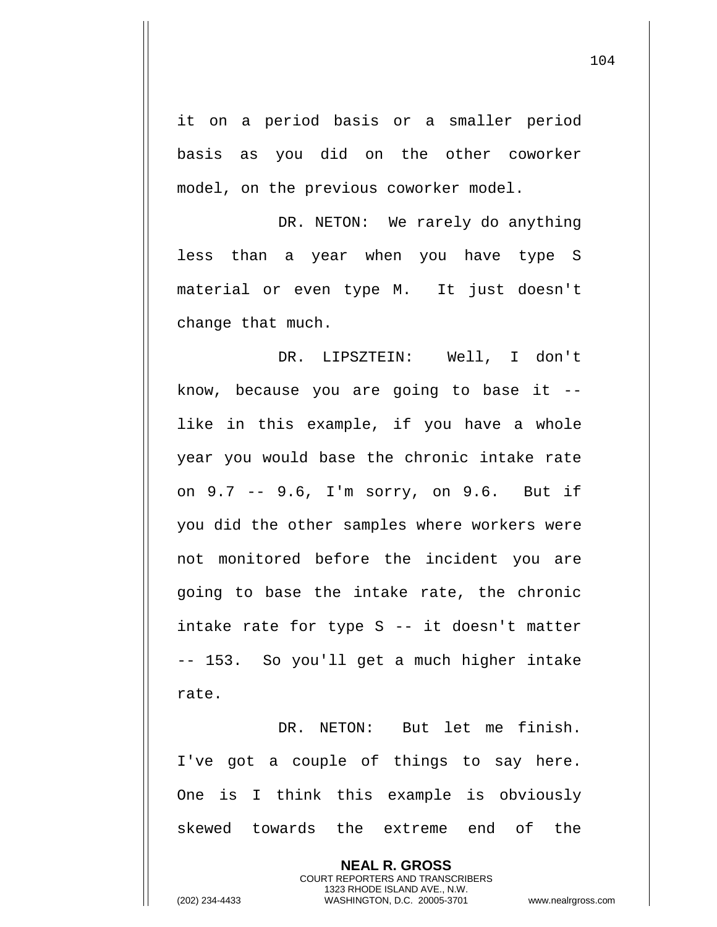it on a period basis or a smaller period basis as you did on the other coworker model, on the previous coworker model.

DR. NETON: We rarely do anything less than a year when you have type S material or even type M. It just doesn't change that much.

DR. LIPSZTEIN: Well, I don't know, because you are going to base it - like in this example, if you have a whole year you would base the chronic intake rate on 9.7 -- 9.6, I'm sorry, on 9.6. But if you did the other samples where workers were not monitored before the incident you are going to base the intake rate, the chronic intake rate for type S -- it doesn't matter -- 153. So you'll get a much higher intake rate.

DR. NETON: But let me finish. I've got a couple of things to say here. One is I think this example is obviously skewed towards the extreme end of the

> **NEAL R. GROSS** COURT REPORTERS AND TRANSCRIBERS 1323 RHODE ISLAND AVE., N.W.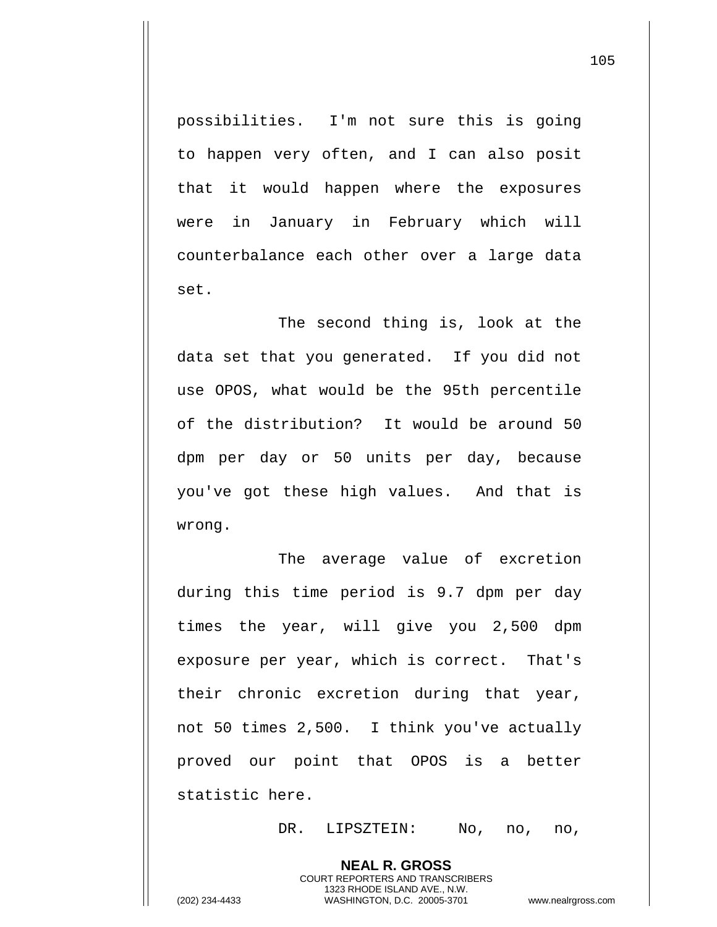possibilities. I'm not sure this is going to happen very often, and I can also posit that it would happen where the exposures were in January in February which will counterbalance each other over a large data set.

The second thing is, look at the data set that you generated. If you did not use OPOS, what would be the 95th percentile of the distribution? It would be around 50 dpm per day or 50 units per day, because you've got these high values. And that is wrong.

The average value of excretion during this time period is 9.7 dpm per day times the year, will give you 2,500 dpm exposure per year, which is correct. That's their chronic excretion during that year, not 50 times 2,500. I think you've actually proved our point that OPOS is a better statistic here.

DR. LIPSZTEIN: No, no, no,

**NEAL R. GROSS** COURT REPORTERS AND TRANSCRIBERS 1323 RHODE ISLAND AVE., N.W.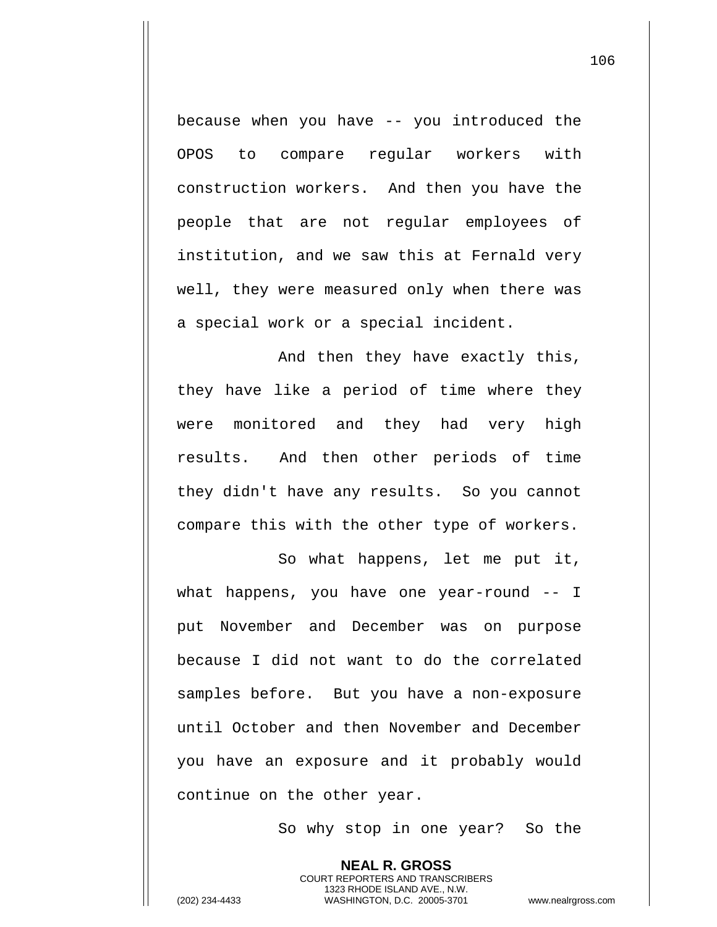because when you have -- you introduced the OPOS to compare regular workers with construction workers. And then you have the people that are not regular employees of institution, and we saw this at Fernald very well, they were measured only when there was a special work or a special incident.

And then they have exactly this, they have like a period of time where they were monitored and they had very high results. And then other periods of time they didn't have any results. So you cannot compare this with the other type of workers.

So what happens, let me put it, what happens, you have one year-round -- I put November and December was on purpose because I did not want to do the correlated samples before. But you have a non-exposure until October and then November and December you have an exposure and it probably would continue on the other year.

So why stop in one year? So the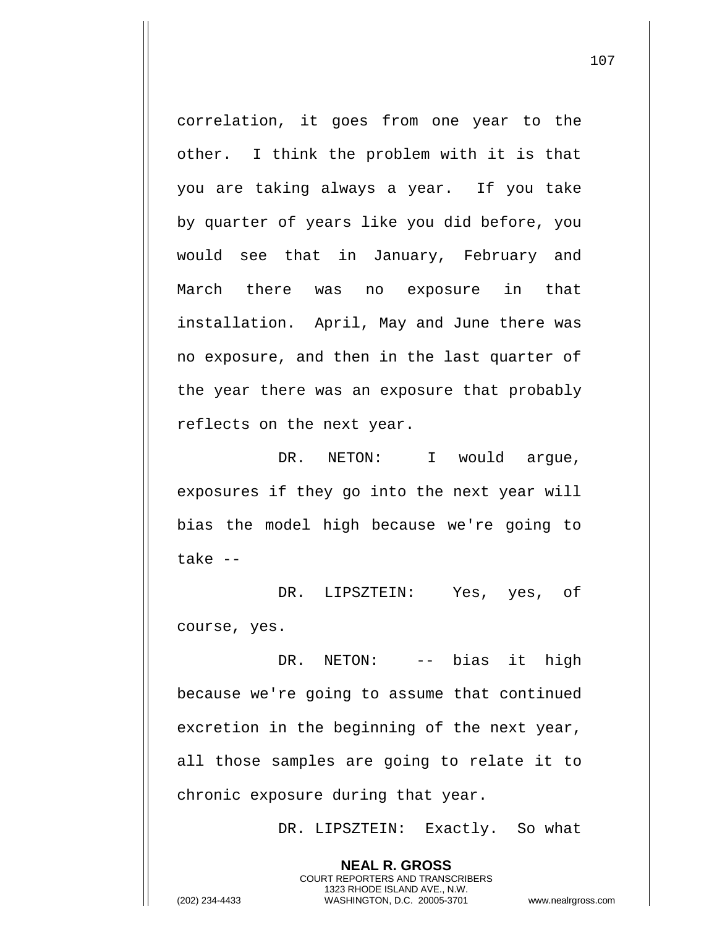correlation, it goes from one year to the other. I think the problem with it is that you are taking always a year. If you take by quarter of years like you did before, you would see that in January, February and March there was no exposure in that installation. April, May and June there was no exposure, and then in the last quarter of the year there was an exposure that probably reflects on the next year.

DR. NETON: I would arque, exposures if they go into the next year will bias the model high because we're going to take --

DR. LIPSZTEIN: Yes, yes, of course, yes.

DR. NETON: -- bias it high because we're going to assume that continued excretion in the beginning of the next year, all those samples are going to relate it to chronic exposure during that year.

DR. LIPSZTEIN: Exactly. So what

**NEAL R. GROSS** COURT REPORTERS AND TRANSCRIBERS 1323 RHODE ISLAND AVE., N.W.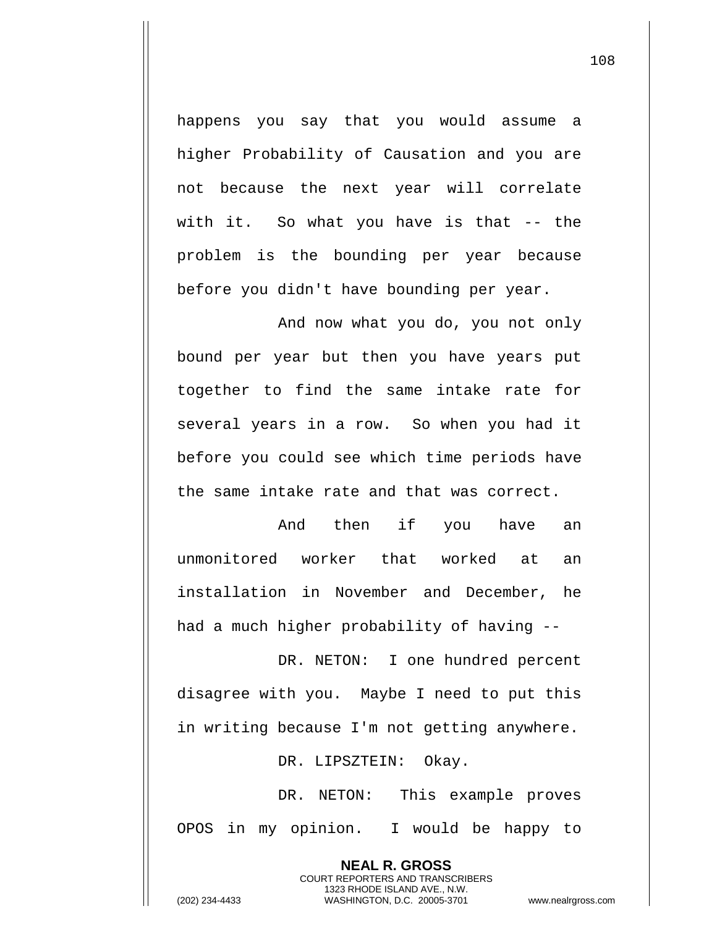happens you say that you would assume a higher Probability of Causation and you are not because the next year will correlate with it. So what you have is that -- the problem is the bounding per year because before you didn't have bounding per year.

And now what you do, you not only bound per year but then you have years put together to find the same intake rate for several years in a row. So when you had it before you could see which time periods have the same intake rate and that was correct.

And then if you have an unmonitored worker that worked at an installation in November and December, he had a much higher probability of having --

DR. NETON: I one hundred percent disagree with you. Maybe I need to put this in writing because I'm not getting anywhere.

DR. LIPSZTEIN: Okay.

DR. NETON: This example proves OPOS in my opinion. I would be happy to

> **NEAL R. GROSS** COURT REPORTERS AND TRANSCRIBERS 1323 RHODE ISLAND AVE., N.W.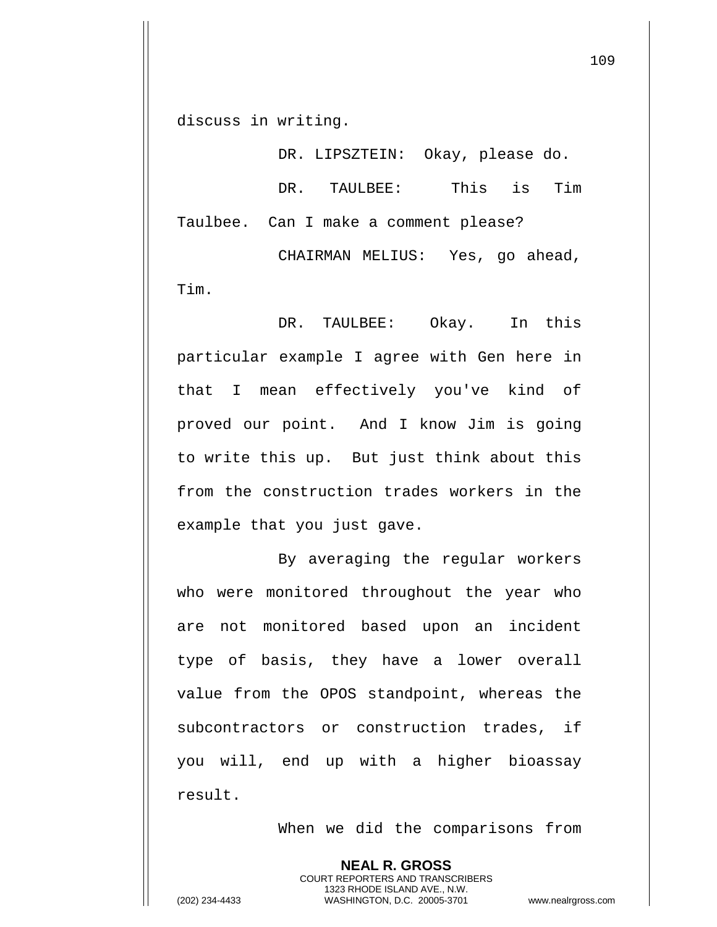discuss in writing.

DR. LIPSZTEIN: Okay, please do.

DR. TAULBEE: This is Tim Taulbee. Can I make a comment please?

CHAIRMAN MELIUS: Yes, go ahead, Tim.

DR. TAULBEE: Okay. In this particular example I agree with Gen here in that I mean effectively you've kind of proved our point. And I know Jim is going to write this up. But just think about this from the construction trades workers in the example that you just gave.

By averaging the regular workers who were monitored throughout the year who are not monitored based upon an incident type of basis, they have a lower overall value from the OPOS standpoint, whereas the subcontractors or construction trades, if you will, end up with a higher bioassay result.

When we did the comparisons from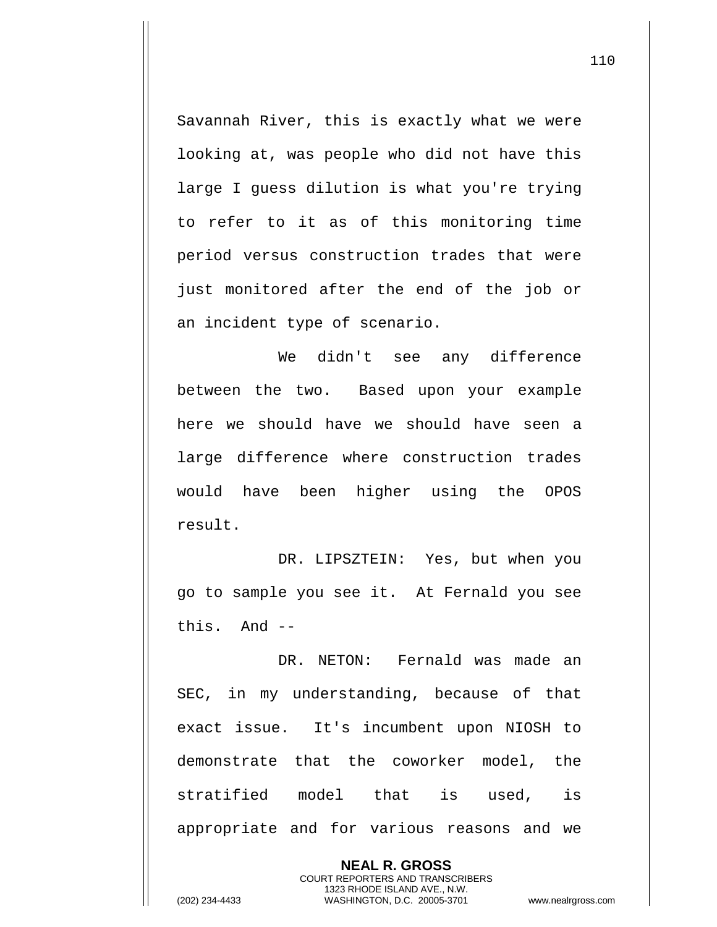Savannah River, this is exactly what we were looking at, was people who did not have this large I guess dilution is what you're trying to refer to it as of this monitoring time period versus construction trades that were just monitored after the end of the job or an incident type of scenario.

We didn't see any difference between the two. Based upon your example here we should have we should have seen a large difference where construction trades would have been higher using the OPOS result.

DR. LIPSZTEIN: Yes, but when you go to sample you see it. At Fernald you see this. And --

DR. NETON: Fernald was made an SEC, in my understanding, because of that exact issue. It's incumbent upon NIOSH to demonstrate that the coworker model, the stratified model that is used, is appropriate and for various reasons and we

> **NEAL R. GROSS** COURT REPORTERS AND TRANSCRIBERS 1323 RHODE ISLAND AVE., N.W.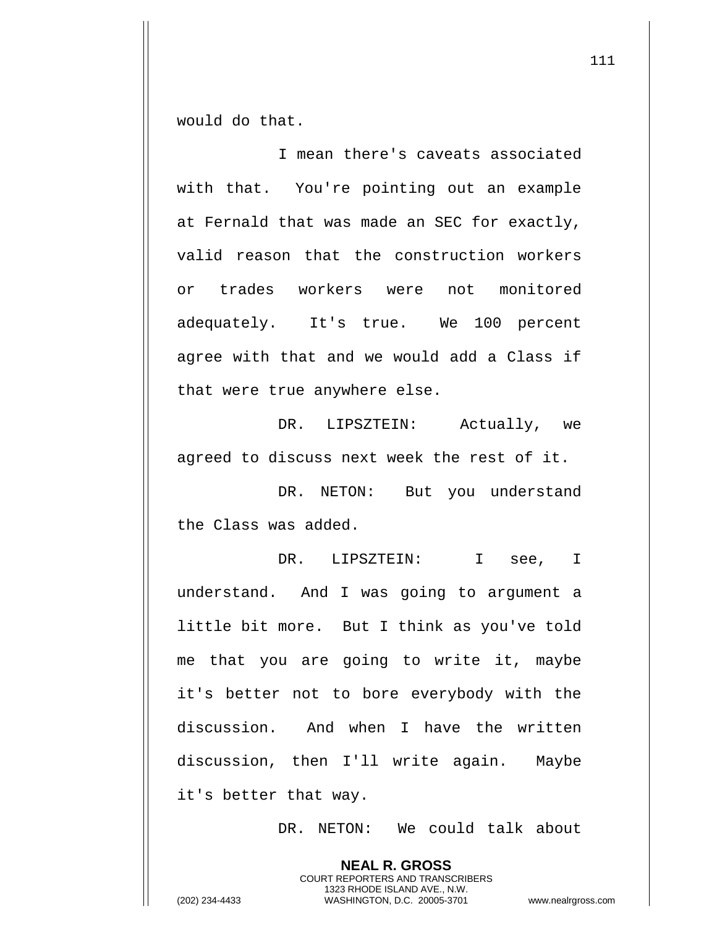would do that.

I mean there's caveats associated with that. You're pointing out an example at Fernald that was made an SEC for exactly, valid reason that the construction workers or trades workers were not monitored adequately. It's true. We 100 percent agree with that and we would add a Class if that were true anywhere else.

DR. LIPSZTEIN: Actually, we agreed to discuss next week the rest of it.

DR. NETON: But you understand the Class was added.

DR. LIPSZTEIN: I see, I understand. And I was going to argument a little bit more. But I think as you've told me that you are going to write it, maybe it's better not to bore everybody with the discussion. And when I have the written discussion, then I'll write again. Maybe it's better that way.

DR. NETON: We could talk about

**NEAL R. GROSS** COURT REPORTERS AND TRANSCRIBERS 1323 RHODE ISLAND AVE., N.W.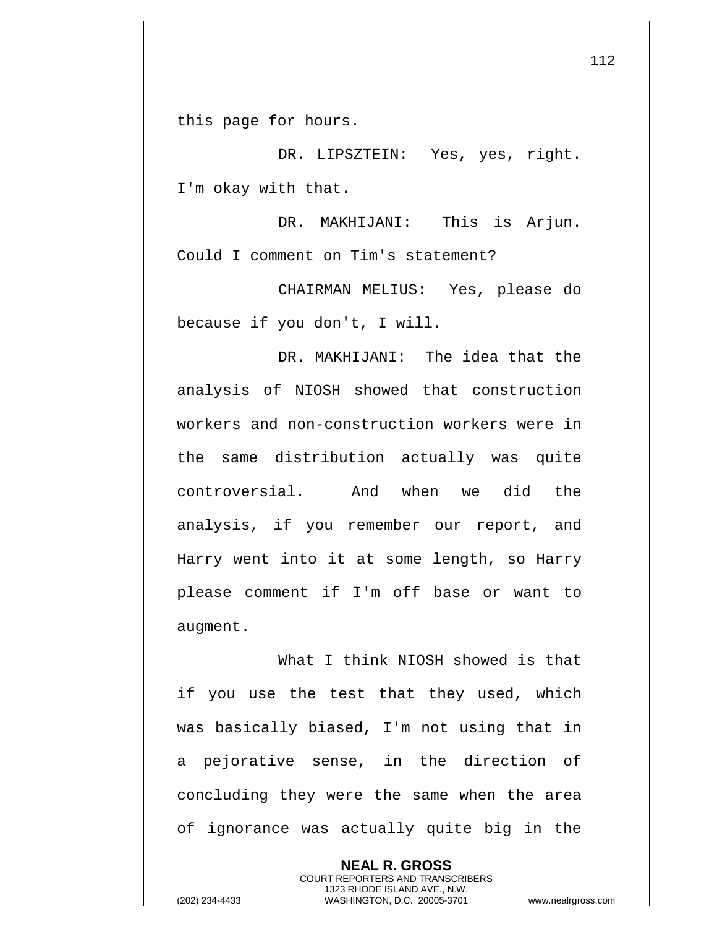this page for hours.

DR. LIPSZTEIN: Yes, yes, right. I'm okay with that.

DR. MAKHIJANI: This is Arjun. Could I comment on Tim's statement?

CHAIRMAN MELIUS: Yes, please do because if you don't, I will.

DR. MAKHIJANI: The idea that the analysis of NIOSH showed that construction workers and non-construction workers were in the same distribution actually was quite controversial. And when we did the analysis, if you remember our report, and Harry went into it at some length, so Harry please comment if I'm off base or want to augment.

What I think NIOSH showed is that if you use the test that they used, which was basically biased, I'm not using that in a pejorative sense, in the direction of concluding they were the same when the area of ignorance was actually quite big in the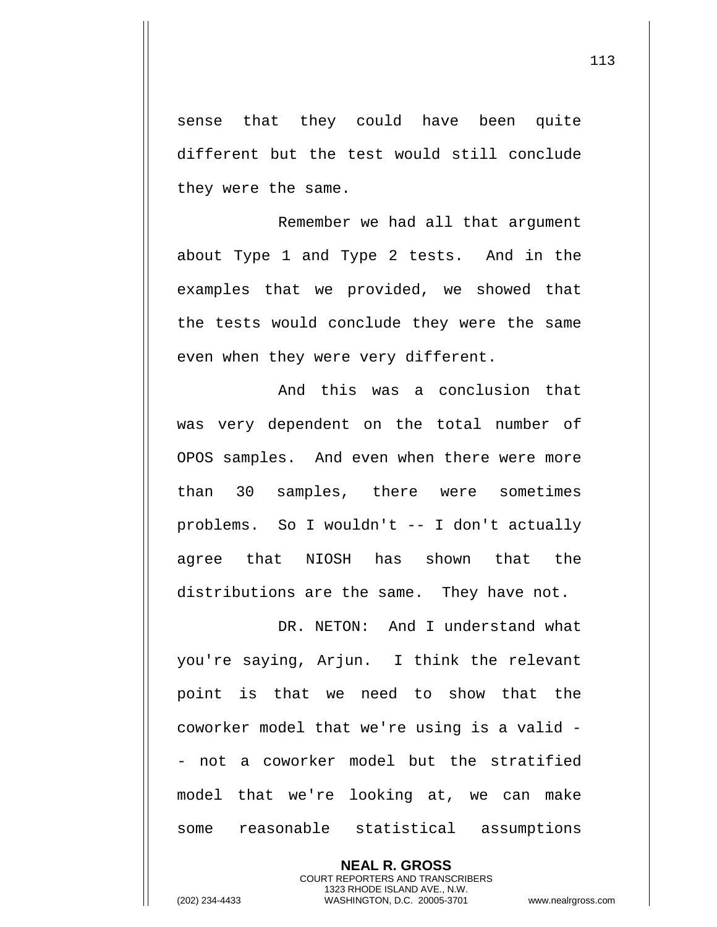sense that they could have been quite different but the test would still conclude they were the same.

Remember we had all that argument about Type 1 and Type 2 tests. And in the examples that we provided, we showed that the tests would conclude they were the same even when they were very different.

And this was a conclusion that was very dependent on the total number of OPOS samples. And even when there were more than 30 samples, there were sometimes problems. So I wouldn't -- I don't actually agree that NIOSH has shown that the distributions are the same. They have not.

DR. NETON: And I understand what you're saying, Arjun. I think the relevant point is that we need to show that the coworker model that we're using is a valid - - not a coworker model but the stratified model that we're looking at, we can make some reasonable statistical assumptions

> **NEAL R. GROSS** COURT REPORTERS AND TRANSCRIBERS 1323 RHODE ISLAND AVE., N.W.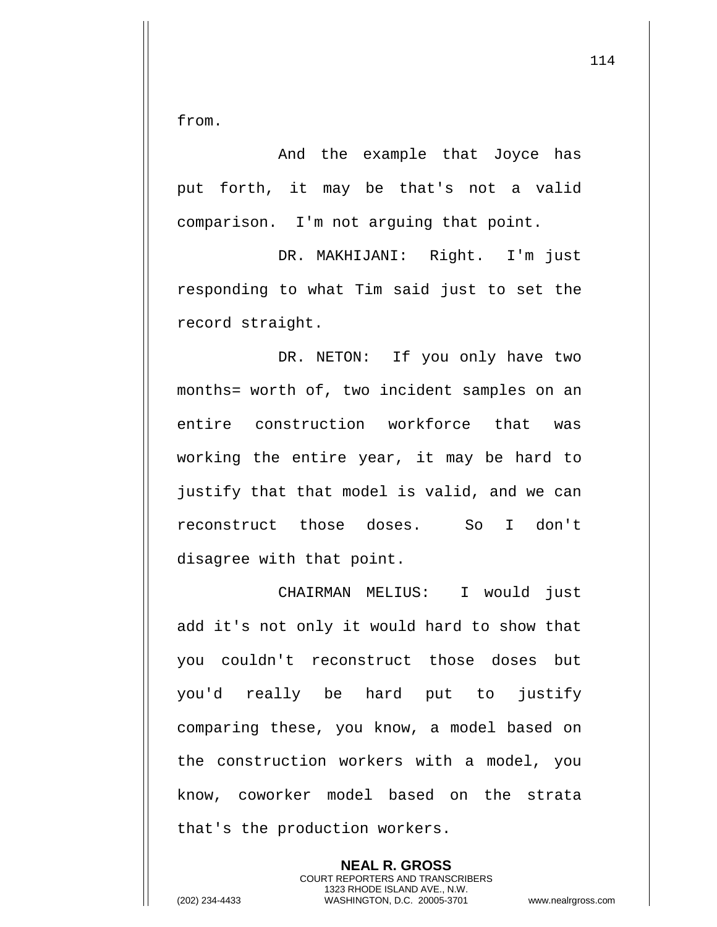from.

And the example that Joyce has put forth, it may be that's not a valid comparison. I'm not arguing that point.

DR. MAKHIJANI: Right. I'm just responding to what Tim said just to set the record straight.

DR. NETON: If you only have two months= worth of, two incident samples on an entire construction workforce that was working the entire year, it may be hard to justify that that model is valid, and we can reconstruct those doses. So I don't disagree with that point.

CHAIRMAN MELIUS: I would just add it's not only it would hard to show that you couldn't reconstruct those doses but you'd really be hard put to justify comparing these, you know, a model based on the construction workers with a model, you know, coworker model based on the strata that's the production workers.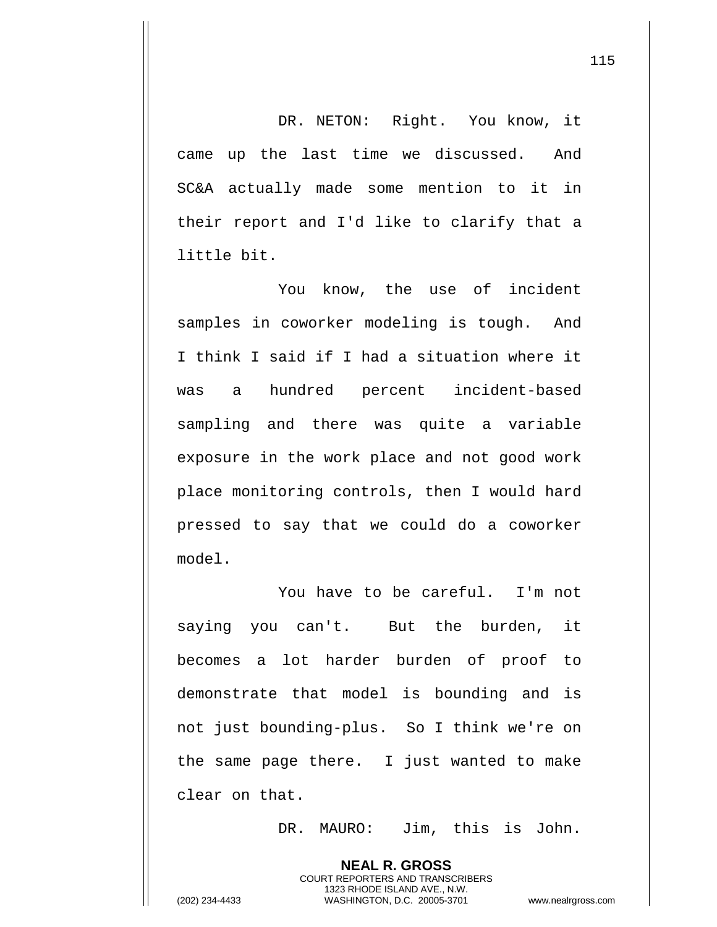DR. NETON: Right. You know, it came up the last time we discussed. And SC&A actually made some mention to it in their report and I'd like to clarify that a little bit.

You know, the use of incident samples in coworker modeling is tough. And I think I said if I had a situation where it was a hundred percent incident-based sampling and there was quite a variable exposure in the work place and not good work place monitoring controls, then I would hard pressed to say that we could do a coworker model.

You have to be careful. I'm not saying you can't. But the burden, it becomes a lot harder burden of proof to demonstrate that model is bounding and is not just bounding-plus. So I think we're on the same page there. I just wanted to make clear on that.

DR. MAURO: Jim, this is John.

**NEAL R. GROSS** COURT REPORTERS AND TRANSCRIBERS 1323 RHODE ISLAND AVE., N.W.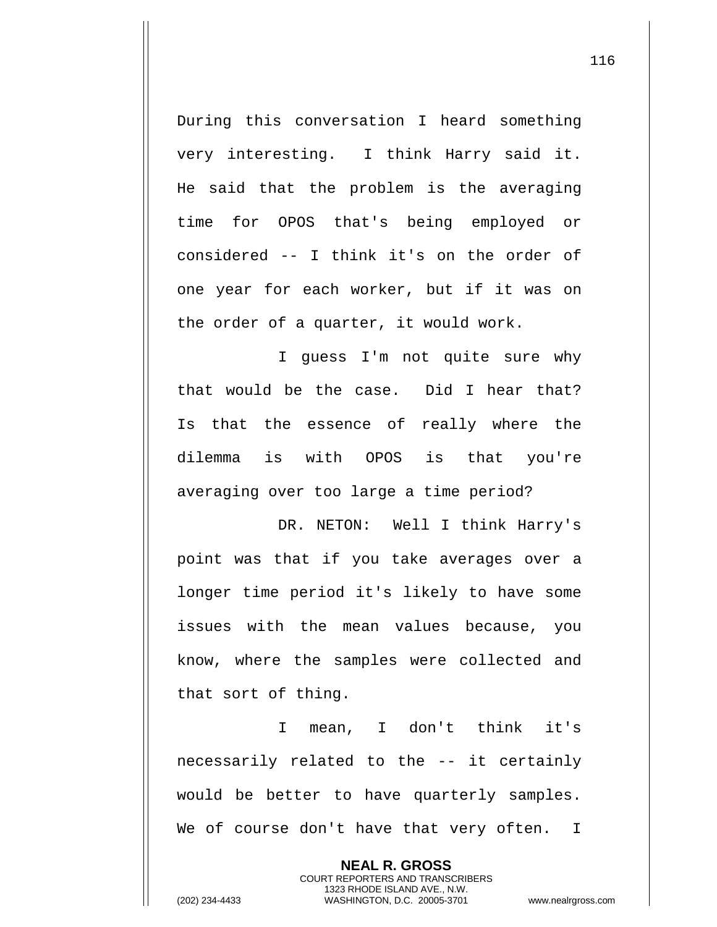During this conversation I heard something very interesting. I think Harry said it. He said that the problem is the averaging time for OPOS that's being employed or considered -- I think it's on the order of one year for each worker, but if it was on the order of a quarter, it would work.

I guess I'm not quite sure why that would be the case. Did I hear that? Is that the essence of really where the dilemma is with OPOS is that you're averaging over too large a time period?

DR. NETON: Well I think Harry's point was that if you take averages over a longer time period it's likely to have some issues with the mean values because, you know, where the samples were collected and that sort of thing.

I mean, I don't think it's necessarily related to the -- it certainly would be better to have quarterly samples. We of course don't have that very often. I

> **NEAL R. GROSS** COURT REPORTERS AND TRANSCRIBERS 1323 RHODE ISLAND AVE., N.W.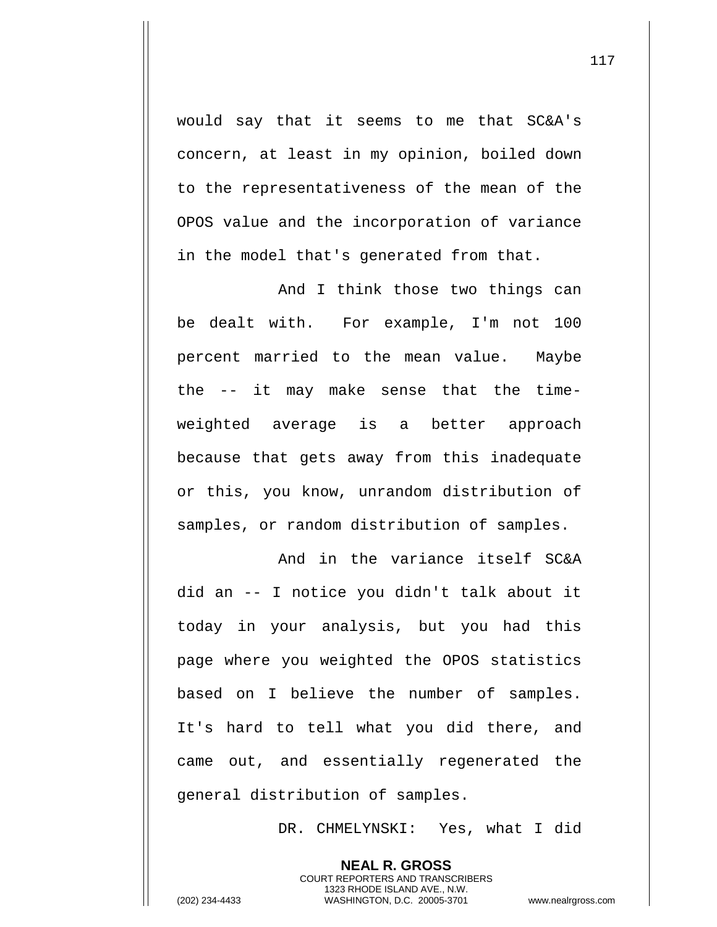would say that it seems to me that SC&A's concern, at least in my opinion, boiled down to the representativeness of the mean of the OPOS value and the incorporation of variance in the model that's generated from that.

And I think those two things can be dealt with. For example, I'm not 100 percent married to the mean value. Maybe the -- it may make sense that the timeweighted average is a better approach because that gets away from this inadequate or this, you know, unrandom distribution of samples, or random distribution of samples.

And in the variance itself SC&A did an -- I notice you didn't talk about it today in your analysis, but you had this page where you weighted the OPOS statistics based on I believe the number of samples. It's hard to tell what you did there, and came out, and essentially regenerated the general distribution of samples.

DR. CHMELYNSKI: Yes, what I did

**NEAL R. GROSS** COURT REPORTERS AND TRANSCRIBERS 1323 RHODE ISLAND AVE., N.W.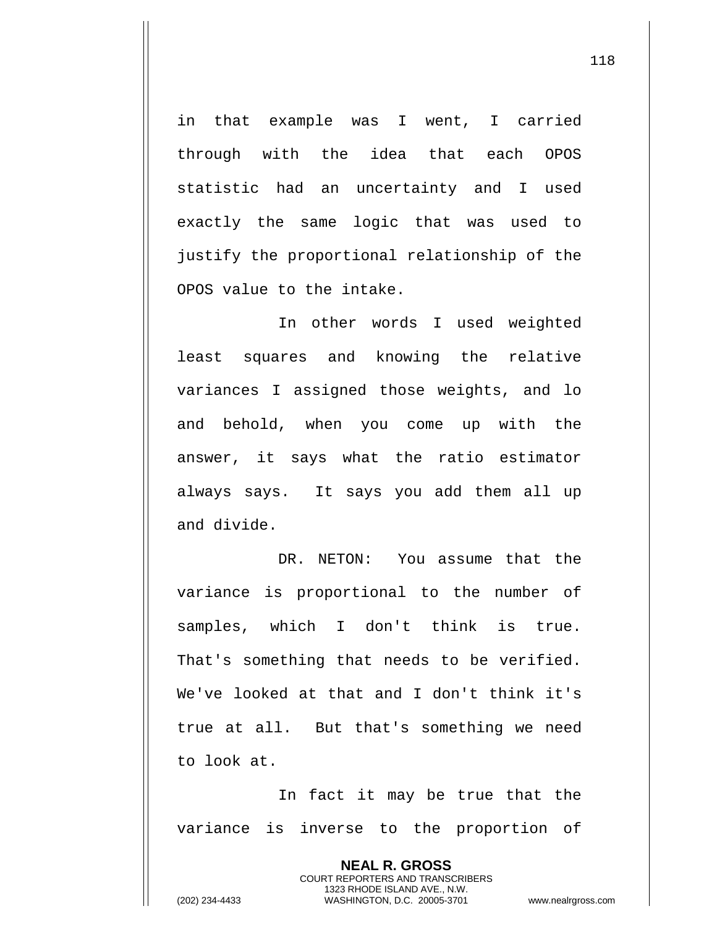in that example was I went, I carried through with the idea that each OPOS statistic had an uncertainty and I used exactly the same logic that was used to justify the proportional relationship of the OPOS value to the intake.

In other words I used weighted least squares and knowing the relative variances I assigned those weights, and lo and behold, when you come up with the answer, it says what the ratio estimator always says. It says you add them all up and divide.

DR. NETON: You assume that the variance is proportional to the number of samples, which I don't think is true. That's something that needs to be verified. We've looked at that and I don't think it's true at all. But that's something we need to look at.

In fact it may be true that the variance is inverse to the proportion of

> **NEAL R. GROSS** COURT REPORTERS AND TRANSCRIBERS 1323 RHODE ISLAND AVE., N.W.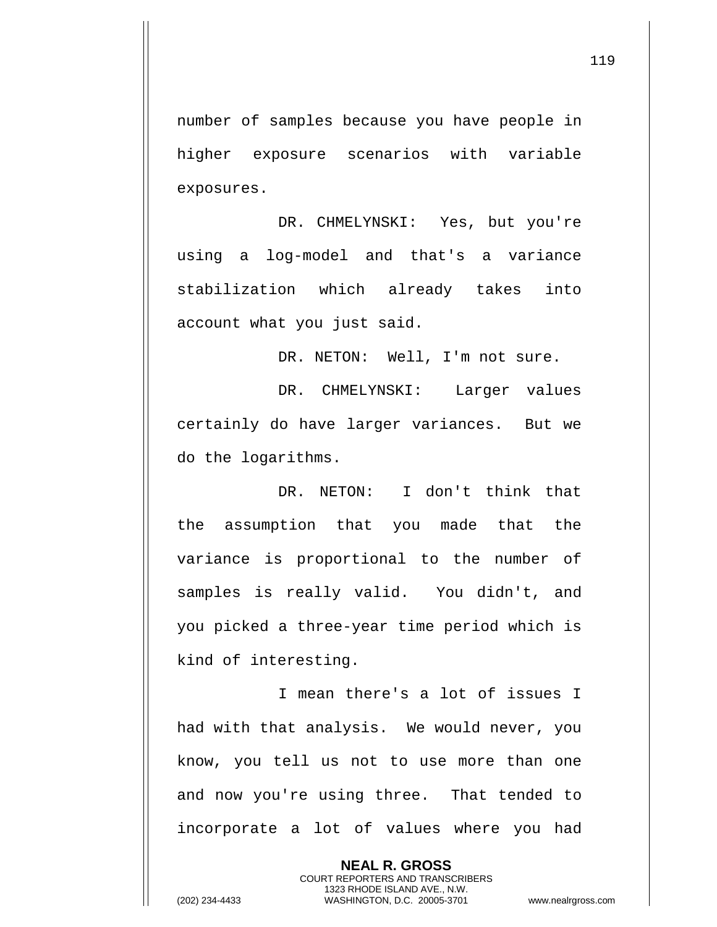number of samples because you have people in higher exposure scenarios with variable exposures.

DR. CHMELYNSKI: Yes, but you're using a log-model and that's a variance stabilization which already takes into account what you just said.

DR. NETON: Well, I'm not sure.

DR. CHMELYNSKI: Larger values certainly do have larger variances. But we do the logarithms.

DR. NETON: I don't think that the assumption that you made that the variance is proportional to the number of samples is really valid. You didn't, and you picked a three-year time period which is kind of interesting.

I mean there's a lot of issues I had with that analysis. We would never, you know, you tell us not to use more than one and now you're using three. That tended to incorporate a lot of values where you had

> **NEAL R. GROSS** COURT REPORTERS AND TRANSCRIBERS 1323 RHODE ISLAND AVE., N.W.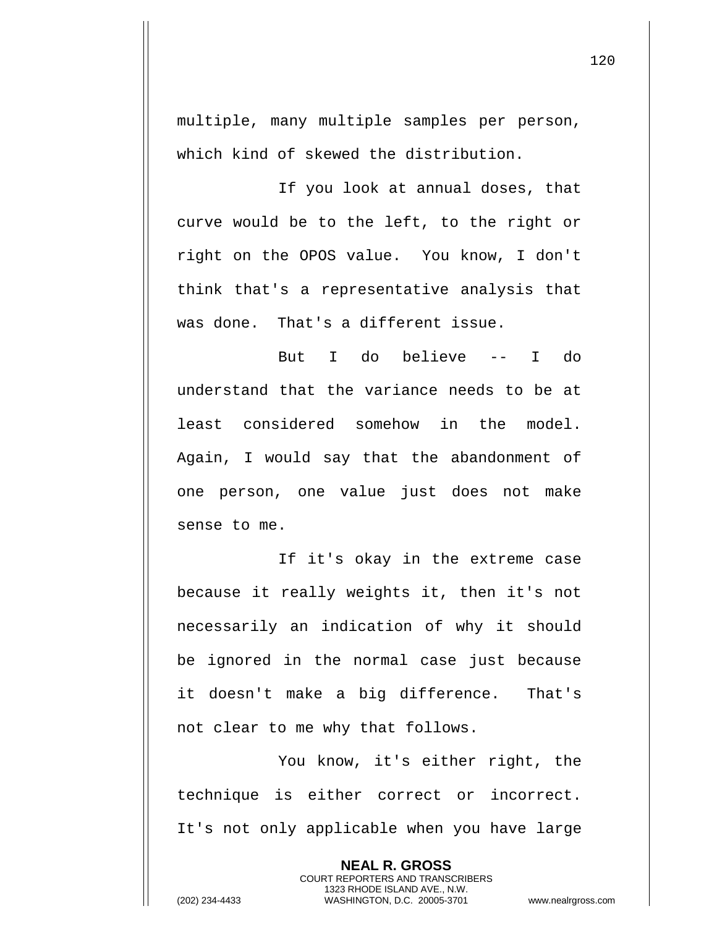multiple, many multiple samples per person, which kind of skewed the distribution.

If you look at annual doses, that curve would be to the left, to the right or right on the OPOS value. You know, I don't think that's a representative analysis that was done. That's a different issue.

But I do believe -- I do understand that the variance needs to be at least considered somehow in the model. Again, I would say that the abandonment of one person, one value just does not make sense to me.

If it's okay in the extreme case because it really weights it, then it's not necessarily an indication of why it should be ignored in the normal case just because it doesn't make a big difference. That's not clear to me why that follows.

You know, it's either right, the technique is either correct or incorrect. It's not only applicable when you have large

> **NEAL R. GROSS** COURT REPORTERS AND TRANSCRIBERS 1323 RHODE ISLAND AVE., N.W.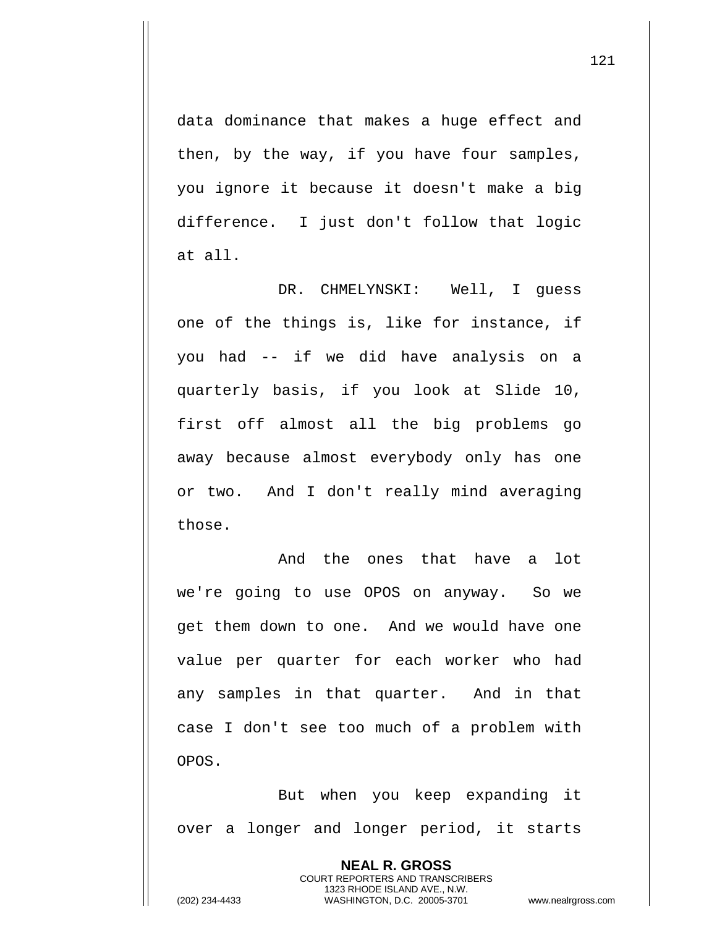data dominance that makes a huge effect and then, by the way, if you have four samples, you ignore it because it doesn't make a big difference. I just don't follow that logic at all.

DR. CHMELYNSKI: Well, I guess one of the things is, like for instance, if you had -- if we did have analysis on a quarterly basis, if you look at Slide 10, first off almost all the big problems go away because almost everybody only has one or two. And I don't really mind averaging those.

And the ones that have a lot we're going to use OPOS on anyway. So we get them down to one. And we would have one value per quarter for each worker who had any samples in that quarter. And in that case I don't see too much of a problem with OPOS.

But when you keep expanding it over a longer and longer period, it starts

> **NEAL R. GROSS** COURT REPORTERS AND TRANSCRIBERS 1323 RHODE ISLAND AVE., N.W.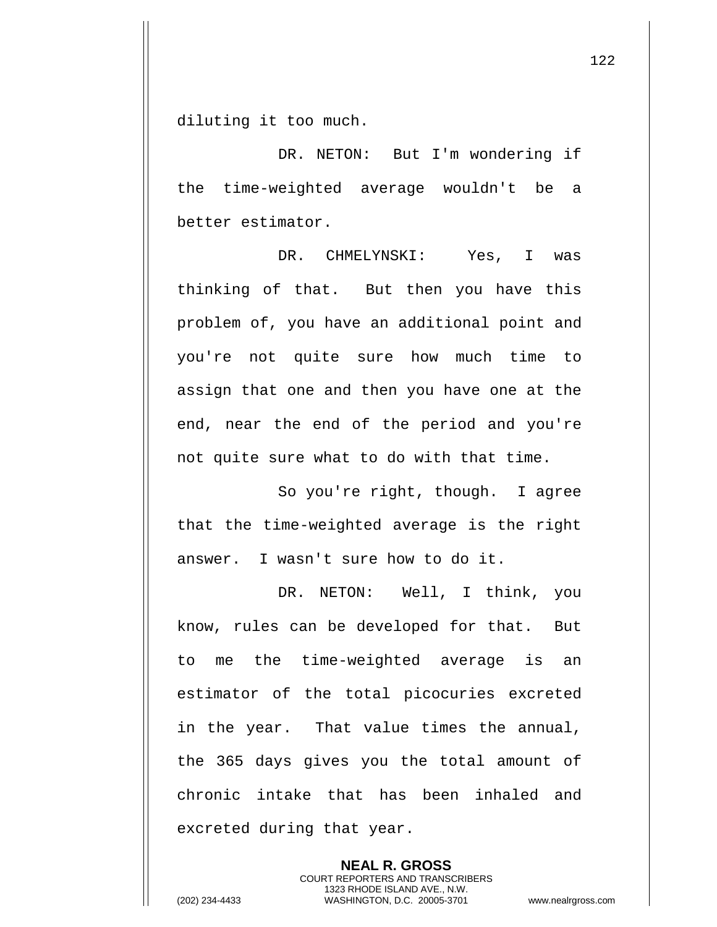diluting it too much.

DR. NETON: But I'm wondering if the time-weighted average wouldn't be a better estimator.

DR. CHMELYNSKI: Yes, I was thinking of that. But then you have this problem of, you have an additional point and you're not quite sure how much time to assign that one and then you have one at the end, near the end of the period and you're not quite sure what to do with that time.

So you're right, though. I agree that the time-weighted average is the right answer. I wasn't sure how to do it.

DR. NETON: Well, I think, you know, rules can be developed for that. But to me the time-weighted average is an estimator of the total picocuries excreted in the year. That value times the annual, the 365 days gives you the total amount of chronic intake that has been inhaled and excreted during that year.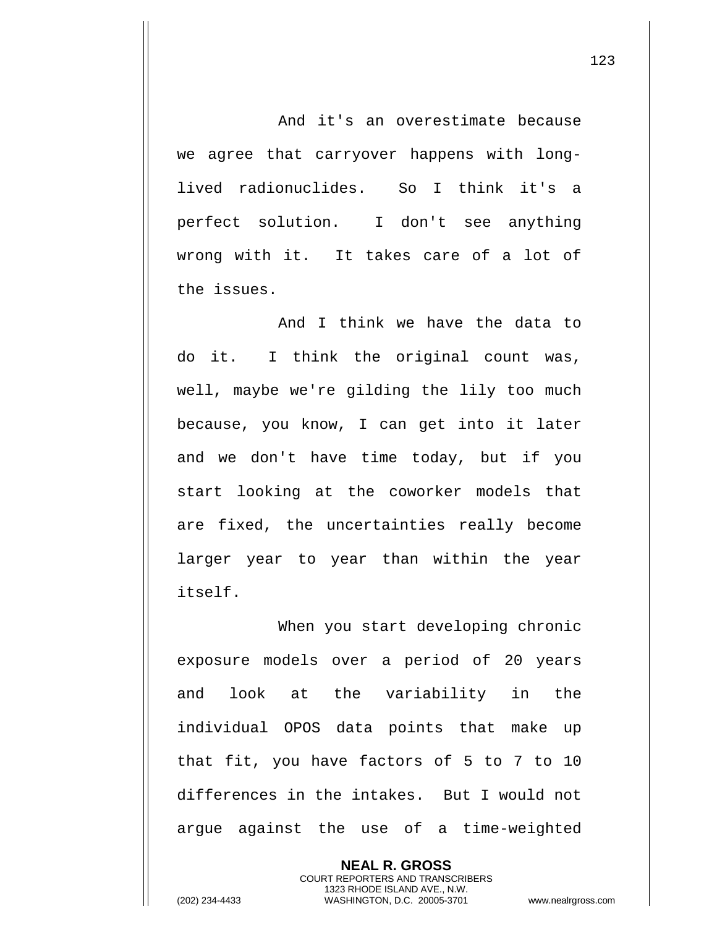And it's an overestimate because we agree that carryover happens with longlived radionuclides. So I think it's a perfect solution. I don't see anything wrong with it. It takes care of a lot of the issues.

And I think we have the data to do it. I think the original count was, well, maybe we're gilding the lily too much because, you know, I can get into it later and we don't have time today, but if you start looking at the coworker models that are fixed, the uncertainties really become larger year to year than within the year itself.

When you start developing chronic exposure models over a period of 20 years and look at the variability in the individual OPOS data points that make up that fit, you have factors of 5 to 7 to 10 differences in the intakes. But I would not argue against the use of a time-weighted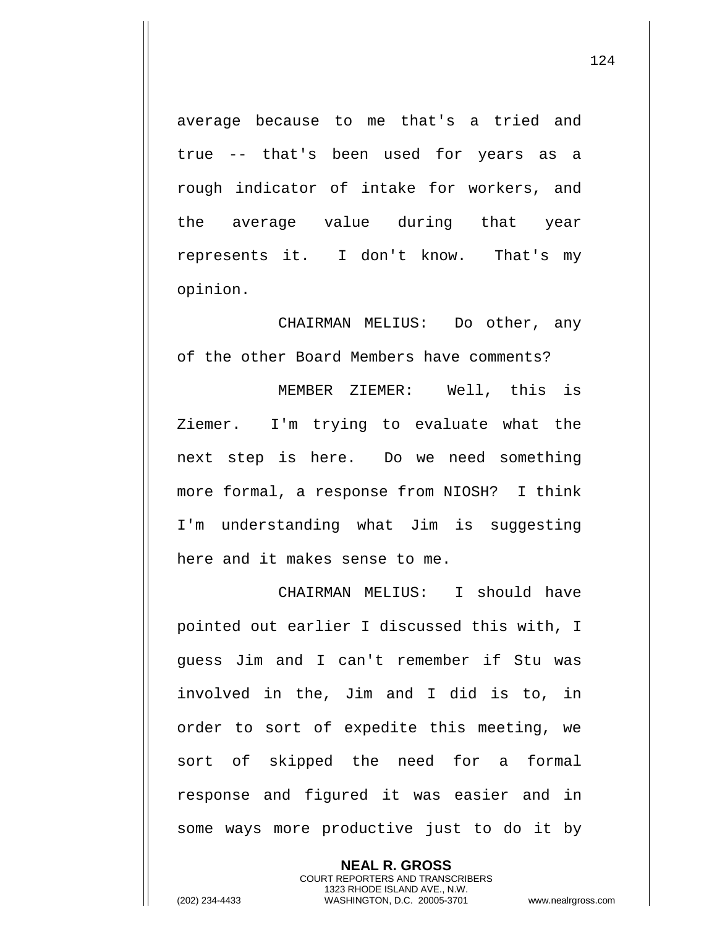average because to me that's a tried and true -- that's been used for years as a rough indicator of intake for workers, and the average value during that year represents it. I don't know. That's my opinion.

CHAIRMAN MELIUS: Do other, any of the other Board Members have comments?

MEMBER ZIEMER: Well, this is Ziemer. I'm trying to evaluate what the next step is here. Do we need something more formal, a response from NIOSH? I think I'm understanding what Jim is suggesting here and it makes sense to me.

CHAIRMAN MELIUS: I should have pointed out earlier I discussed this with, I guess Jim and I can't remember if Stu was involved in the, Jim and I did is to, in order to sort of expedite this meeting, we sort of skipped the need for a formal response and figured it was easier and in some ways more productive just to do it by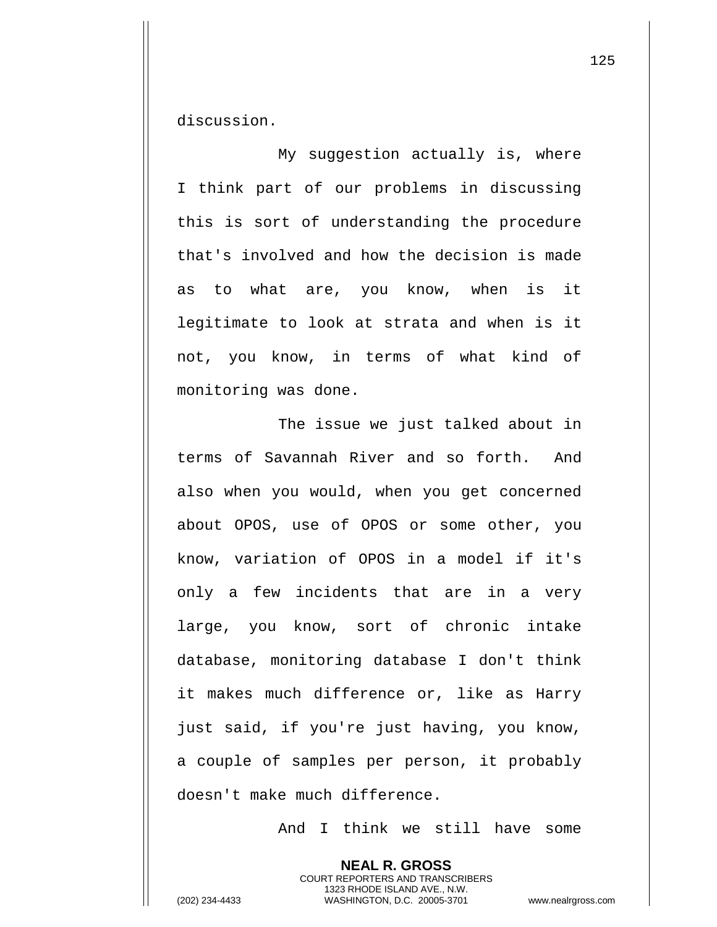discussion.

My suggestion actually is, where I think part of our problems in discussing this is sort of understanding the procedure that's involved and how the decision is made as to what are, you know, when is it legitimate to look at strata and when is it not, you know, in terms of what kind of monitoring was done.

The issue we just talked about in terms of Savannah River and so forth. And also when you would, when you get concerned about OPOS, use of OPOS or some other, you know, variation of OPOS in a model if it's only a few incidents that are in a very large, you know, sort of chronic intake database, monitoring database I don't think it makes much difference or, like as Harry just said, if you're just having, you know, a couple of samples per person, it probably doesn't make much difference.

And I think we still have some

**NEAL R. GROSS** COURT REPORTERS AND TRANSCRIBERS 1323 RHODE ISLAND AVE., N.W.

125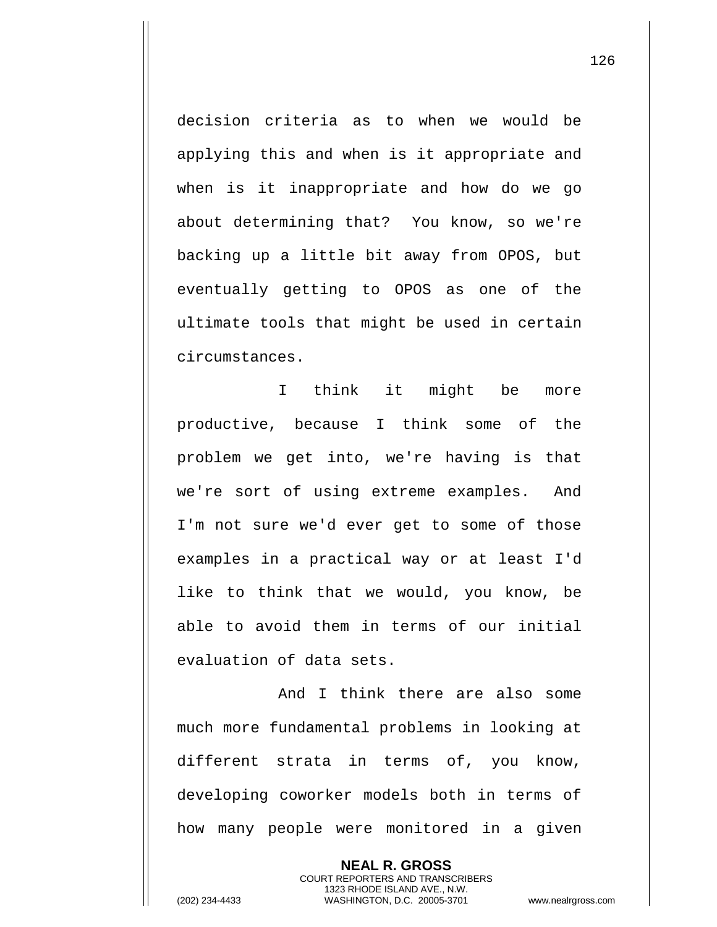decision criteria as to when we would be applying this and when is it appropriate and when is it inappropriate and how do we go about determining that? You know, so we're backing up a little bit away from OPOS, but eventually getting to OPOS as one of the ultimate tools that might be used in certain circumstances.

I think it might be more productive, because I think some of the problem we get into, we're having is that we're sort of using extreme examples. And I'm not sure we'd ever get to some of those examples in a practical way or at least I'd like to think that we would, you know, be able to avoid them in terms of our initial evaluation of data sets.

And I think there are also some much more fundamental problems in looking at different strata in terms of, you know, developing coworker models both in terms of how many people were monitored in a given

> **NEAL R. GROSS** COURT REPORTERS AND TRANSCRIBERS 1323 RHODE ISLAND AVE., N.W.

126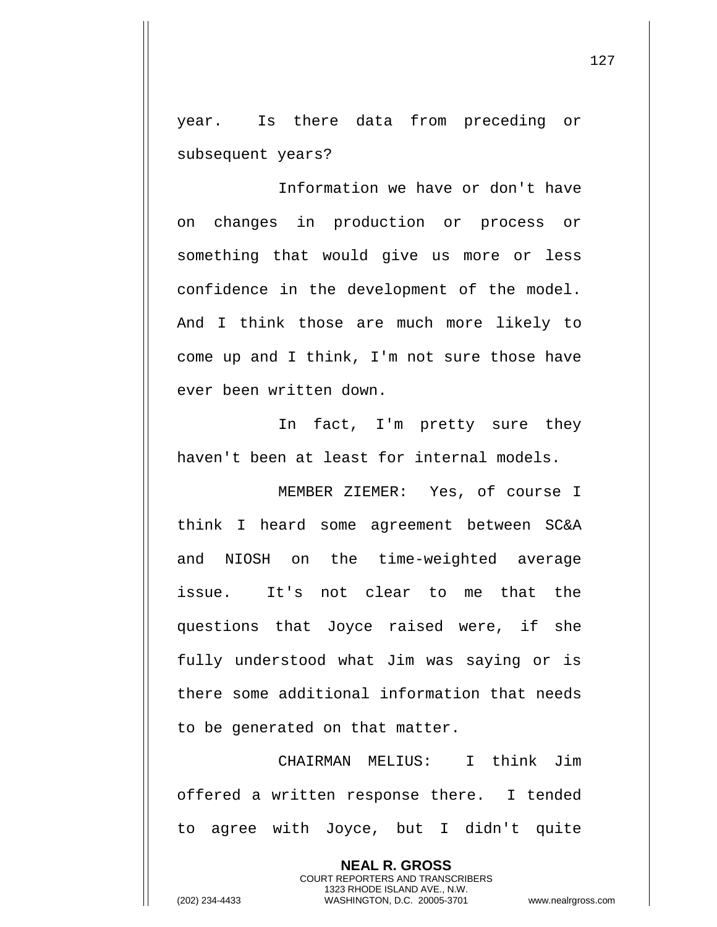year. Is there data from preceding or subsequent years?

Information we have or don't have on changes in production or process or something that would give us more or less confidence in the development of the model. And I think those are much more likely to come up and I think, I'm not sure those have ever been written down.

In fact, I'm pretty sure they haven't been at least for internal models.

MEMBER ZIEMER: Yes, of course I think I heard some agreement between SC&A and NIOSH on the time-weighted average issue. It's not clear to me that the questions that Joyce raised were, if she fully understood what Jim was saying or is there some additional information that needs to be generated on that matter.

CHAIRMAN MELIUS: I think Jim offered a written response there. I tended to agree with Joyce, but I didn't quite

> **NEAL R. GROSS** COURT REPORTERS AND TRANSCRIBERS 1323 RHODE ISLAND AVE., N.W.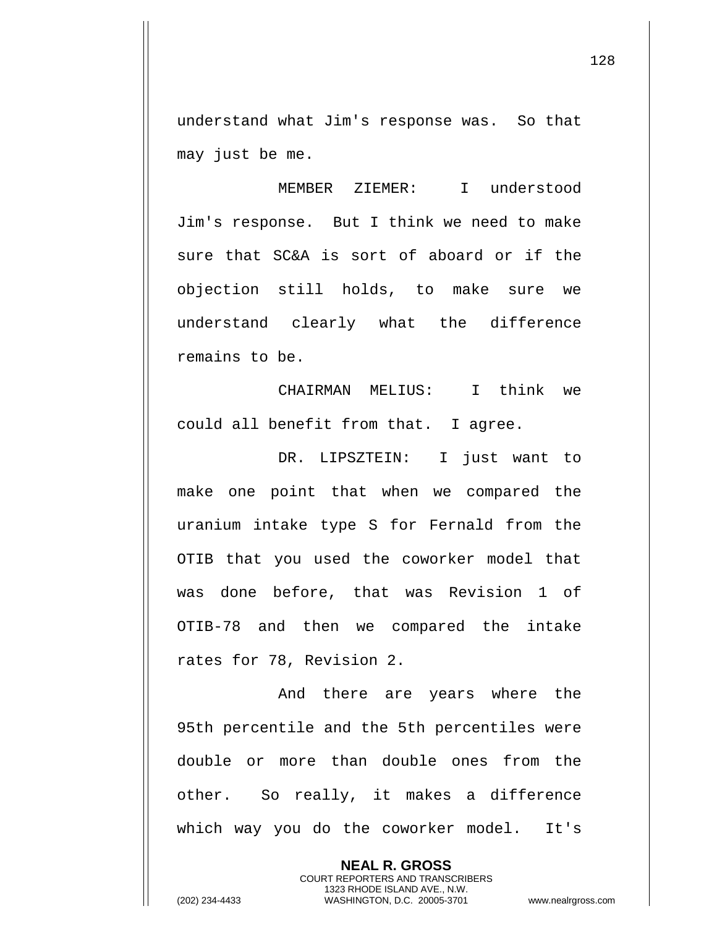understand what Jim's response was. So that may just be me.

MEMBER ZIEMER: I understood Jim's response. But I think we need to make sure that SC&A is sort of aboard or if the objection still holds, to make sure we understand clearly what the difference remains to be.

CHAIRMAN MELIUS: I think we could all benefit from that. I agree.

DR. LIPSZTEIN: I just want to make one point that when we compared the uranium intake type S for Fernald from the OTIB that you used the coworker model that was done before, that was Revision 1 of OTIB-78 and then we compared the intake rates for 78, Revision 2.

And there are years where the 95th percentile and the 5th percentiles were double or more than double ones from the other. So really, it makes a difference which way you do the coworker model. It's

> **NEAL R. GROSS** COURT REPORTERS AND TRANSCRIBERS 1323 RHODE ISLAND AVE., N.W.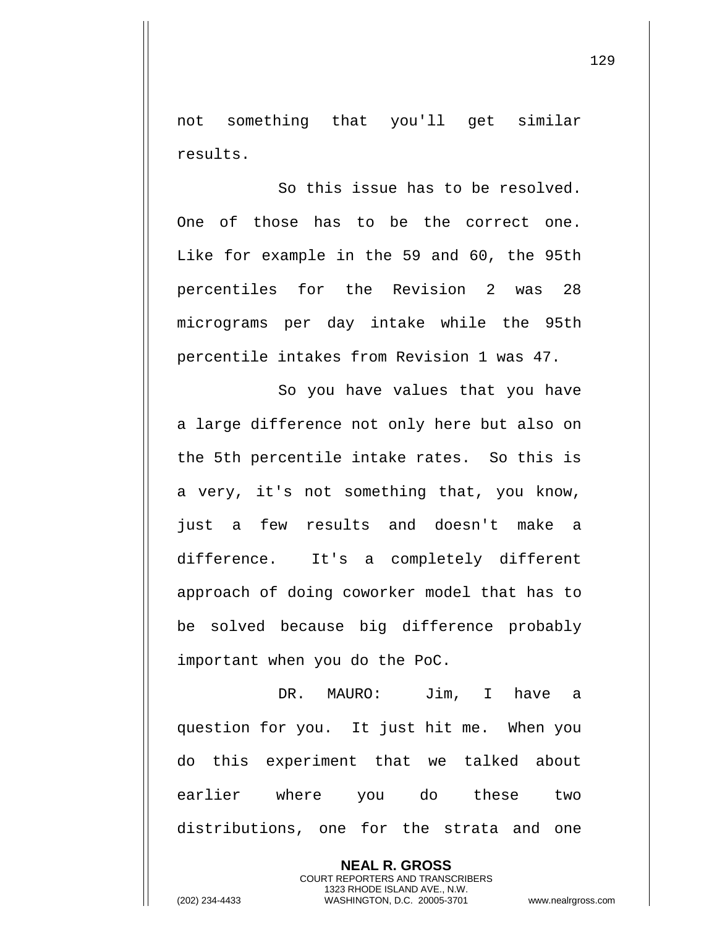not something that you'll get similar results.

So this issue has to be resolved. One of those has to be the correct one. Like for example in the 59 and 60, the 95th percentiles for the Revision 2 was 28 micrograms per day intake while the 95th percentile intakes from Revision 1 was 47.

So you have values that you have a large difference not only here but also on the 5th percentile intake rates. So this is a very, it's not something that, you know, just a few results and doesn't make a difference. It's a completely different approach of doing coworker model that has to be solved because big difference probably important when you do the PoC.

DR. MAURO: Jim, I have a question for you. It just hit me. When you do this experiment that we talked about earlier where you do these two distributions, one for the strata and one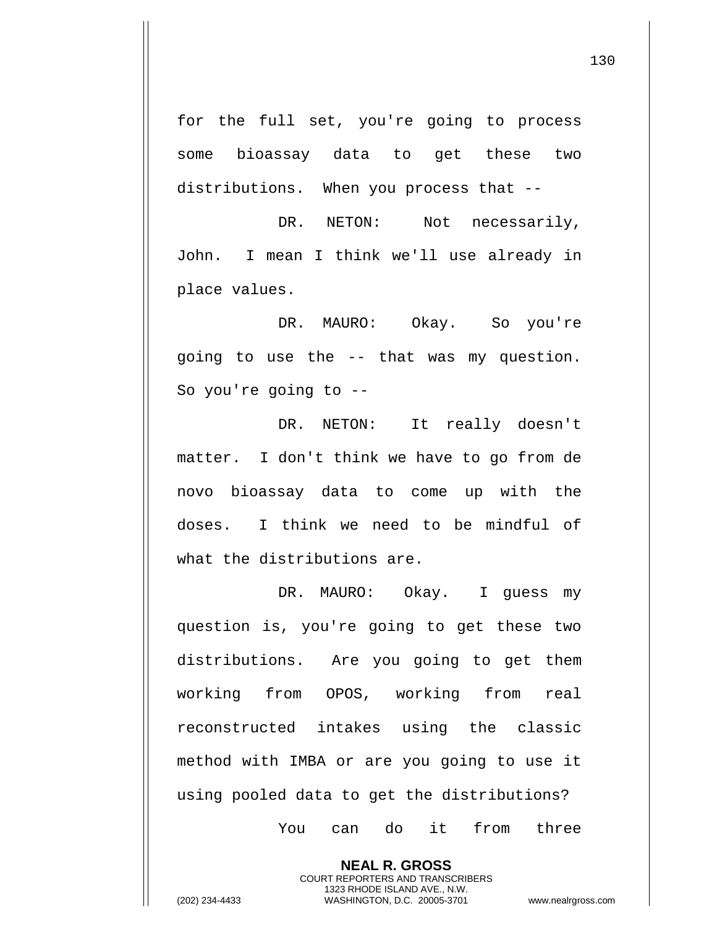for the full set, you're going to process some bioassay data to get these two

DR. NETON: Not necessarily, John. I mean I think we'll use already in place values.

distributions. When you process that --

DR. MAURO: Okay. So you're going to use the -- that was my question. So you're going to --

DR. NETON: It really doesn't matter. I don't think we have to go from de novo bioassay data to come up with the doses. I think we need to be mindful of what the distributions are.

DR. MAURO: Okay. I guess my question is, you're going to get these two distributions. Are you going to get them working from OPOS, working from real reconstructed intakes using the classic method with IMBA or are you going to use it using pooled data to get the distributions?

You can do it from three

**NEAL R. GROSS** COURT REPORTERS AND TRANSCRIBERS 1323 RHODE ISLAND AVE., N.W.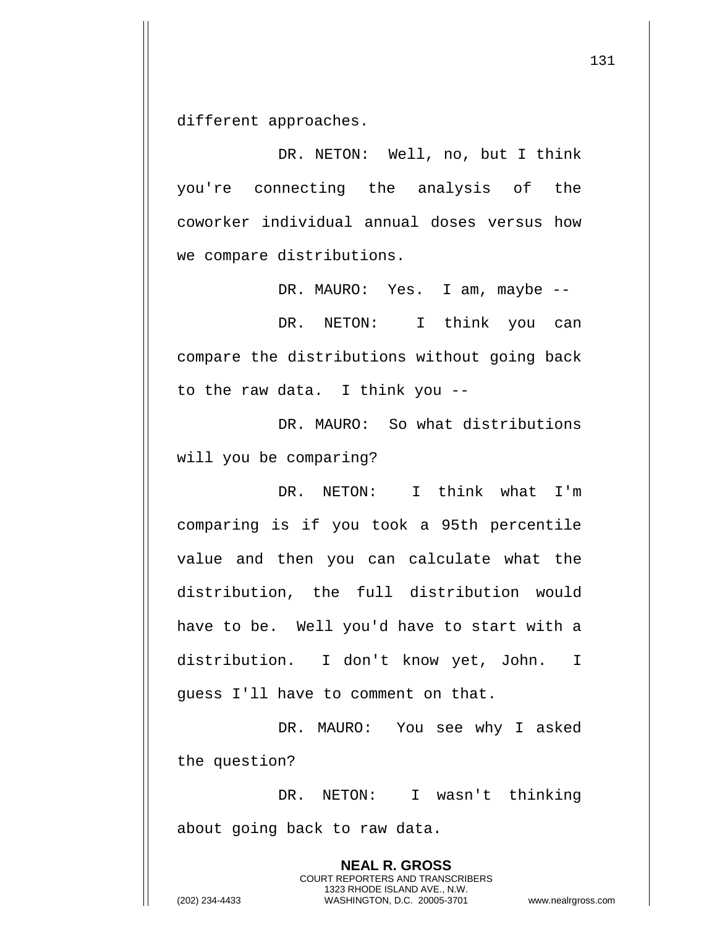different approaches.

DR. NETON: Well, no, but I think you're connecting the analysis of the coworker individual annual doses versus how we compare distributions.

DR. MAURO: Yes. I am, maybe --

DR. NETON: I think you can compare the distributions without going back to the raw data. I think you --

DR. MAURO: So what distributions will you be comparing?

DR. NETON: I think what I'm comparing is if you took a 95th percentile value and then you can calculate what the distribution, the full distribution would have to be. Well you'd have to start with a distribution. I don't know yet, John. I guess I'll have to comment on that.

DR. MAURO: You see why I asked the question?

DR. NETON: I wasn't thinking about going back to raw data.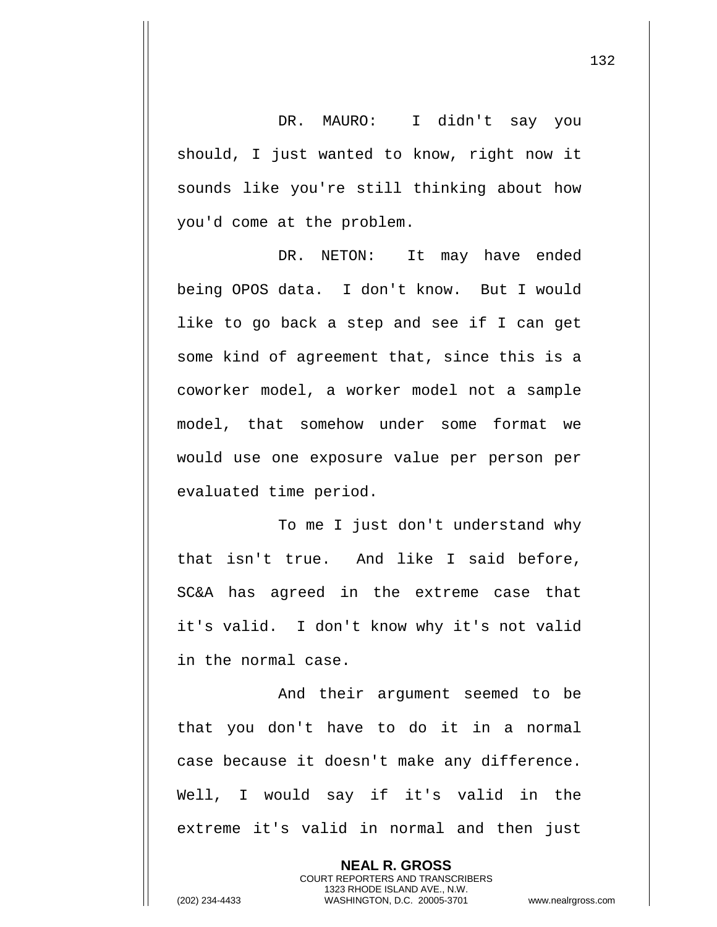DR. MAURO: I didn't say you should, I just wanted to know, right now it sounds like you're still thinking about how you'd come at the problem.

DR. NETON: It may have ended being OPOS data. I don't know. But I would like to go back a step and see if I can get some kind of agreement that, since this is a coworker model, a worker model not a sample model, that somehow under some format we would use one exposure value per person per evaluated time period.

To me I just don't understand why that isn't true. And like I said before, SC&A has agreed in the extreme case that it's valid. I don't know why it's not valid in the normal case.

And their argument seemed to be that you don't have to do it in a normal case because it doesn't make any difference. Well, I would say if it's valid in the extreme it's valid in normal and then just

> **NEAL R. GROSS** COURT REPORTERS AND TRANSCRIBERS 1323 RHODE ISLAND AVE., N.W.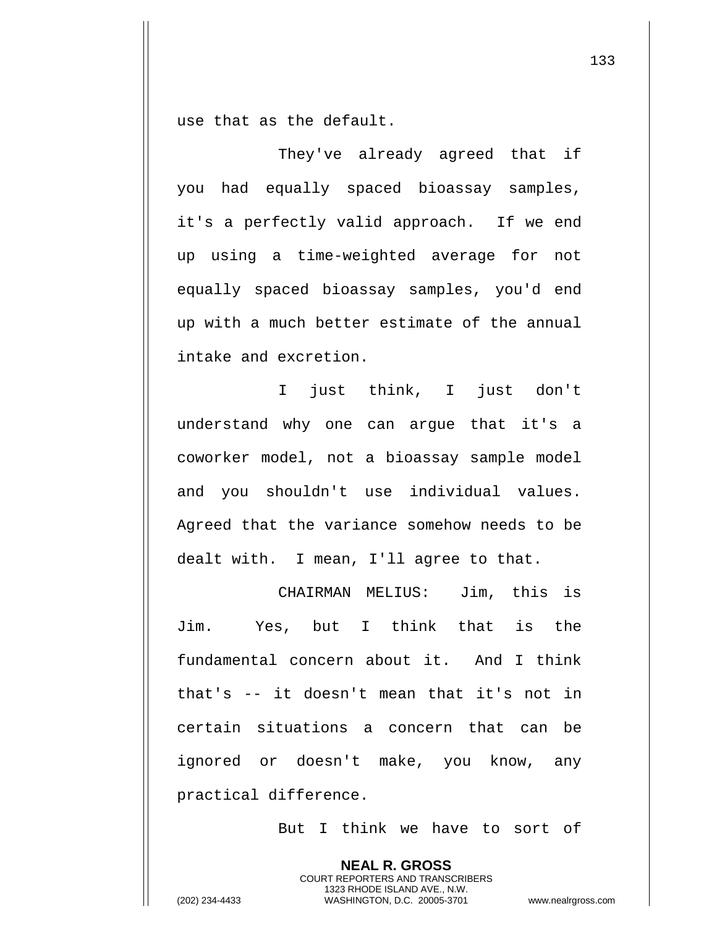use that as the default.

They've already agreed that if you had equally spaced bioassay samples, it's a perfectly valid approach. If we end up using a time-weighted average for not equally spaced bioassay samples, you'd end up with a much better estimate of the annual intake and excretion.

I just think, I just don't understand why one can argue that it's a coworker model, not a bioassay sample model and you shouldn't use individual values. Agreed that the variance somehow needs to be dealt with. I mean, I'll agree to that.

CHAIRMAN MELIUS: Jim, this is Jim. Yes, but I think that is the fundamental concern about it. And I think that's -- it doesn't mean that it's not in certain situations a concern that can be ignored or doesn't make, you know, any practical difference.

But I think we have to sort of

**NEAL R. GROSS** COURT REPORTERS AND TRANSCRIBERS 1323 RHODE ISLAND AVE., N.W.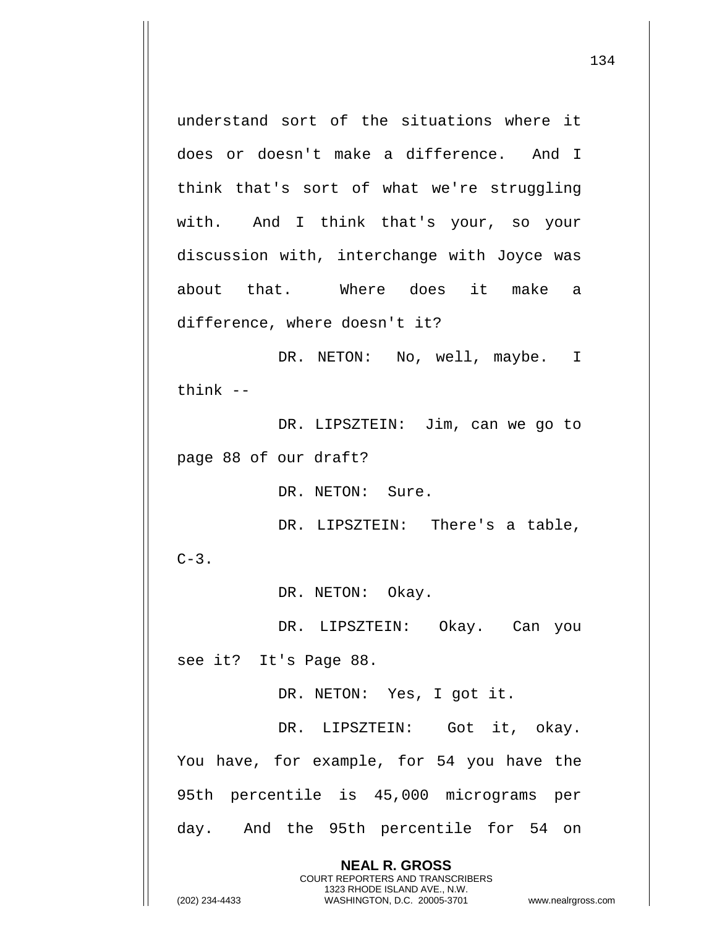understand sort of the situations where it does or doesn't make a difference. And I think that's sort of what we're struggling with. And I think that's your, so your discussion with, interchange with Joyce was about that. Where does it make a difference, where doesn't it?

DR. NETON: No, well, maybe. I think --

DR. LIPSZTEIN: Jim, can we go to page 88 of our draft?

DR. NETON: Sure.

DR. LIPSZTEIN: There's a table,

 $C-3$ .

DR. NETON: Okay.

DR. LIPSZTEIN: Okay. Can you see it? It's Page 88.

DR. NETON: Yes, I got it.

DR. LIPSZTEIN: Got it, okay. You have, for example, for 54 you have the 95th percentile is 45,000 micrograms per day. And the 95th percentile for 54 on

> **NEAL R. GROSS** COURT REPORTERS AND TRANSCRIBERS 1323 RHODE ISLAND AVE., N.W.

134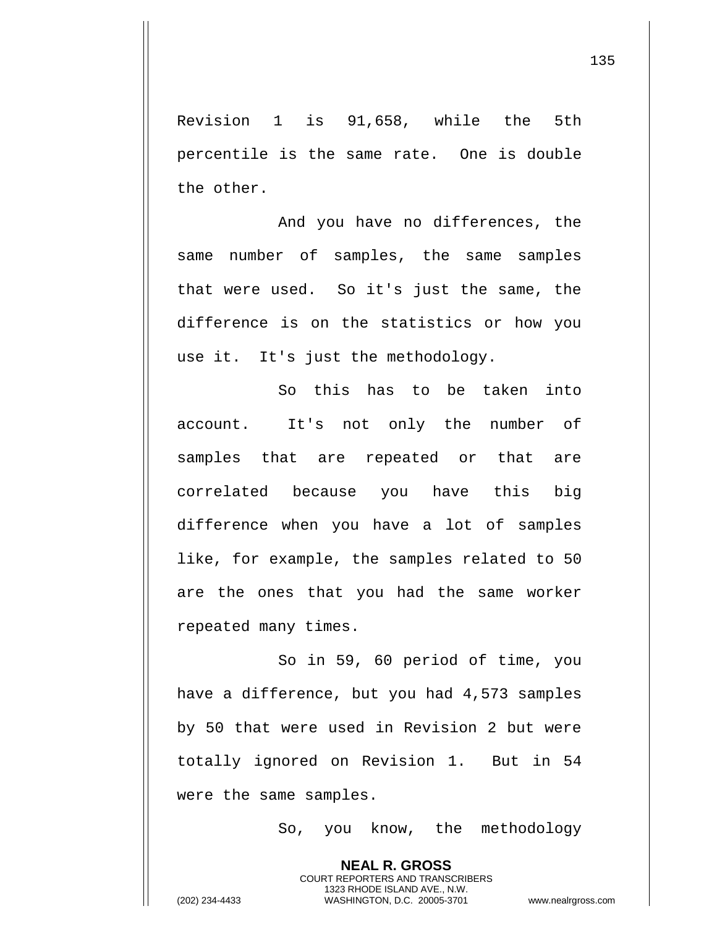Revision 1 is 91,658, while the 5th percentile is the same rate. One is double the other.

And you have no differences, the same number of samples, the same samples that were used. So it's just the same, the difference is on the statistics or how you use it. It's just the methodology.

So this has to be taken into account. It's not only the number of samples that are repeated or that are correlated because you have this big difference when you have a lot of samples like, for example, the samples related to 50 are the ones that you had the same worker repeated many times.

So in 59, 60 period of time, you have a difference, but you had 4,573 samples by 50 that were used in Revision 2 but were totally ignored on Revision 1. But in 54 were the same samples.

So, you know, the methodology

**NEAL R. GROSS** COURT REPORTERS AND TRANSCRIBERS 1323 RHODE ISLAND AVE., N.W.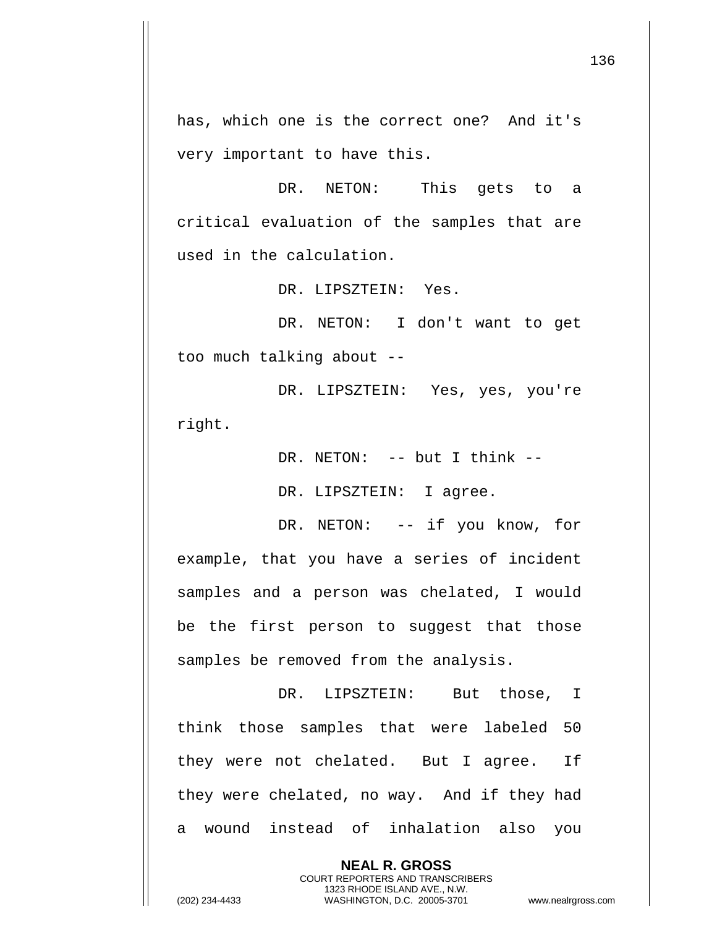136

has, which one is the correct one? And it's very important to have this.

DR. NETON: This gets to a critical evaluation of the samples that are used in the calculation.

DR. LIPSZTEIN: Yes.

DR. NETON: I don't want to get too much talking about --

DR. LIPSZTEIN: Yes, yes, you're right.

DR. NETON: -- but I think --

DR. LIPSZTEIN: I agree.

DR. NETON: -- if you know, for example, that you have a series of incident samples and a person was chelated, I would be the first person to suggest that those samples be removed from the analysis.

DR. LIPSZTEIN: But those, I think those samples that were labeled 50 they were not chelated. But I agree. If they were chelated, no way. And if they had a wound instead of inhalation also you

> **NEAL R. GROSS** COURT REPORTERS AND TRANSCRIBERS 1323 RHODE ISLAND AVE., N.W.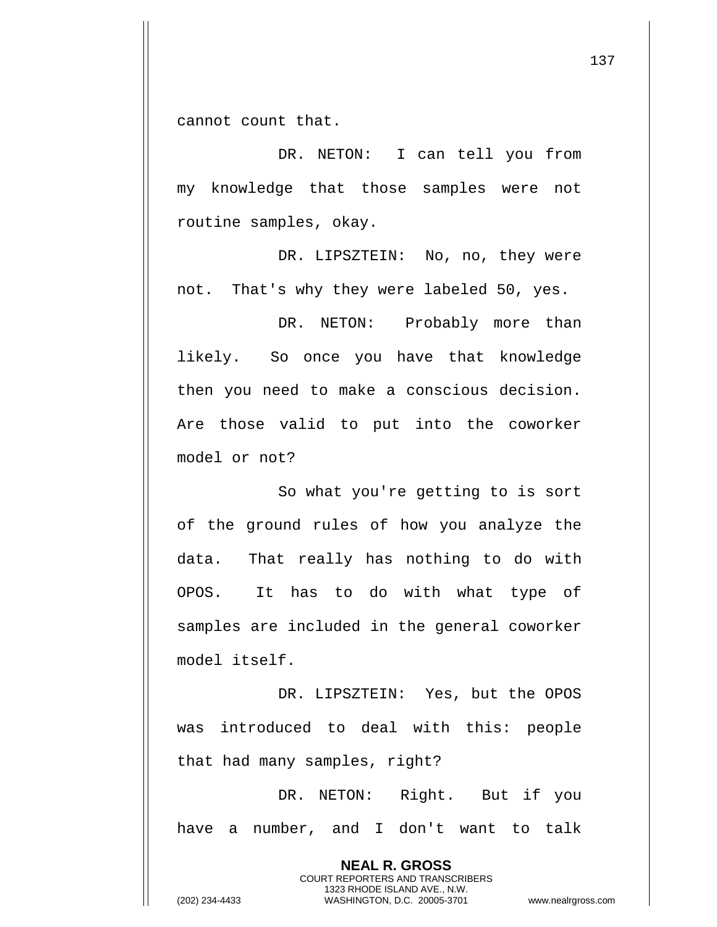cannot count that.

DR. NETON: I can tell you from my knowledge that those samples were not routine samples, okay.

DR. LIPSZTEIN: No, no, they were not. That's why they were labeled 50, yes.

DR. NETON: Probably more than likely. So once you have that knowledge then you need to make a conscious decision. Are those valid to put into the coworker model or not?

So what you're getting to is sort of the ground rules of how you analyze the data. That really has nothing to do with OPOS. It has to do with what type of samples are included in the general coworker model itself.

DR. LIPSZTEIN: Yes, but the OPOS was introduced to deal with this: people that had many samples, right?

DR. NETON: Right. But if you have a number, and I don't want to talk

> **NEAL R. GROSS** COURT REPORTERS AND TRANSCRIBERS 1323 RHODE ISLAND AVE., N.W.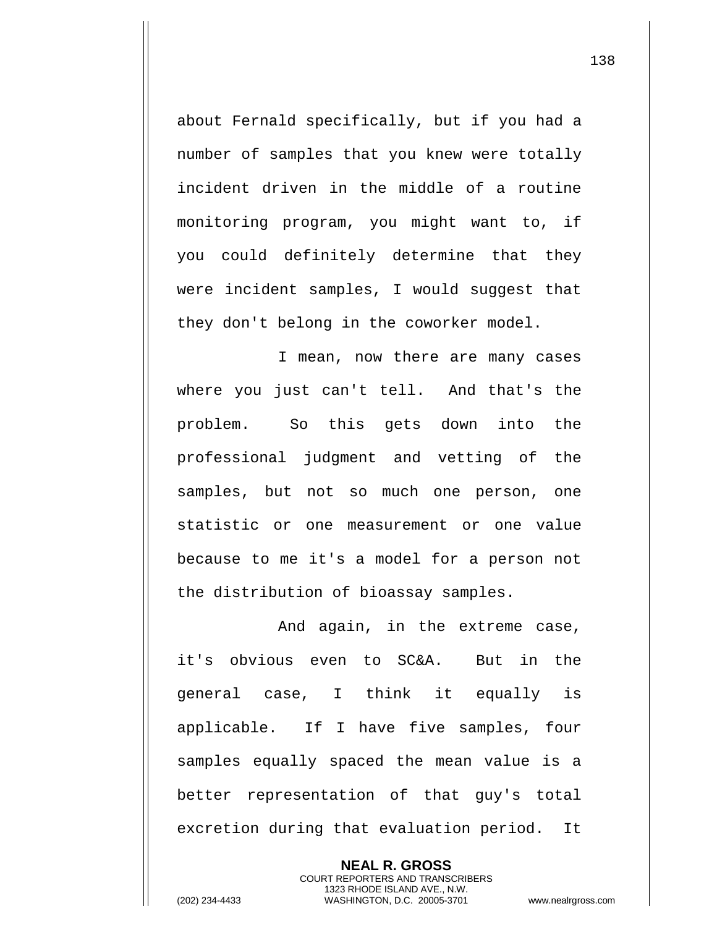about Fernald specifically, but if you had a number of samples that you knew were totally incident driven in the middle of a routine monitoring program, you might want to, if you could definitely determine that they were incident samples, I would suggest that they don't belong in the coworker model.

I mean, now there are many cases where you just can't tell. And that's the problem. So this gets down into the professional judgment and vetting of the samples, but not so much one person, one statistic or one measurement or one value because to me it's a model for a person not the distribution of bioassay samples.

And again, in the extreme case, it's obvious even to SC&A. But in the general case, I think it equally is applicable. If I have five samples, four samples equally spaced the mean value is a better representation of that guy's total excretion during that evaluation period. It

> **NEAL R. GROSS** COURT REPORTERS AND TRANSCRIBERS 1323 RHODE ISLAND AVE., N.W.

138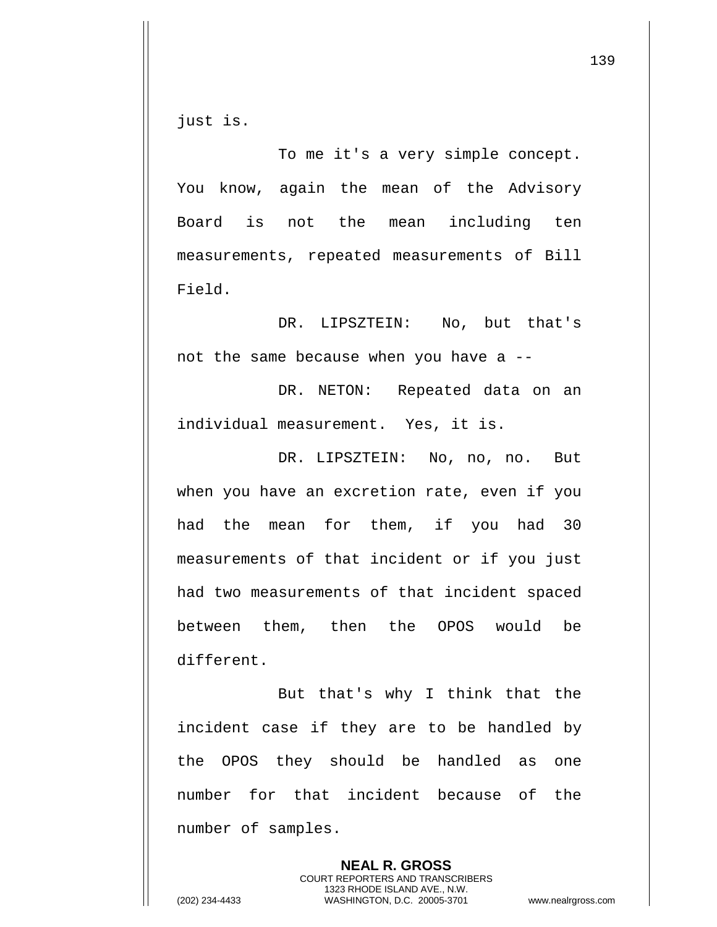just is.

To me it's a very simple concept. You know, again the mean of the Advisory Board is not the mean including ten measurements, repeated measurements of Bill Field.

DR. LIPSZTEIN: No, but that's not the same because when you have a --

DR. NETON: Repeated data on an individual measurement. Yes, it is.

DR. LIPSZTEIN: No, no, no. But when you have an excretion rate, even if you had the mean for them, if you had 30 measurements of that incident or if you just had two measurements of that incident spaced between them, then the OPOS would be different.

But that's why I think that the incident case if they are to be handled by the OPOS they should be handled as one number for that incident because of the number of samples.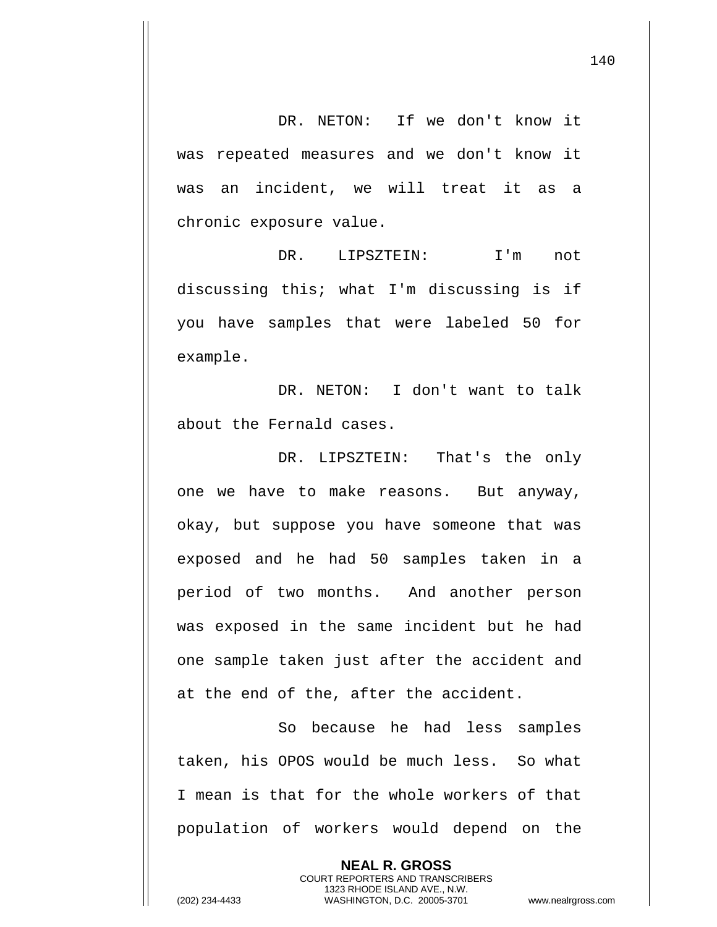DR. NETON: If we don't know it was repeated measures and we don't know it was an incident, we will treat it as a chronic exposure value.

DR. LIPSZTEIN: I'm not discussing this; what I'm discussing is if you have samples that were labeled 50 for example.

DR. NETON: I don't want to talk about the Fernald cases.

DR. LIPSZTEIN: That's the only one we have to make reasons. But anyway, okay, but suppose you have someone that was exposed and he had 50 samples taken in a period of two months. And another person was exposed in the same incident but he had one sample taken just after the accident and at the end of the, after the accident.

So because he had less samples taken, his OPOS would be much less. So what I mean is that for the whole workers of that population of workers would depend on the

> **NEAL R. GROSS** COURT REPORTERS AND TRANSCRIBERS 1323 RHODE ISLAND AVE., N.W.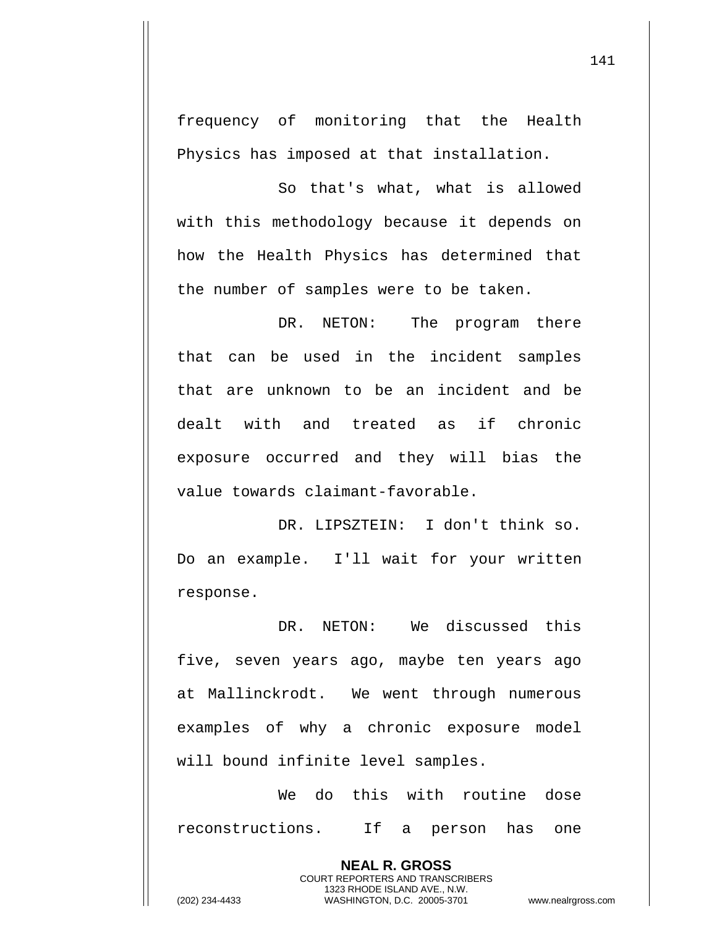frequency of monitoring that the Health Physics has imposed at that installation.

So that's what, what is allowed with this methodology because it depends on how the Health Physics has determined that the number of samples were to be taken.

DR. NETON: The program there that can be used in the incident samples that are unknown to be an incident and be dealt with and treated as if chronic exposure occurred and they will bias the value towards claimant-favorable.

DR. LIPSZTEIN: I don't think so. Do an example. I'll wait for your written response.

DR. NETON: We discussed this five, seven years ago, maybe ten years ago at Mallinckrodt. We went through numerous examples of why a chronic exposure model will bound infinite level samples.

We do this with routine dose reconstructions. If a person has one

> **NEAL R. GROSS** COURT REPORTERS AND TRANSCRIBERS 1323 RHODE ISLAND AVE., N.W.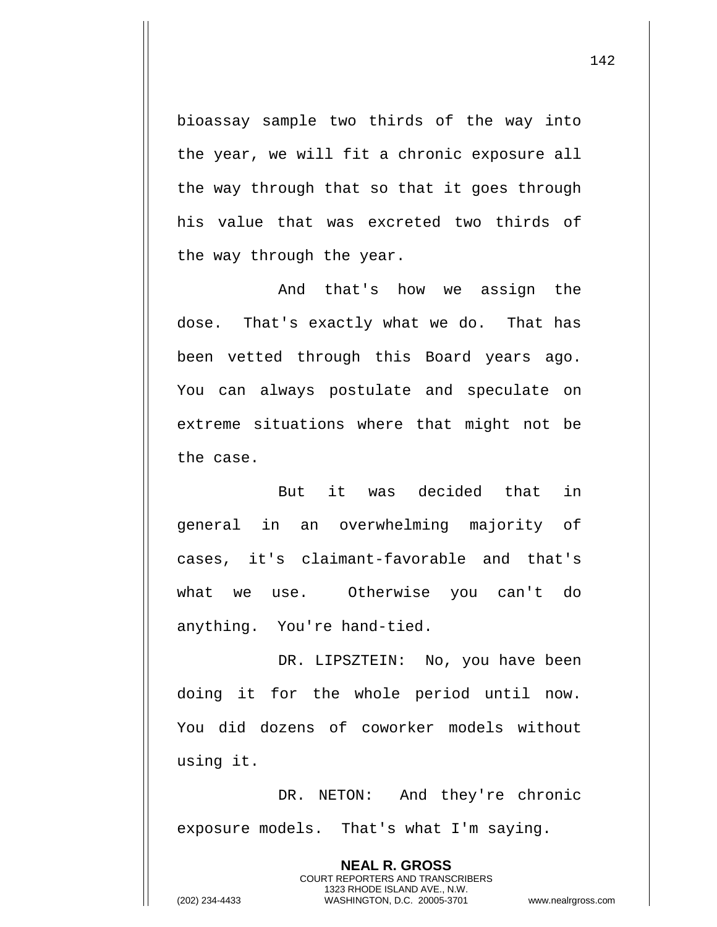bioassay sample two thirds of the way into the year, we will fit a chronic exposure all the way through that so that it goes through his value that was excreted two thirds of the way through the year.

And that's how we assign the dose. That's exactly what we do. That has been vetted through this Board years ago. You can always postulate and speculate on extreme situations where that might not be the case.

But it was decided that in general in an overwhelming majority of cases, it's claimant-favorable and that's what we use. Otherwise you can't do anything. You're hand-tied.

DR. LIPSZTEIN: No, you have been doing it for the whole period until now. You did dozens of coworker models without using it.

DR. NETON: And they're chronic exposure models. That's what I'm saying.

> **NEAL R. GROSS** COURT REPORTERS AND TRANSCRIBERS 1323 RHODE ISLAND AVE., N.W.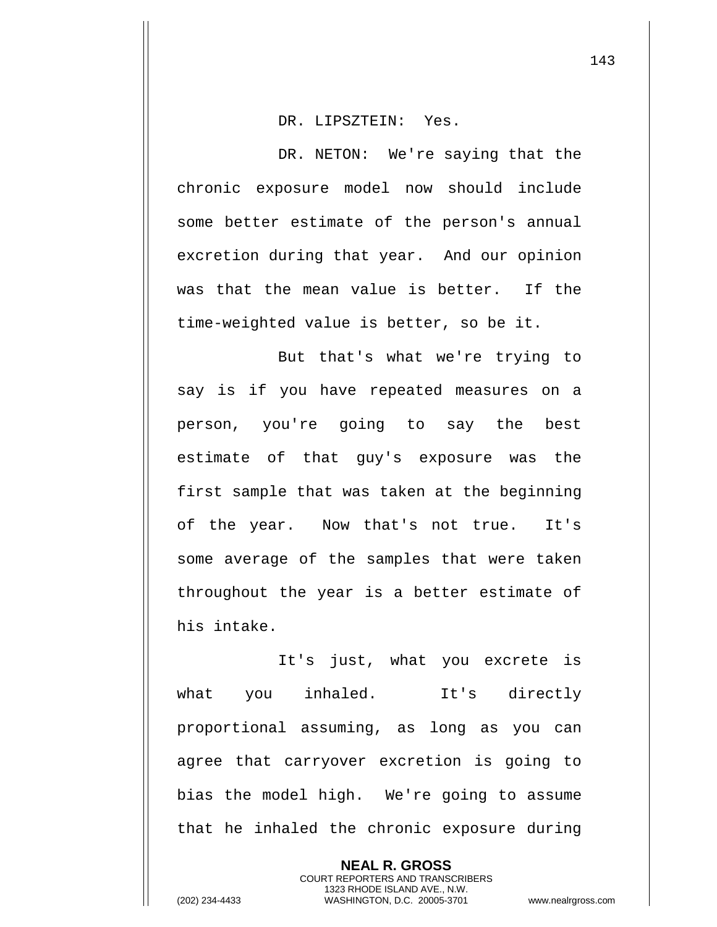DR. LIPSZTEIN: Yes.

DR. NETON: We're saying that the chronic exposure model now should include some better estimate of the person's annual excretion during that year. And our opinion was that the mean value is better. If the time-weighted value is better, so be it.

But that's what we're trying to say is if you have repeated measures on a person, you're going to say the best estimate of that guy's exposure was the first sample that was taken at the beginning of the year. Now that's not true. It's some average of the samples that were taken throughout the year is a better estimate of his intake.

It's just, what you excrete is what you inhaled. It's directly proportional assuming, as long as you can agree that carryover excretion is going to bias the model high. We're going to assume that he inhaled the chronic exposure during

COURT REPORTERS AND TRANSCRIBERS 1323 RHODE ISLAND AVE., N.W. (202) 234-4433 WASHINGTON, D.C. 20005-3701 www.nealrgross.com

**NEAL R. GROSS**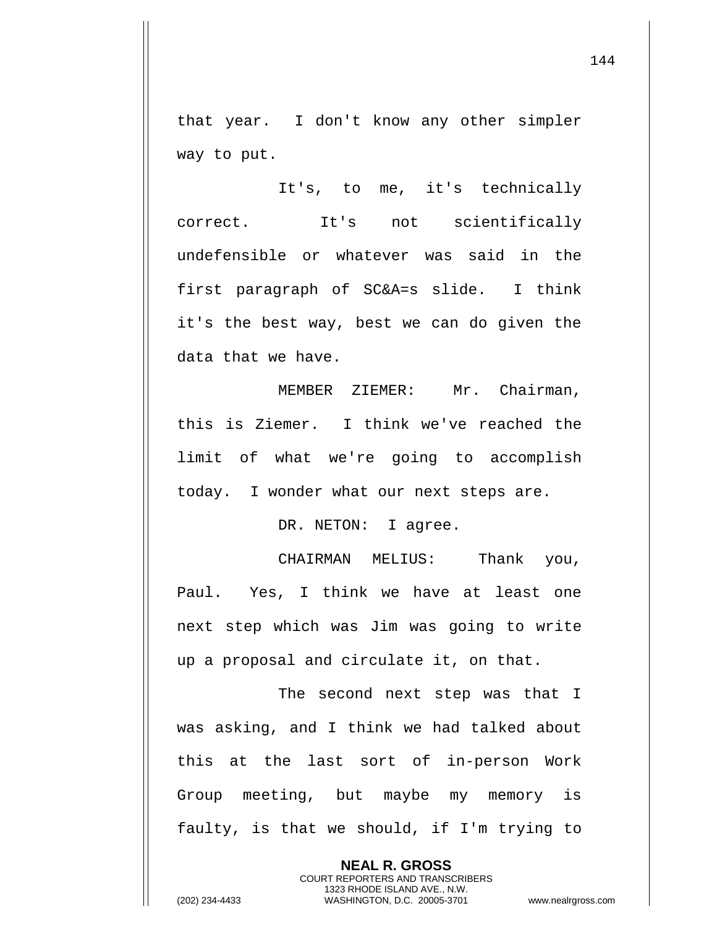that year. I don't know any other simpler way to put.

It's, to me, it's technically correct. It's not scientifically undefensible or whatever was said in the first paragraph of SC&A=s slide. I think it's the best way, best we can do given the data that we have.

MEMBER ZIEMER: Mr. Chairman, this is Ziemer. I think we've reached the limit of what we're going to accomplish today. I wonder what our next steps are.

DR. NETON: I agree.

CHAIRMAN MELIUS: Thank you, Paul. Yes, I think we have at least one next step which was Jim was going to write up a proposal and circulate it, on that.

The second next step was that I was asking, and I think we had talked about this at the last sort of in-person Work Group meeting, but maybe my memory is faulty, is that we should, if I'm trying to

> **NEAL R. GROSS** COURT REPORTERS AND TRANSCRIBERS 1323 RHODE ISLAND AVE., N.W.

144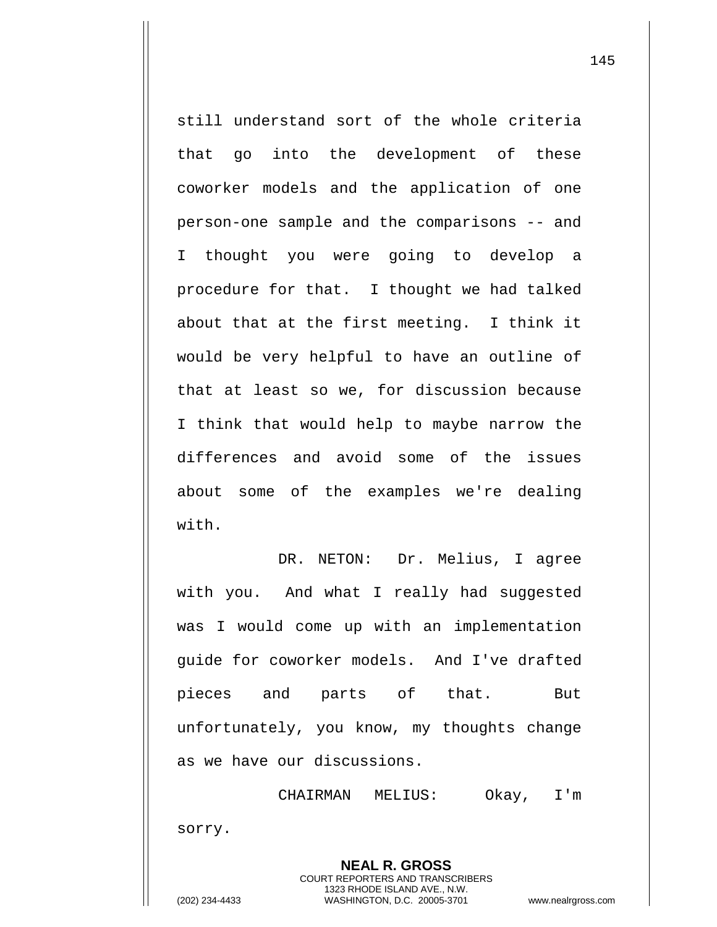still understand sort of the whole criteria that go into the development of these coworker models and the application of one person-one sample and the comparisons -- and I thought you were going to develop a procedure for that. I thought we had talked about that at the first meeting. I think it would be very helpful to have an outline of that at least so we, for discussion because I think that would help to maybe narrow the differences and avoid some of the issues about some of the examples we're dealing with.

DR. NETON: Dr. Melius, I agree with you. And what I really had suggested was I would come up with an implementation guide for coworker models. And I've drafted pieces and parts of that. But unfortunately, you know, my thoughts change as we have our discussions.

CHAIRMAN MELIUS: Okay, I'm sorry.

> **NEAL R. GROSS** COURT REPORTERS AND TRANSCRIBERS

1323 RHODE ISLAND AVE., N.W.

(202) 234-4433 WASHINGTON, D.C. 20005-3701 www.nealrgross.com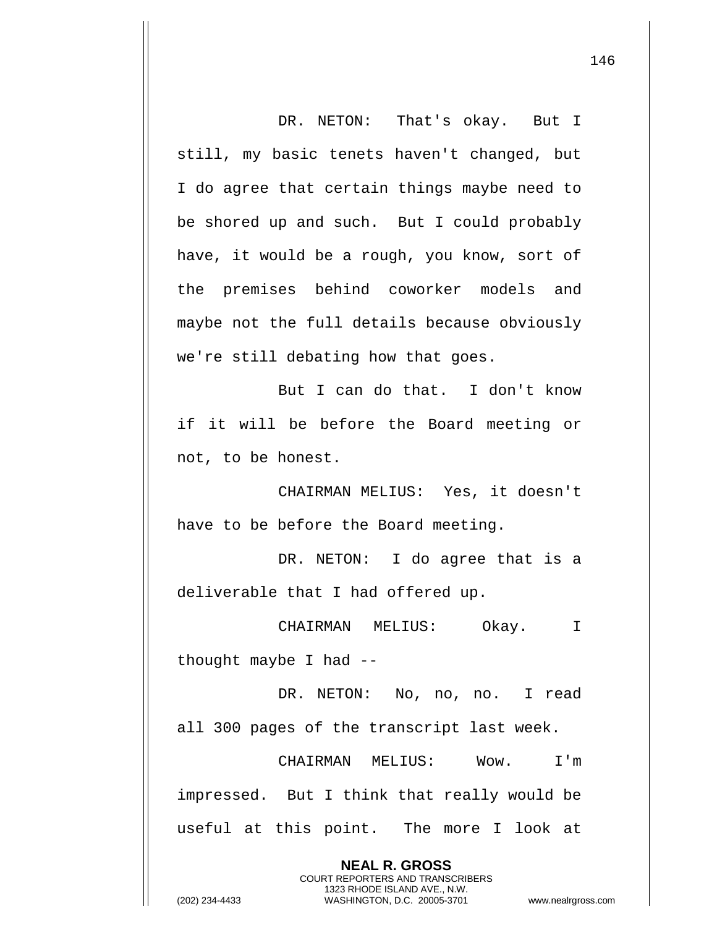DR. NETON: That's okay. But I still, my basic tenets haven't changed, but I do agree that certain things maybe need to be shored up and such. But I could probably have, it would be a rough, you know, sort of the premises behind coworker models and maybe not the full details because obviously we're still debating how that goes.

But I can do that. I don't know if it will be before the Board meeting or not, to be honest.

CHAIRMAN MELIUS: Yes, it doesn't have to be before the Board meeting.

DR. NETON: I do agree that is a deliverable that I had offered up.

CHAIRMAN MELIUS: Okay. I thought maybe I had --

DR. NETON: No, no, no. I read all 300 pages of the transcript last week.

CHAIRMAN MELIUS: Wow. I'm impressed. But I think that really would be useful at this point. The more I look at

> **NEAL R. GROSS** COURT REPORTERS AND TRANSCRIBERS 1323 RHODE ISLAND AVE., N.W.

(202) 234-4433 WASHINGTON, D.C. 20005-3701 www.nealrgross.com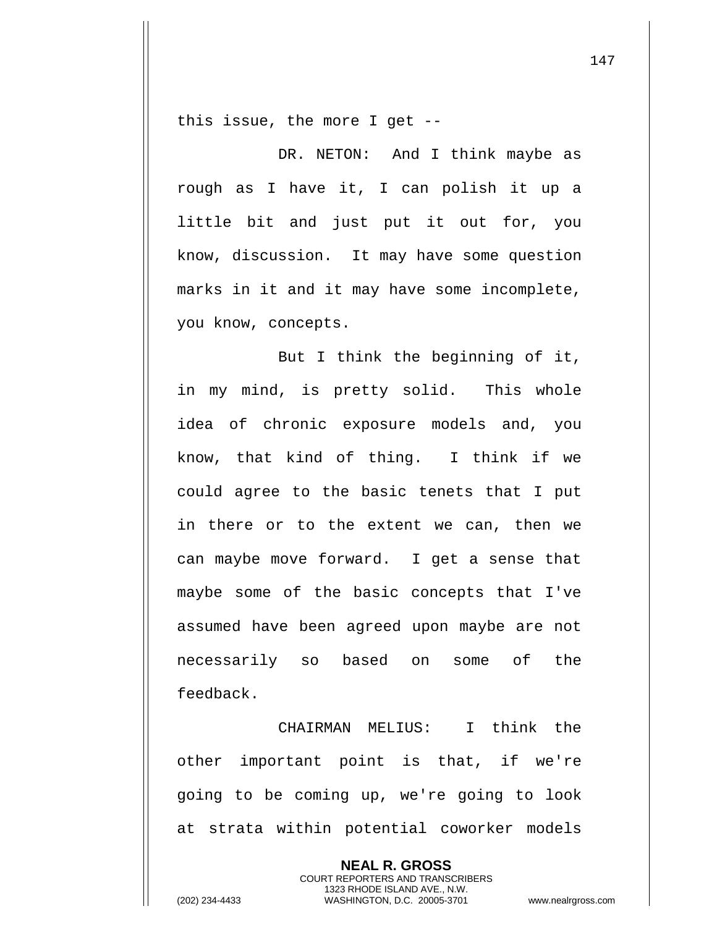this issue, the more I get --

DR. NETON: And I think maybe as rough as I have it, I can polish it up a little bit and just put it out for, you know, discussion. It may have some question marks in it and it may have some incomplete, you know, concepts.

But I think the beginning of it, in my mind, is pretty solid. This whole idea of chronic exposure models and, you know, that kind of thing. I think if we could agree to the basic tenets that I put in there or to the extent we can, then we can maybe move forward. I get a sense that maybe some of the basic concepts that I've assumed have been agreed upon maybe are not necessarily so based on some of the feedback.

CHAIRMAN MELIUS: I think the other important point is that, if we're going to be coming up, we're going to look at strata within potential coworker models

**NEAL R. GROSS** COURT REPORTERS AND TRANSCRIBERS 1323 RHODE ISLAND AVE., N.W. (202) 234-4433 WASHINGTON, D.C. 20005-3701 www.nealrgross.com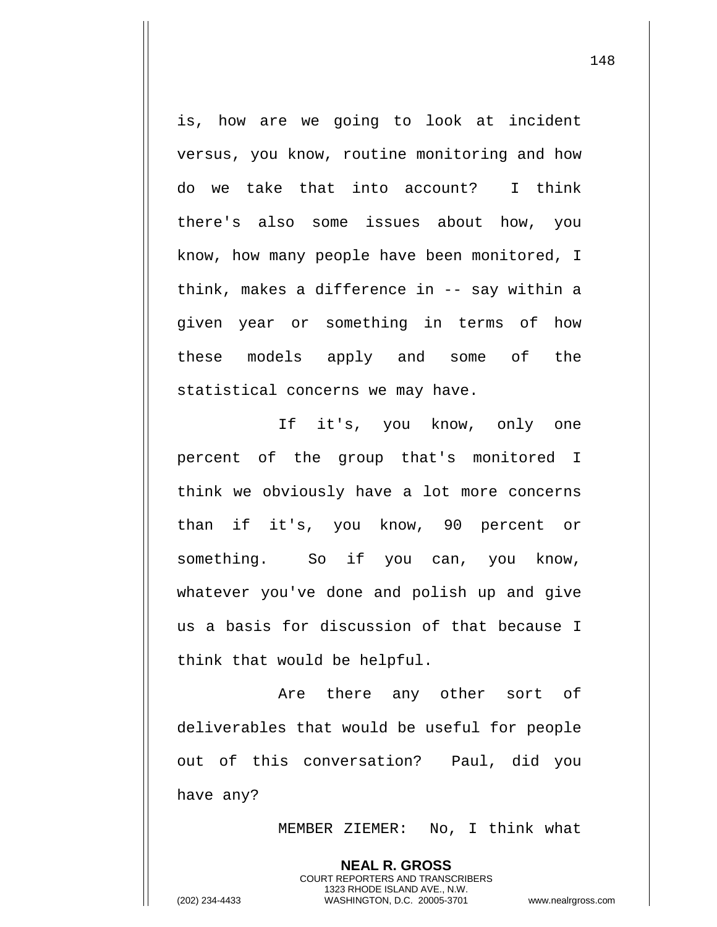is, how are we going to look at incident versus, you know, routine monitoring and how do we take that into account? I think there's also some issues about how, you know, how many people have been monitored, I think, makes a difference in -- say within a given year or something in terms of how these models apply and some of the statistical concerns we may have.

If it's, you know, only one percent of the group that's monitored I think we obviously have a lot more concerns than if it's, you know, 90 percent or something. So if you can, you know, whatever you've done and polish up and give us a basis for discussion of that because I think that would be helpful.

Are there any other sort of deliverables that would be useful for people out of this conversation? Paul, did you have any?

MEMBER ZIEMER: No, I think what

**NEAL R. GROSS** COURT REPORTERS AND TRANSCRIBERS 1323 RHODE ISLAND AVE., N.W.

148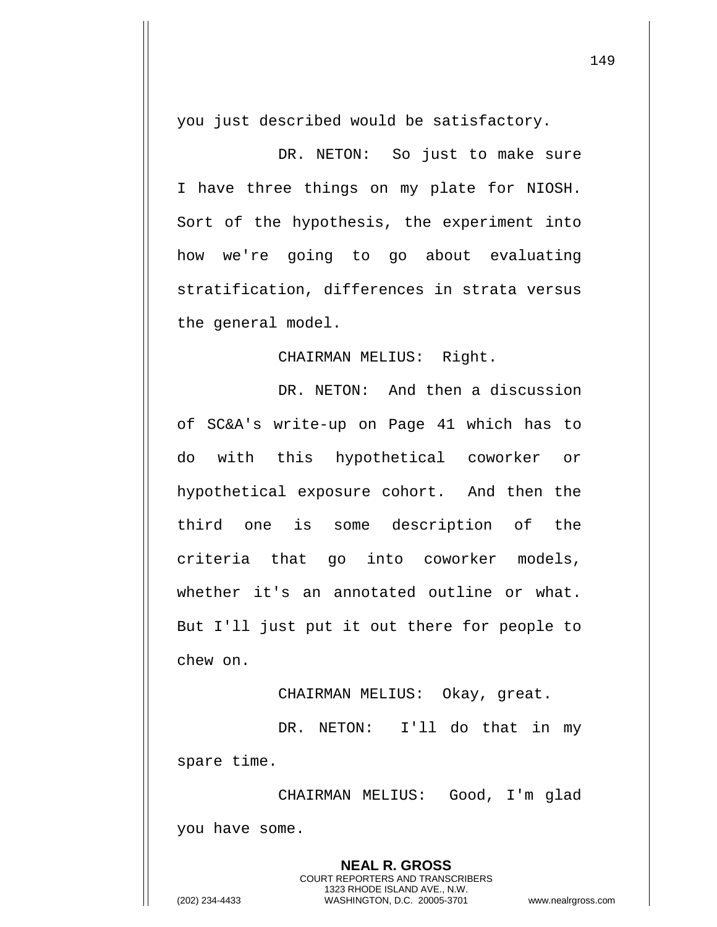you just described would be satisfactory.

DR. NETON: So just to make sure I have three things on my plate for NIOSH. Sort of the hypothesis, the experiment into how we're going to go about evaluating stratification, differences in strata versus the general model.

## CHAIRMAN MELIUS: Right.

DR. NETON: And then a discussion of SC&A's write-up on Page 41 which has to do with this hypothetical coworker or hypothetical exposure cohort. And then the third one is some description of the criteria that go into coworker models, whether it's an annotated outline or what. But I'll just put it out there for people to chew on.

CHAIRMAN MELIUS: Okay, great.

DR. NETON: I'll do that in my spare time.

CHAIRMAN MELIUS: Good, I'm glad you have some.

**NEAL R. GROSS** COURT REPORTERS AND TRANSCRIBERS 1323 RHODE ISLAND AVE., N.W. (202) 234-4433 WASHINGTON, D.C. 20005-3701 www.nealrgross.com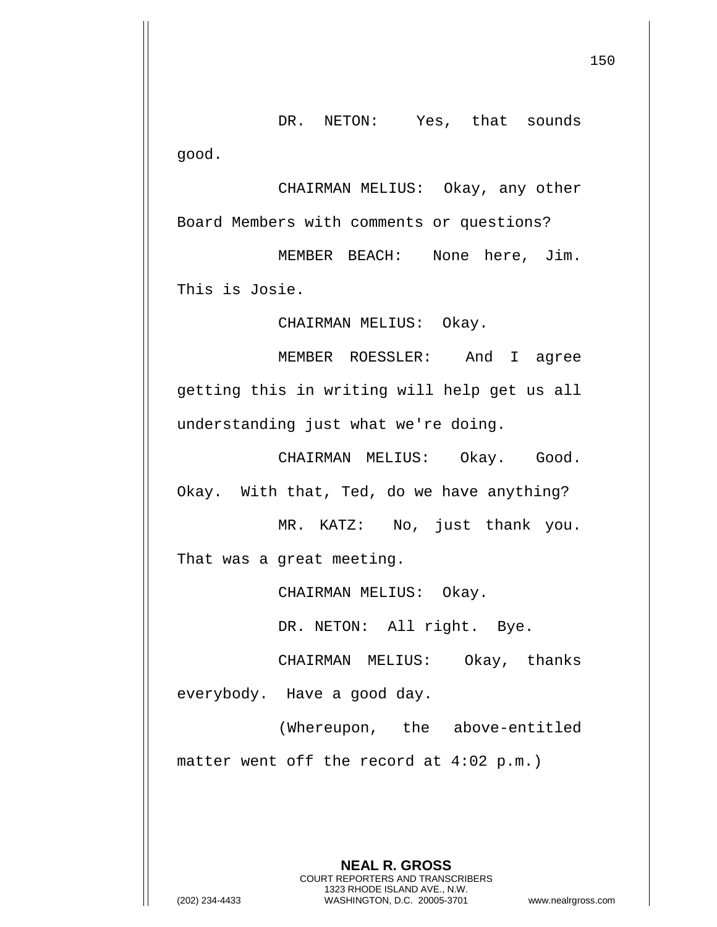DR. NETON: Yes, that sounds good.

CHAIRMAN MELIUS: Okay, any other Board Members with comments or questions?

MEMBER BEACH: None here, Jim. This is Josie.

CHAIRMAN MELIUS: Okay.

MEMBER ROESSLER: And I agree getting this in writing will help get us all understanding just what we're doing.

CHAIRMAN MELIUS: Okay. Good. Okay. With that, Ted, do we have anything?

MR. KATZ: No, just thank you. That was a great meeting.

CHAIRMAN MELIUS: Okay.

DR. NETON: All right. Bye.

CHAIRMAN MELIUS: Okay, thanks

everybody. Have a good day.

(Whereupon, the above-entitled matter went off the record at 4:02 p.m.)

**NEAL R. GROSS** COURT REPORTERS AND TRANSCRIBERS 1323 RHODE ISLAND AVE., N.W. (202) 234-4433 WASHINGTON, D.C. 20005-3701 www.nealrgross.com